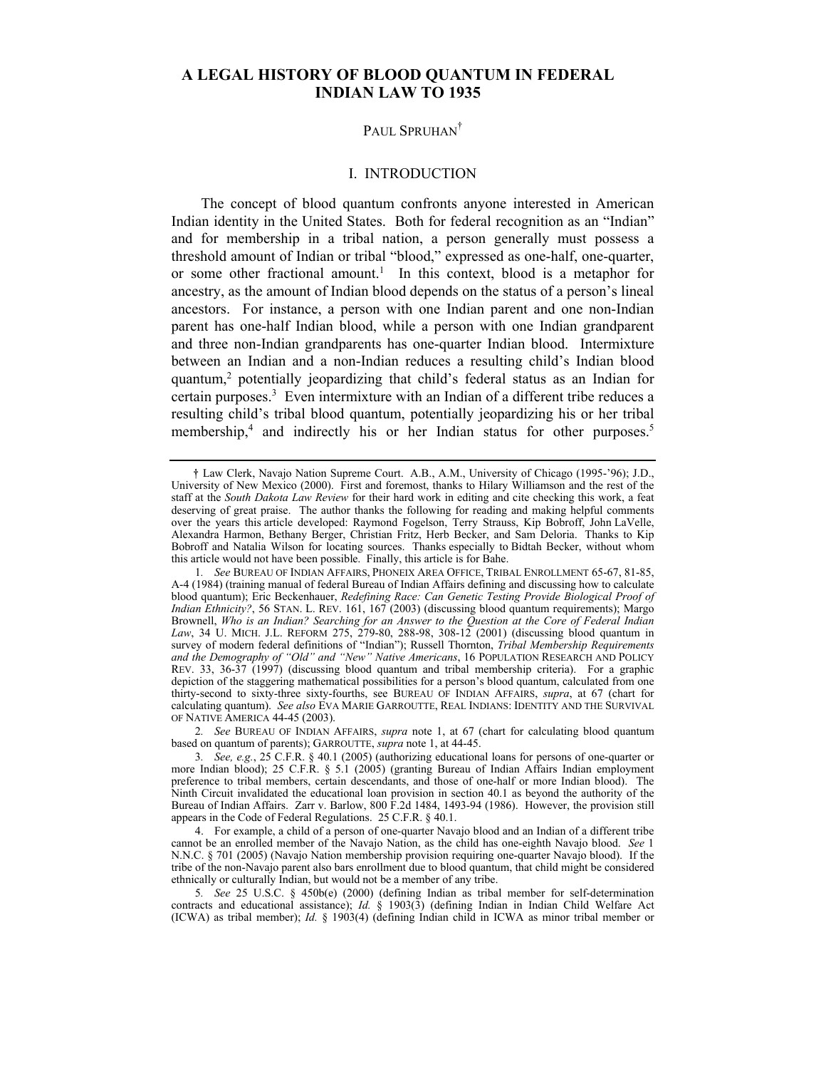# **A LEGAL HISTORY OF BLOOD QUANTUM IN FEDERAL INDIAN LAW TO 1935**

# PAUL SPRUHAN<sup>†</sup>

### I. INTRODUCTION

The concept of blood quantum confronts anyone interested in American Indian identity in the United States. Both for federal recognition as an "Indian" and for membership in a tribal nation, a person generally must possess a threshold amount of Indian or tribal "blood," expressed as one-half, one-quarter, or some other fractional amount.<sup>[1](#page-0-0)</sup> In this context, blood is a metaphor for ancestry, as the amount of Indian blood depends on the status of a person's lineal ancestors. For instance, a person with one Indian parent and one non-Indian parent has one-half Indian blood, while a person with one Indian grandparent and three non-Indian grandparents has one-quarter Indian blood. Intermixture between an Indian and a non-Indian reduces a resulting child's Indian blood quantum[,2](#page-0-1) potentially jeopardizing that child's federal status as an Indian for certain purposes.<sup>[3](#page-0-2)</sup> Even intermixture with an Indian of a different tribe reduces a resulting child's tribal blood quantum, potentially jeopardizing his or her tribal membership,<sup>4</sup> and indirectly his or her Indian status for other purposes.<sup>[5](#page-0-4)</sup>

<span id="page-0-1"></span>2*. See* BUREAU OF INDIAN AFFAIRS, *supra* note 1, at 67 (chart for calculating blood quantum based on quantum of parents); GARROUTTE, *supra* note 1, at 44-45.

<span id="page-0-0"></span><sup>!</sup> Law Clerk, Navajo Nation Supreme Court. A.B., A.M., University of Chicago (1995-'96); J.D., University of New Mexico (2000). First and foremost, thanks to Hilary Williamson and the rest of the staff at the *South Dakota Law Review* for their hard work in editing and cite checking this work, a feat deserving of great praise. The author thanks the following for reading and making helpful comments over the years this article developed: Raymond Fogelson, Terry Strauss, Kip Bobroff, John LaVelle, Alexandra Harmon, Bethany Berger, Christian Fritz, Herb Becker, and Sam Deloria. Thanks to Kip Bobroff and Natalia Wilson for locating sources. Thanks especially to Bidtah Becker, without whom this article would not have been possible. Finally, this article is for Bahe.

<sup>1</sup>*. See* BUREAU OF INDIAN AFFAIRS, PHONEIX AREA OFFICE, TRIBAL ENROLLMENT 65-67, 81-85, A-4 (1984) (training manual of federal Bureau of Indian Affairs defining and discussing how to calculate blood quantum); Eric Beckenhauer, *Redefining Race: Can Genetic Testing Provide Biological Proof of Indian Ethnicity?*, 56 STAN. L. REV. 161, 167 (2003) (discussing blood quantum requirements); Margo Brownell, *Who is an Indian? Searching for an Answer to the Question at the Core of Federal Indian Law*, 34 U. MICH. J.L. REFORM 275, 279-80, 288-98, 308-12 (2001) (discussing blood quantum in survey of modern federal definitions of "Indian"); Russell Thornton, *Tribal Membership Requirements and the Demography of "Old" and "New" Native Americans*, 16 POPULATION RESEARCH AND POLICY REV. 33, 36-37 (1997) (discussing blood quantum and tribal membership criteria). For a graphic depiction of the staggering mathematical possibilities for a person's blood quantum, calculated from one thirty-second to sixty-three sixty-fourths, see BUREAU OF INDIAN AFFAIRS, *supra*, at 67 (chart for calculating quantum). *See also* EVA MARIE GARROUTTE, REAL INDIANS: IDENTITY AND THE SURVIVAL OF NATIVE AMERICA 44-45 (2003).

<span id="page-0-2"></span><sup>3</sup>*. See, e.g.*, 25 C.F.R. § 40.1 (2005) (authorizing educational loans for persons of one-quarter or more Indian blood); 25 C.F.R. § 5.1 (2005) (granting Bureau of Indian Affairs Indian employment preference to tribal members, certain descendants, and those of one-half or more Indian blood). The Ninth Circuit invalidated the educational loan provision in section 40.1 as beyond the authority of the Bureau of Indian Affairs. Zarr v. Barlow, 800 F.2d 1484, 1493-94 (1986). However, the provision still appears in the Code of Federal Regulations. 25 C.F.R. § 40.1.

<span id="page-0-3"></span><sup>4.</sup> For example, a child of a person of one-quarter Navajo blood and an Indian of a different tribe cannot be an enrolled member of the Navajo Nation, as the child has one-eighth Navajo blood. *See* 1 N.N.C. § 701 (2005) (Navajo Nation membership provision requiring one-quarter Navajo blood). If the tribe of the non-Navajo parent also bars enrollment due to blood quantum, that child might be considered ethnically or culturally Indian, but would not be a member of any tribe.

<span id="page-0-4"></span><sup>5</sup>*. See* 25 U.S.C. § 450b(e) (2000) (defining Indian as tribal member for self-determination contracts and educational assistance); *Id.* § 1903(3) (defining Indian in Indian Child Welfare Act (ICWA) as tribal member); *Id.* § 1903(4) (defining Indian child in ICWA as minor tribal member or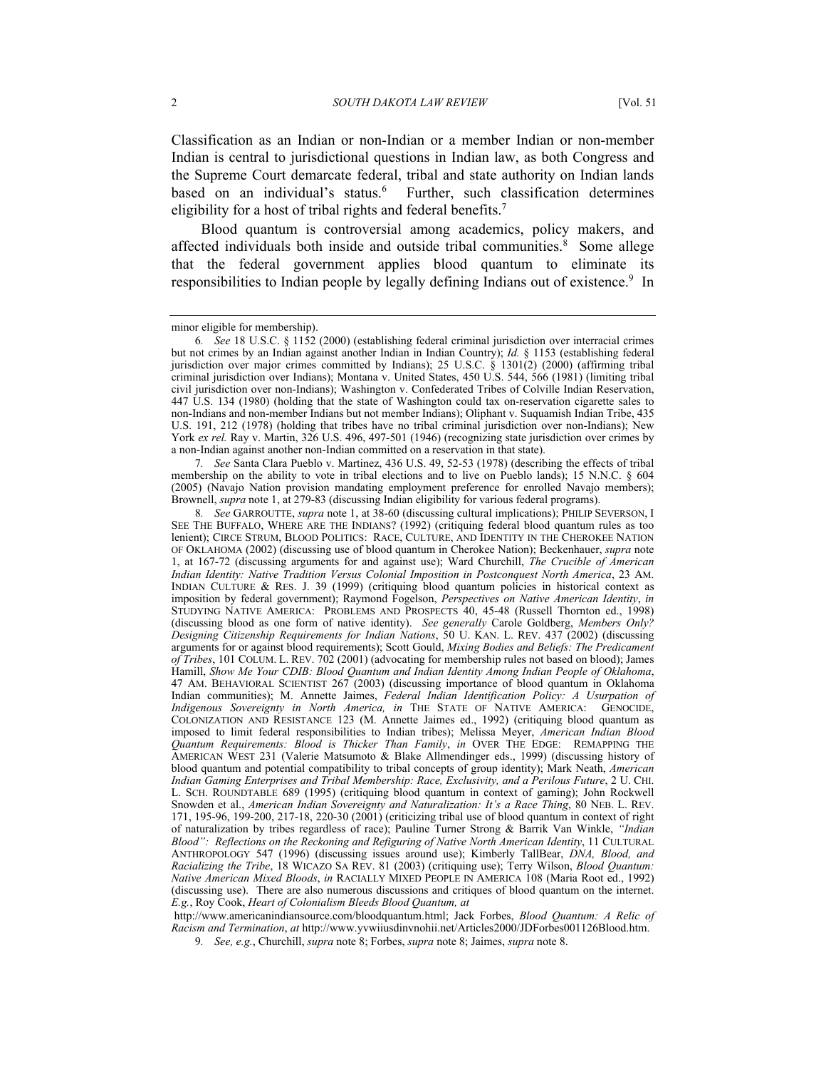Classification as an Indian or non-Indian or a member Indian or non-member Indian is central to jurisdictional questions in Indian law, as both Congress and the Supreme Court demarcate federal, tribal and state authority on Indian lands based on an individual's status.<sup>6</sup> Further, such classification determines eligibility for a host of tribal rights and federal benefits.<sup>7</sup>

Blood quantum is controversial among academics, policy makers, and affected individuals both inside and outside tribal communities.<sup>[8](#page-1-2)</sup> Some allege that the federal government applies blood quantum to eliminate its responsibilities to Indian people by legally defining Indians out of existence.<sup>[9](#page-1-3)</sup> In

<span id="page-1-1"></span>7*. See* Santa Clara Pueblo v. Martinez, 436 U.S. 49, 52-53 (1978) (describing the effects of tribal membership on the ability to vote in tribal elections and to live on Pueblo lands); 15 N.N.C. § 604 (2005) (Navajo Nation provision mandating employment preference for enrolled Navajo members); Brownell, *supra* note 1, at 279-83 (discussing Indian eligibility for various federal programs).

<span id="page-1-2"></span>8*. See* GARROUTTE, *supra* note 1, at 38-60 (discussing cultural implications); PHILIP SEVERSON, I SEE THE BUFFALO, WHERE ARE THE INDIANS? (1992) (critiquing federal blood quantum rules as too lenient); CIRCE STRUM, BLOOD POLITICS: RACE, CULTURE, AND IDENTITY IN THE CHEROKEE NATION OF OKLAHOMA (2002) (discussing use of blood quantum in Cherokee Nation); Beckenhauer, *supra* note 1, at 167-72 (discussing arguments for and against use); Ward Churchill, *The Crucible of American Indian Identity: Native Tradition Versus Colonial Imposition in Postconquest North America*, 23 AM. INDIAN CULTURE & RES. J. 39 (1999) (critiquing blood quantum policies in historical context as imposition by federal government); Raymond Fogelson, *Perspectives on Native American Identity*, *in* STUDYING NATIVE AMERICA: PROBLEMS AND PROSPECTS 40, 45-48 (Russell Thornton ed., 1998) (discussing blood as one form of native identity). *See generally* Carole Goldberg, *Members Only? Designing Citizenship Requirements for Indian Nations*, 50 U. KAN. L. REV. 437 (2002) (discussing arguments for or against blood requirements); Scott Gould, *Mixing Bodies and Beliefs: The Predicament of Tribes*, 101 COLUM. L. REV. 702 (2001) (advocating for membership rules not based on blood); James Hamill, *Show Me Your CDIB: Blood Quantum and Indian Identity Among Indian People of Oklahoma*, 47 AM. BEHAVIORAL SCIENTIST 267 (2003) (discussing importance of blood quantum in Oklahoma Indian communities); M. Annette Jaimes, *Federal Indian Identification Policy: A Usurpation of Indigenous Sovereignty in North America, in* THE STATE OF NATIVE AMERICA: GENOCIDE, *Indigenous Sovereignty in North America, in* THE STATE OF NATIVE AMERICA: COLONIZATION AND RESISTANCE 123 (M. Annette Jaimes ed., 1992) (critiquing blood quantum as imposed to limit federal responsibilities to Indian tribes); Melissa Meyer, *American Indian Blood Quantum Requirements: Blood is Thicker Than Family*, *in* OVER THE EDGE: REMAPPING THE AMERICAN WEST 231 (Valerie Matsumoto & Blake Allmendinger eds., 1999) (discussing history of blood quantum and potential compatibility to tribal concepts of group identity); Mark Neath, *American Indian Gaming Enterprises and Tribal Membership: Race, Exclusivity, and a Perilous Future*, 2 U. CHI. L. SCH. ROUNDTABLE 689 (1995) (critiquing blood quantum in context of gaming); John Rockwell Snowden et al., *American Indian Sovereignty and Naturalization: It's a Race Thing*, 80 NEB. L. REV. 171, 195-96, 199-200, 217-18, 220-30 (2001) (criticizing tribal use of blood quantum in context of right of naturalization by tribes regardless of race); Pauline Turner Strong & Barrik Van Winkle, *"Indian Blood": Reflections on the Reckoning and Refiguring of Native North American Identity*, 11 CULTURAL ANTHROPOLOGY 547 (1996) (discussing issues around use); Kimberly TallBear, *DNA, Blood, and Racializing the Tribe*, 18 WICAZO SA REV. 81 (2003) (critiquing use); Terry Wilson, *Blood Quantum: Native American Mixed Bloods*, *in* RACIALLY MIXED PEOPLE IN AMERICA 108 (Maria Root ed., 1992) (discussing use). There are also numerous discussions and critiques of blood quantum on the internet. *E.g.*, Roy Cook, *Heart of Colonialism Bleeds Blood Quantum, at*

 http://www.americanindiansource.com/bloodquantum.html; Jack Forbes, *Blood Quantum: A Relic of Racism and Termination*, *at* http://www.yvwiiusdinvnohii.net/Articles2000/JDForbes001126Blood.htm.

<span id="page-1-3"></span>9*. See, e.g.*, Churchill, *supra* note 8; Forbes, *supra* note 8; Jaimes, *supra* note 8.

minor eligible for membership).

<span id="page-1-0"></span><sup>6</sup>*. See* 18 U.S.C. § 1152 (2000) (establishing federal criminal jurisdiction over interracial crimes but not crimes by an Indian against another Indian in Indian Country); *Id.* § 1153 (establishing federal jurisdiction over major crimes committed by Indians); 25 U.S.C. § 1301(2) (2000) (affirming tribal criminal jurisdiction over Indians); Montana v. United States, 450 U.S. 544, 566 (1981) (limiting tribal civil jurisdiction over non-Indians); Washington v. Confederated Tribes of Colville Indian Reservation, 447 U.S. 134 (1980) (holding that the state of Washington could tax on-reservation cigarette sales to non-Indians and non-member Indians but not member Indians); Oliphant v. Suquamish Indian Tribe, 435 U.S. 191, 212 (1978) (holding that tribes have no tribal criminal jurisdiction over non-Indians); New York ex rel. Ray v. Martin, 326 U.S. 496, 497-501 (1946) (recognizing state jurisdiction over crimes by a non-Indian against another non-Indian committed on a reservation in that state).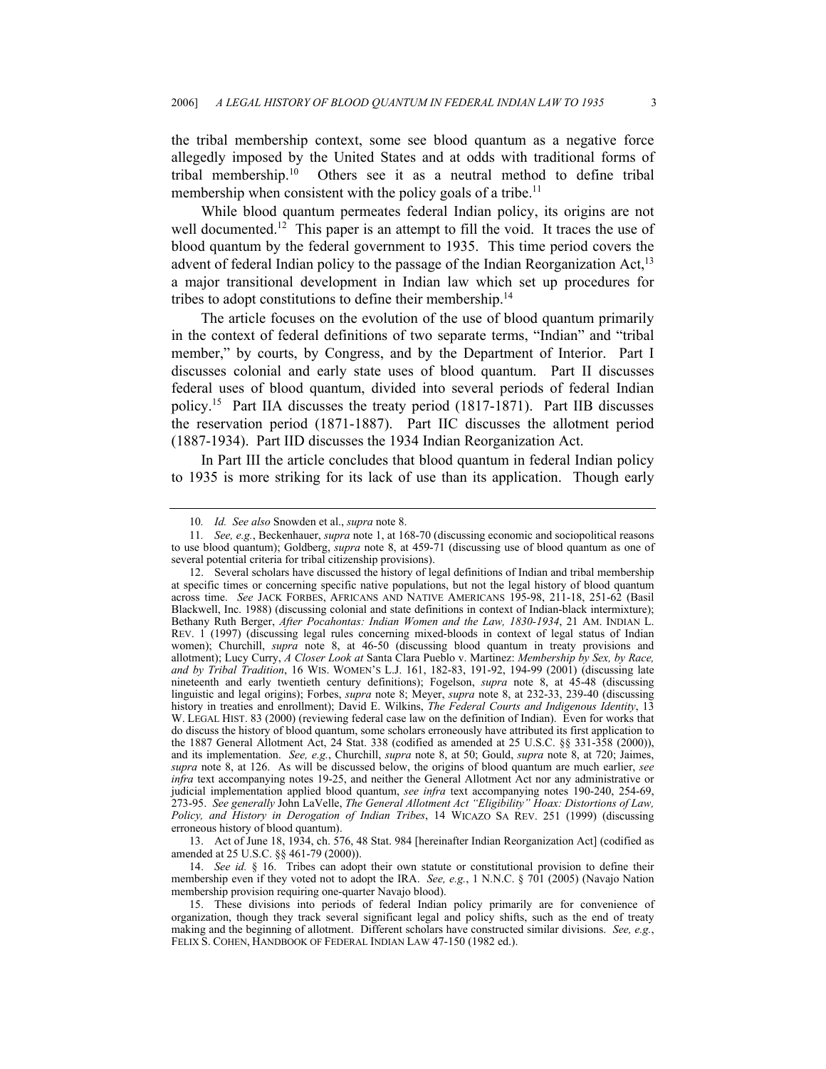the tribal membership context, some see blood quantum as a negative force allegedly imposed by the United States and at odds with traditional forms of tribal membership.[10](#page-2-0) Others see it as a neutral method to define tribal membership when consistent with the policy goals of a tribe.<sup>[11](#page-2-1)</sup>

While blood quantum permeates federal Indian policy, its origins are not well documented.<sup>12</sup> This paper is an attempt to fill the void. It traces the use of blood quantum by the federal government to 1935. This time period covers the advent of federal Indian policy to the passage of the Indian Reorganization Act,  $13$ a major transitional development in Indian law which set up procedures for tribes to adopt constitutions to define their membership[.14](#page-2-4)

The article focuses on the evolution of the use of blood quantum primarily in the context of federal definitions of two separate terms, "Indian" and "tribal member," by courts, by Congress, and by the Department of Interior. Part I discusses colonial and early state uses of blood quantum. Part II discusses federal uses of blood quantum, divided into several periods of federal Indian policy[.15](#page-2-5) Part IIA discusses the treaty period (1817-1871). Part IIB discusses the reservation period (1871-1887). Part IIC discusses the allotment period (1887-1934). Part IID discusses the 1934 Indian Reorganization Act.

In Part III the article concludes that blood quantum in federal Indian policy to 1935 is more striking for its lack of use than its application. Though early

<span id="page-2-3"></span>13. Act of June 18, 1934, ch. 576, 48 Stat. 984 [hereinafter Indian Reorganization Act] (codified as amended at 25 U.S.C. §§ 461-79 (2000)).

<span id="page-2-4"></span>14. *See id.* § 16. Tribes can adopt their own statute or constitutional provision to define their membership even if they voted not to adopt the IRA. *See, e.g.*, 1 N.N.C. § 701 (2005) (Navajo Nation membership provision requiring one-quarter Navajo blood).

<span id="page-2-1"></span><span id="page-2-0"></span><sup>10</sup>*. Id. See also* Snowden et al., *supra* note 8.

<sup>11</sup>*. See, e.g.*, Beckenhauer, *supra* note 1, at 168-70 (discussing economic and sociopolitical reasons to use blood quantum); Goldberg, *supra* note 8, at 459-71 (discussing use of blood quantum as one of several potential criteria for tribal citizenship provisions).

<span id="page-2-2"></span><sup>12.</sup> Several scholars have discussed the history of legal definitions of Indian and tribal membership at specific times or concerning specific native populations, but not the legal history of blood quantum across time. *See* JACK FORBES, AFRICANS AND NATIVE AMERICANS 195-98, 211-18, 251-62 (Basil Blackwell, Inc. 1988) (discussing colonial and state definitions in context of Indian-black intermixture); Bethany Ruth Berger, *After Pocahontas: Indian Women and the Law, 1830-1934*, 21 AM. INDIAN L. REV. 1 (1997) (discussing legal rules concerning mixed-bloods in context of legal status of Indian women); Churchill, *supra* note 8, at 46-50 (discussing blood quantum in treaty provisions and allotment); Lucy Curry, *A Closer Look at* Santa Clara Pueblo v. Martinez: *Membership by Sex, by Race, and by Tribal Tradition*, 16 WIS. WOMEN'S L.J. 161, 182-83, 191-92, 194-99 (2001) (discussing late nineteenth and early twentieth century definitions); Fogelson, *supra* note 8, at 45-48 (discussing linguistic and legal origins); Forbes, *supra* note 8; Meyer, *supra* note 8, at 232-33, 239-40 (discussing history in treaties and enrollment); David E. Wilkins, *The Federal Courts and Indigenous Identity*, 13 W. LEGAL HIST. 83 (2000) (reviewing federal case law on the definition of Indian). Even for works that do discuss the history of blood quantum, some scholars erroneously have attributed its first application to the 1887 General Allotment Act, 24 Stat. 338 (codified as amended at 25 U.S.C. §§ 331-358 (2000)), and its implementation. *See, e.g.*, Churchill, *supra* note 8, at 50; Gould, *supra* note 8, at 720; Jaimes, *supra* note 8, at 126. As will be discussed below, the origins of blood quantum are much earlier, *see infra* text accompanying notes 19-25, and neither the General Allotment Act nor any administrative or judicial implementation applied blood quantum, *see infra* text accompanying notes 190-240, 254-69, 273-95. *See generally* John LaVelle, *The General Allotment Act "Eligibility" Hoax: Distortions of Law, Policy, and History in Derogation of Indian Tribes*, 14 WICAZO SA REV. 251 (1999) (discussing erroneous history of blood quantum).

<span id="page-2-5"></span><sup>15.</sup> These divisions into periods of federal Indian policy primarily are for convenience of organization, though they track several significant legal and policy shifts, such as the end of treaty making and the beginning of allotment. Different scholars have constructed similar divisions. *See, e.g.*, FELIX S. COHEN, HANDBOOK OF FEDERAL INDIAN LAW 47-150 (1982 ed.).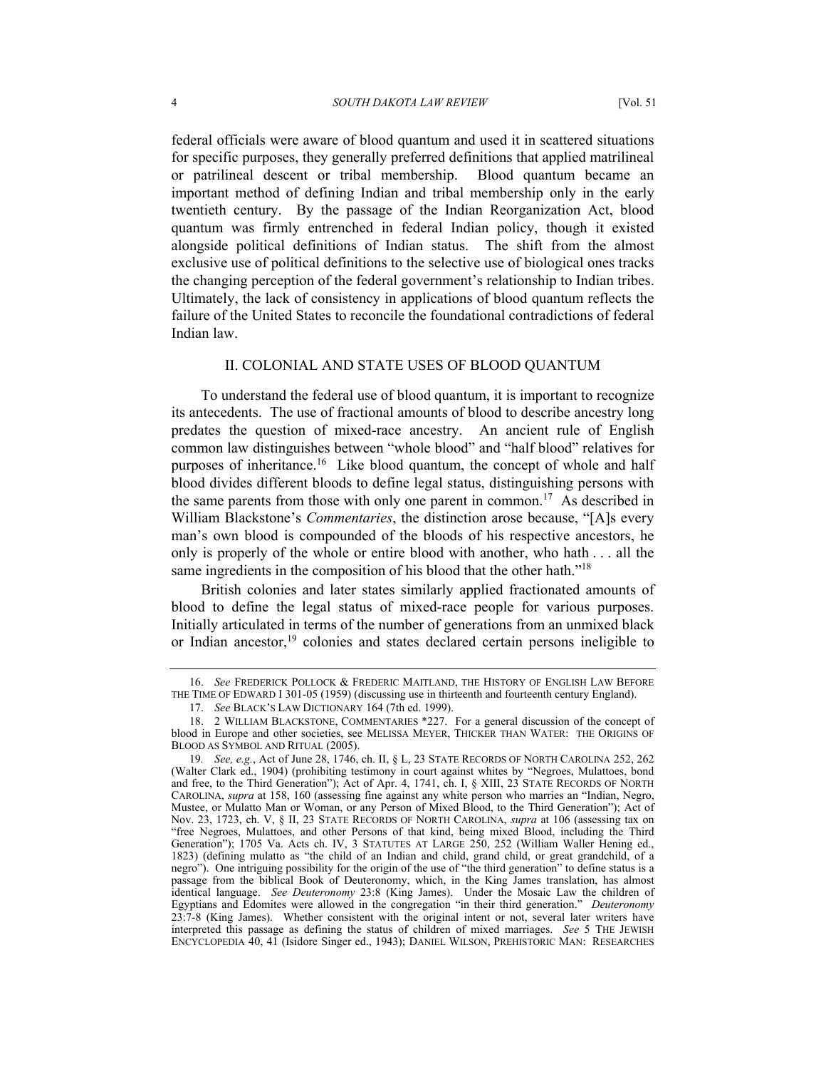federal officials were aware of blood quantum and used it in scattered situations for specific purposes, they generally preferred definitions that applied matrilineal or patrilineal descent or tribal membership. Blood quantum became an important method of defining Indian and tribal membership only in the early twentieth century. By the passage of the Indian Reorganization Act, blood quantum was firmly entrenched in federal Indian policy, though it existed alongside political definitions of Indian status. The shift from the almost exclusive use of political definitions to the selective use of biological ones tracks the changing perception of the federal government's relationship to Indian tribes. Ultimately, the lack of consistency in applications of blood quantum reflects the failure of the United States to reconcile the foundational contradictions of federal Indian law.

# II. COLONIAL AND STATE USES OF BLOOD QUANTUM

To understand the federal use of blood quantum, it is important to recognize its antecedents. The use of fractional amounts of blood to describe ancestry long predates the question of mixed-race ancestry. An ancient rule of English common law distinguishes between "whole blood" and "half blood" relatives for purposes of inheritance.<sup>16</sup> Like blood quantum, the concept of whole and half blood divides different bloods to define legal status, distinguishing persons with the same parents from those with only one parent in common.<sup>17</sup> As described in William Blackstone's *Commentaries*, the distinction arose because, "[A]s every man's own blood is compounded of the bloods of his respective ancestors, he only is properly of the whole or entire blood with another, who hath . . . all the same ingredients in the composition of his blood that the other hath."<sup>[18](#page-3-2)</sup>

British colonies and later states similarly applied fractionated amounts of blood to define the legal status of mixed-race people for various purposes. Initially articulated in terms of the number of generations from an unmixed black or Indian ancestor,[19](#page-3-3) colonies and states declared certain persons ineligible to

<span id="page-3-0"></span><sup>16.</sup> *See* FREDERICK POLLOCK & FREDERIC MAITLAND, THE HISTORY OF ENGLISH LAW BEFORE THE TIME OF EDWARD I 301-05 (1959) (discussing use in thirteenth and fourteenth century England).

<span id="page-3-2"></span><span id="page-3-1"></span><sup>17.</sup> *See* BLACK'S LAW DICTIONARY 164 (7th ed. 1999).

<sup>18. 2</sup> WILLIAM BLACKSTONE, COMMENTARIES \*227. For a general discussion of the concept of blood in Europe and other societies, see MELISSA MEYER, THICKER THAN WATER: THE ORIGINS OF BLOOD AS SYMBOL AND RITUAL (2005).

<span id="page-3-3"></span><sup>19</sup>*. See, e.g.*, Act of June 28, 1746, ch. II, § L, 23 STATE RECORDS OF NORTH CAROLINA 252, 262 (Walter Clark ed., 1904) (prohibiting testimony in court against whites by "Negroes, Mulattoes, bond and free, to the Third Generation"); Act of Apr. 4, 1741, ch. I, § XIII, 23 STATE RECORDS OF NORTH CAROLINA, *supra* at 158, 160 (assessing fine against any white person who marries an "Indian, Negro, Mustee, or Mulatto Man or Woman, or any Person of Mixed Blood, to the Third Generation"); Act of Nov. 23, 1723, ch. V, § II, 23 STATE RECORDS OF NORTH CAROLINA, *supra* at 106 (assessing tax on "free Negroes, Mulattoes, and other Persons of that kind, being mixed Blood, including the Third Generation"); 1705 Va. Acts ch. IV, 3 STATUTES AT LARGE 250, 252 (William Waller Hening ed., 1823) (defining mulatto as "the child of an Indian and child, grand child, or great grandchild, of a negro"). One intriguing possibility for the origin of the use of "the third generation" to define status is a passage from the biblical Book of Deuteronomy, which, in the King James translation, has almost identical language. *See Deuteronomy* 23:8 (King James). Under the Mosaic Law the children of Egyptians and Edomites were allowed in the congregation "in their third generation." *Deuteronomy* 23:7-8 (King James). Whether consistent with the original intent or not, several later writers have interpreted this passage as defining the status of children of mixed marriages. *See* 5 THE JEWISH ENCYCLOPEDIA 40, 41 (Isidore Singer ed., 1943); DANIEL WILSON, PREHISTORIC MAN: RESEARCHES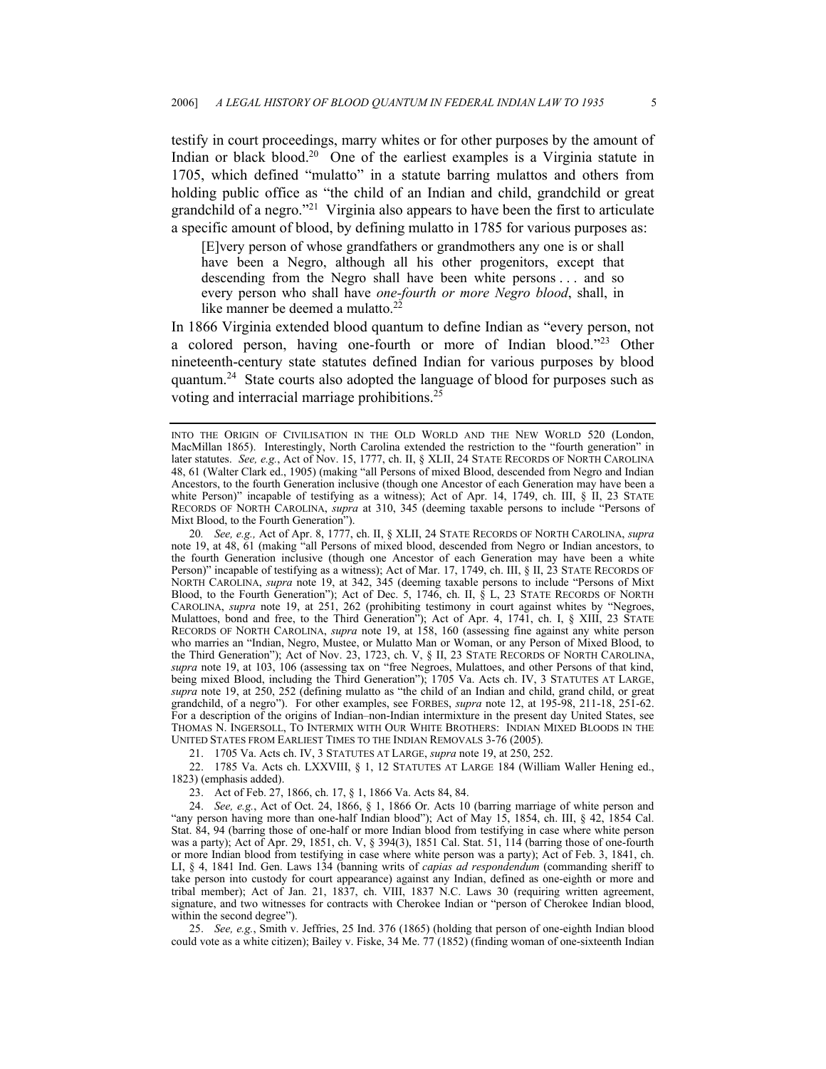testify in court proceedings, marry whites or for other purposes by the amount of Indian or black blood.<sup>20</sup> One of the earliest examples is a Virginia statute in 1705, which defined "mulatto" in a statute barring mulattos and others from holding public office as "the child of an Indian and child, grandchild or great grandchild of a negro.["21](#page-4-1) Virginia also appears to have been the first to articulate a specific amount of blood, by defining mulatto in 1785 for various purposes as:

[E]very person of whose grandfathers or grandmothers any one is or shall have been a Negro, although all his other progenitors, except that descending from the Negro shall have been white persons . . . and so every person who shall have *one-fourth or more Negro blood*, shall, in like manner be deemed a mulatto.<sup>[22](#page-4-2)</sup>

In 1866 Virginia extended blood quantum to define Indian as "every person, not a colored person, having one-fourth or more of Indian blood.["23](#page-4-3) Other nineteenth-century state statutes defined Indian for various purposes by blood quantum[.24](#page-4-4) State courts also adopted the language of blood for purposes such as voting and interracial marriage prohibitions.[25](#page-4-5)

<span id="page-4-0"></span>20*. See, e.g.,* Act of Apr. 8, 1777, ch. II, § XLII, 24 STATE RECORDS OF NORTH CAROLINA, *supra* note 19, at 48, 61 (making "all Persons of mixed blood, descended from Negro or Indian ancestors, to the fourth Generation inclusive (though one Ancestor of each Generation may have been a white Person)" incapable of testifying as a witness); Act of Mar. 17, 1749, ch. III, § II, 23 STATE RECORDS OF NORTH CAROLINA, *supra* note 19, at 342, 345 (deeming taxable persons to include "Persons of Mixt Blood, to the Fourth Generation"); Act of Dec. 5, 1746, ch. II, § L, 23 STATE RECORDS OF NORTH CAROLINA, *supra* note 19, at 251, 262 (prohibiting testimony in court against whites by "Negroes, Mulattoes, bond and free, to the Third Generation"); Act of Apr. 4, 1741, ch. I, § XIII, 23 STATE RECORDS OF NORTH CAROLINA, *supra* note 19, at 158, 160 (assessing fine against any white person who marries an "Indian, Negro, Mustee, or Mulatto Man or Woman, or any Person of Mixed Blood, to the Third Generation"); Act of Nov. 23, 1723, ch. V, § II, 23 STATE RECORDS OF NORTH CAROLINA, *supra* note 19, at 103, 106 (assessing tax on "free Negroes, Mulattoes, and other Persons of that kind, being mixed Blood, including the Third Generation"); 1705 Va. Acts ch. IV, 3 STATUTES AT LARGE, *supra* note 19, at 250, 252 (defining mulatto as "the child of an Indian and child, grand child, or great grandchild, of a negro"). For other examples, see FORBES, *supra* note 12, at 195-98, 211-18, 251-62. For a description of the origins of Indian–non-Indian intermixture in the present day United States, see THOMAS N. INGERSOLL, TO INTERMIX WITH OUR WHITE BROTHERS: INDIAN MIXED BLOODS IN THE UNITED STATES FROM EARLIEST TIMES TO THE INDIAN REMOVALS 3-76 (2005).

<span id="page-4-2"></span><span id="page-4-1"></span>21. 1705 Va. Acts ch. IV, 3 STATUTES AT LARGE, *supra* note 19, at 250, 252.

22. 1785 Va. Acts ch. LXXVIII, § 1, 12 STATUTES AT LARGE 184 (William Waller Hening ed., 1823) (emphasis added).

<span id="page-4-4"></span><span id="page-4-3"></span>23. Act of Feb. 27, 1866, ch. 17, § 1, 1866 Va. Acts 84, 84.

24. *See, e.g.*, Act of Oct. 24, 1866, § 1, 1866 Or. Acts 10 (barring marriage of white person and "any person having more than one-half Indian blood"); Act of May 15, 1854, ch. III, § 42, 1854 Cal. Stat. 84, 94 (barring those of one-half or more Indian blood from testifying in case where white person was a party); Act of Apr. 29, 1851, ch. V, § 394(3), 1851 Cal. Stat. 51, 114 (barring those of one-fourth or more Indian blood from testifying in case where white person was a party); Act of Feb. 3, 1841, ch. LI, § 4, 1841 Ind. Gen. Laws 134 (banning writs of *capias ad respondendum* (commanding sheriff to take person into custody for court appearance) against any Indian, defined as one-eighth or more and tribal member); Act of Jan. 21, 1837, ch. VIII, 1837 N.C. Laws 30 (requiring written agreement, signature, and two witnesses for contracts with Cherokee Indian or "person of Cherokee Indian blood, within the second degree").

<span id="page-4-5"></span>25. *See, e.g.*, Smith v. Jeffries, 25 Ind. 376 (1865) (holding that person of one-eighth Indian blood could vote as a white citizen); Bailey v. Fiske, 34 Me. 77 (1852) (finding woman of one-sixteenth Indian

INTO THE ORIGIN OF CIVILISATION IN THE OLD WORLD AND THE NEW WORLD 520 (London, MacMillan 1865). Interestingly, North Carolina extended the restriction to the "fourth generation" in later statutes. *See, e.g.*, Act of Nov. 15, 1777, ch. II, § XLII, 24 STATE RECORDS OF NORTH CAROLINA 48, 61 (Walter Clark ed., 1905) (making "all Persons of mixed Blood, descended from Negro and Indian Ancestors, to the fourth Generation inclusive (though one Ancestor of each Generation may have been a white Person)" incapable of testifying as a witness); Act of Apr. 14, 1749, ch. III, § II, 23 STATE RECORDS OF NORTH CAROLINA, *supra* at 310, 345 (deeming taxable persons to include "Persons of Mixt Blood, to the Fourth Generation").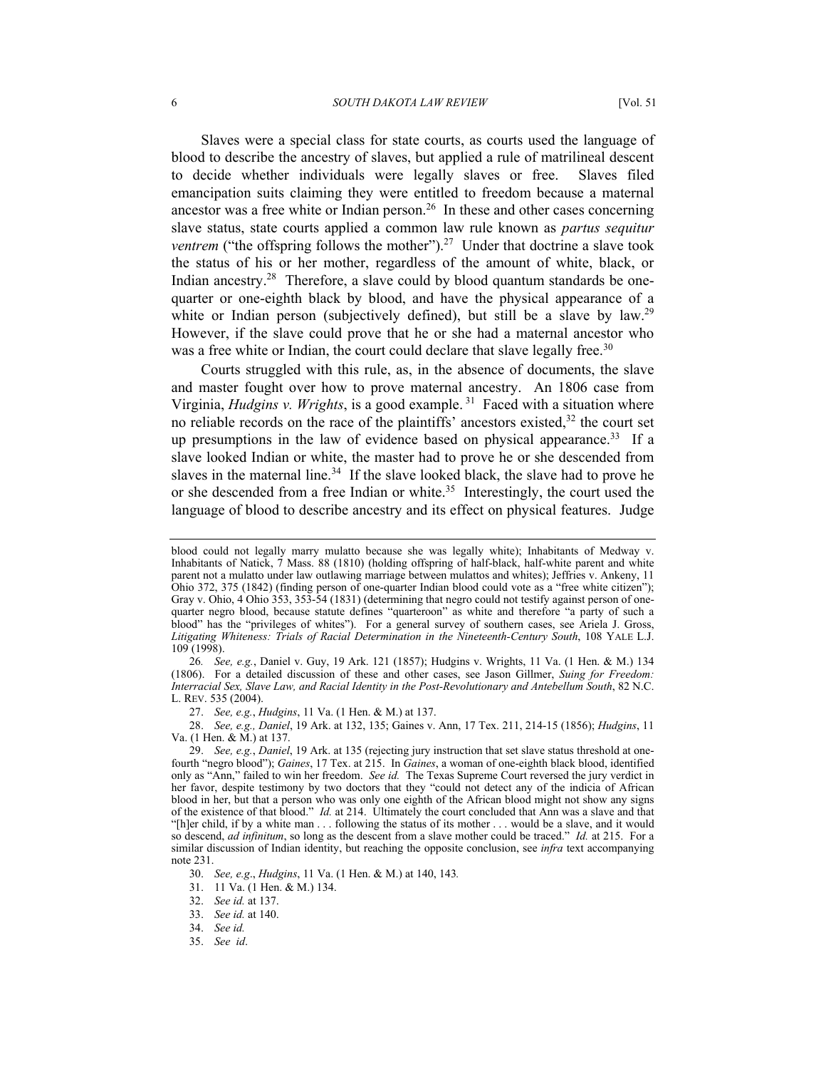Slaves were a special class for state courts, as courts used the language of blood to describe the ancestry of slaves, but applied a rule of matrilineal descent to decide whether individuals were legally slaves or free. Slaves filed emancipation suits claiming they were entitled to freedom because a maternal ancestor was a free white or Indian person.<sup>26</sup> In these and other cases concerning slave status, state courts applied a common law rule known as *partus sequitur ventrem* ("the offspring follows the mother").<sup>27</sup> Under that doctrine a slave took the status of his or her mother, regardless of the amount of white, black, or Indian ancestry.<sup>28</sup> Therefore, a slave could by blood quantum standards be onequarter or one-eighth black by blood, and have the physical appearance of a white or Indian person (subjectively defined), but still be a slave by law.<sup>29</sup> However, if the slave could prove that he or she had a maternal ancestor who was a free white or Indian, the court could declare that slave legally free.<sup>[30](#page-5-4)</sup>

Courts struggled with this rule, as, in the absence of documents, the slave and master fought over how to prove maternal ancestry. An 1806 case from Virginia, *Hudgins v. Wrights*, is a good example. [31](#page-5-5) Faced with a situation where no reliable records on the race of the plaintiffs' ancestors existed, $32$  the court set up presumptions in the law of evidence based on physical appearance.<sup>33</sup> If a slave looked Indian or white, the master had to prove he or she descended from slaves in the maternal line.<sup>34</sup> If the slave looked black, the slave had to prove he or she descended from a free Indian or white.<sup>35</sup> Interestingly, the court used the language of blood to describe ancestry and its effect on physical features. Judge

<span id="page-5-0"></span>26*. See, e.g.*, Daniel v. Guy, 19 Ark. 121 (1857); Hudgins v. Wrights, 11 Va. (1 Hen. & M.) 134 (1806). For a detailed discussion of these and other cases, see Jason Gillmer, *Suing for Freedom: Interracial Sex, Slave Law, and Racial Identity in the Post-Revolutionary and Antebellum South*, 82 N.C. L. REV. 535 (2004).

<span id="page-5-2"></span><span id="page-5-1"></span>27. *See, e.g.*, *Hudgins*, 11 Va. (1 Hen. & M.) at 137.

28. *See, e.g., Daniel*, 19 Ark. at 132, 135; Gaines v. Ann, 17 Tex. 211, 214-15 (1856); *Hudgins*, 11 Va. (1 Hen. & M.) at 137.

<span id="page-5-5"></span>31. 11 Va. (1 Hen. & M.) 134.

<span id="page-5-6"></span>32. *See id.* at 137.

<span id="page-5-7"></span>33. *See id.* at 140.

blood could not legally marry mulatto because she was legally white); Inhabitants of Medway v. Inhabitants of Natick, 7 Mass. 88 (1810) (holding offspring of half-black, half-white parent and white parent not a mulatto under law outlawing marriage between mulattos and whites); Jeffries v. Ankeny, 11 Ohio 372, 375 (1842) (finding person of one-quarter Indian blood could vote as a "free white citizen"); Gray v. Ohio, 4 Ohio 353, 353-54 (1831) (determining that negro could not testify against person of onequarter negro blood, because statute defines "quarteroon" as white and therefore "a party of such a blood" has the "privileges of whites"). For a general survey of southern cases, see Ariela J. Gross, *Litigating Whiteness: Trials of Racial Determination in the Nineteenth-Century South*, 108 YALE L.J. 109 (1998).

<span id="page-5-3"></span><sup>29.</sup> *See, e.g.*, *Daniel*, 19 Ark. at 135 (rejecting jury instruction that set slave status threshold at onefourth "negro blood"); *Gaines*, 17 Tex. at 215. In *Gaines*, a woman of one-eighth black blood, identified only as "Ann," failed to win her freedom. *See id.* The Texas Supreme Court reversed the jury verdict in her favor, despite testimony by two doctors that they "could not detect any of the indicia of African blood in her, but that a person who was only one eighth of the African blood might not show any signs of the existence of that blood." *Id.* at 214. Ultimately the court concluded that Ann was a slave and that "[h]er child, if by a white man . . . following the status of its mother . . . would be a slave, and it would so descend, *ad infinitum*, so long as the descent from a slave mother could be traced." *Id.* at 215. For a similar discussion of Indian identity, but reaching the opposite conclusion, see *infra* text accompanying note 231.

<span id="page-5-4"></span><sup>30.</sup> *See, e.g*., *Hudgins*, 11 Va. (1 Hen. & M.) at 140, 143*.*

<span id="page-5-8"></span><sup>34.</sup> *See id.*

<span id="page-5-9"></span><sup>35.</sup> *See id*.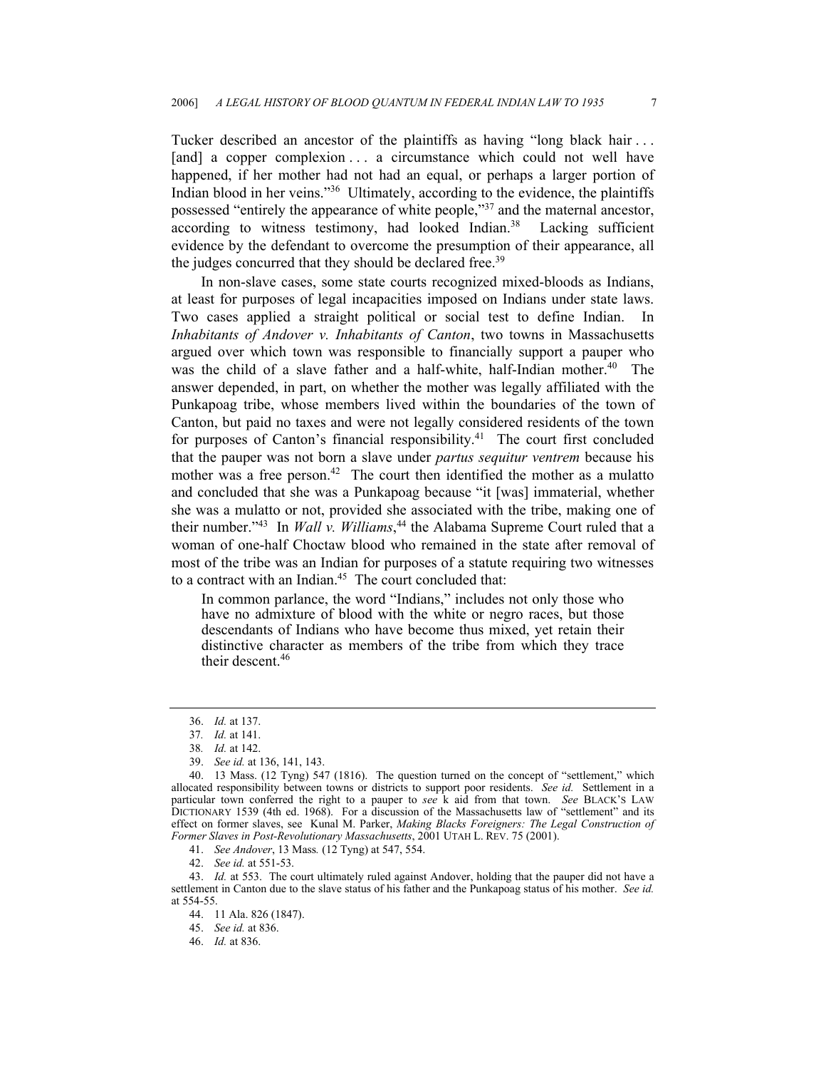Tucker described an ancestor of the plaintiffs as having "long black hair . . . [and] a copper complexion . . . a circumstance which could not well have happened, if her mother had not had an equal, or perhaps a larger portion of Indian blood in her veins.["36](#page-6-0) Ultimately, according to the evidence, the plaintiffs possessed "entirely the appearance of white people,"[37](#page-6-1) and the maternal ancestor, according to witness testimony, had looked Indian.<sup>38</sup> Lacking sufficient evidence by the defendant to overcome the presumption of their appearance, all the judges concurred that they should be declared free.<sup>[39](#page-6-3)</sup>

In non-slave cases, some state courts recognized mixed-bloods as Indians, at least for purposes of legal incapacities imposed on Indians under state laws. Two cases applied a straight political or social test to define Indian. In *Inhabitants of Andover v. Inhabitants of Canton*, two towns in Massachusetts argued over which town was responsible to financially support a pauper who was the child of a slave father and a half-white, half-Indian mother.<sup>40</sup> The answer depended, in part, on whether the mother was legally affiliated with the Punkapoag tribe, whose members lived within the boundaries of the town of Canton, but paid no taxes and were not legally considered residents of the town for purposes of Canton's financial responsibility.<sup>41</sup> The court first concluded that the pauper was not born a slave under *partus sequitur ventrem* because his mother was a free person.<sup>42</sup> The court then identified the mother as a mulatto and concluded that she was a Punkapoag because "it [was] immaterial, whether she was a mulatto or not, provided she associated with the tribe, making one of their number."[43](#page-6-7) In *Wall v. Williams*, [44](#page-6-8) the Alabama Supreme Court ruled that a woman of one-half Choctaw blood who remained in the state after removal of most of the tribe was an Indian for purposes of a statute requiring two witnesses to a contract with an Indian.<sup>45</sup> The court concluded that:

In common parlance, the word "Indians," includes not only those who have no admixture of blood with the white or negro races, but those descendants of Indians who have become thus mixed, yet retain their distinctive character as members of the tribe from which they trace their descent.<sup>[46](#page-6-10)</sup>

<span id="page-6-5"></span>41. *See Andover*, 13 Mass*.* (12 Tyng) at 547, 554.

<span id="page-6-7"></span><span id="page-6-6"></span>42. *See id.* at 551-53.

<span id="page-6-8"></span>44. 11 Ala. 826 (1847).

<span id="page-6-9"></span>45. *See id.* at 836.

<span id="page-6-10"></span>46. *Id.* at 836.

<span id="page-6-0"></span><sup>36.</sup> *Id.* at 137.

<span id="page-6-1"></span><sup>37</sup>*. Id.* at 141.

<span id="page-6-2"></span><sup>38</sup>*. Id.* at 142.

<span id="page-6-4"></span><span id="page-6-3"></span><sup>39.</sup> *See id.* at 136, 141, 143.

<sup>40. 13</sup> Mass. (12 Tyng) 547 (1816). The question turned on the concept of "settlement," which allocated responsibility between towns or districts to support poor residents. *See id.* Settlement in a particular town conferred the right to a pauper to *see* k aid from that town. *See* BLACK'S LAW DICTIONARY 1539 (4th ed. 1968). For a discussion of the Massachusetts law of "settlement" and its effect on former slaves, see Kunal M. Parker, *Making Blacks Foreigners: The Legal Construction of Former Slaves in Post-Revolutionary Massachusetts*, 2001 UTAH L. REV. 75 (2001).

<sup>43.</sup> *Id.* at 553. The court ultimately ruled against Andover, holding that the pauper did not have a settlement in Canton due to the slave status of his father and the Punkapoag status of his mother. *See id.*  at 554-55.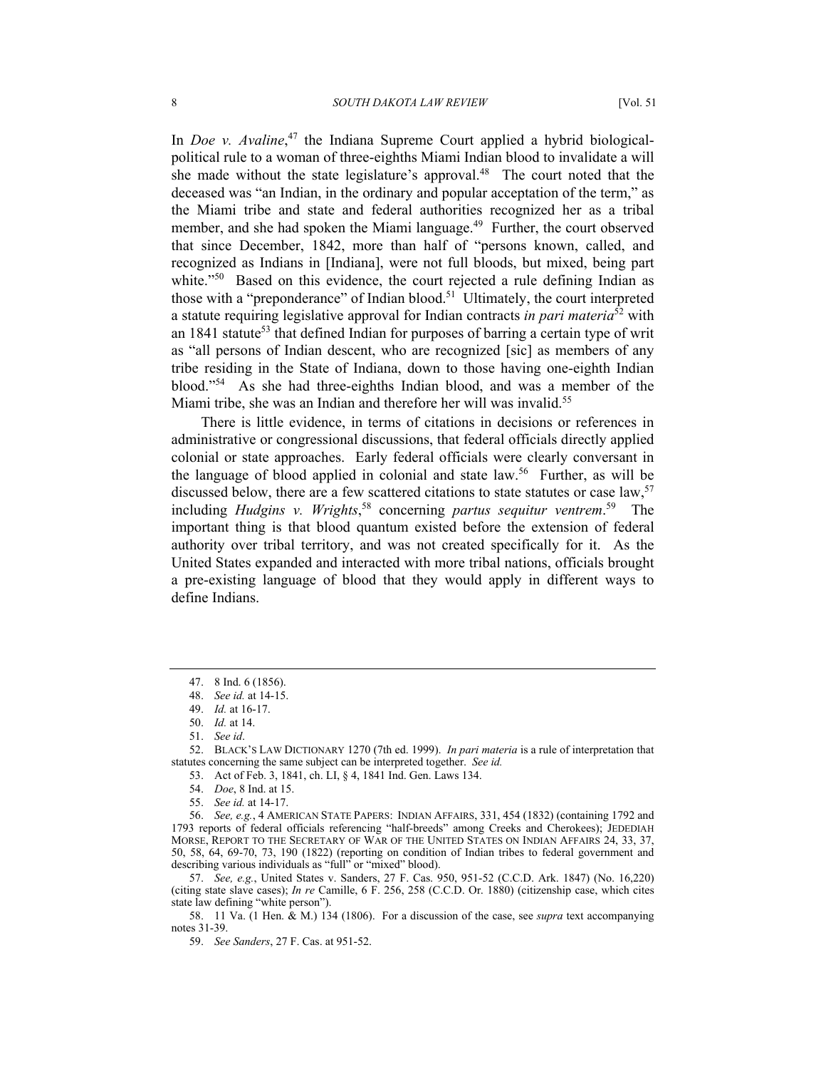In *Doe v. Avaline*,<sup>47</sup> the Indiana Supreme Court applied a hybrid biologicalpolitical rule to a woman of three-eighths Miami Indian blood to invalidate a will she made without the state legislature's approval. $48$  The court noted that the deceased was "an Indian, in the ordinary and popular acceptation of the term," as the Miami tribe and state and federal authorities recognized her as a tribal member, and she had spoken the Miami language.<sup>49</sup> Further, the court observed that since December, 1842, more than half of "persons known, called, and recognized as Indians in [Indiana], were not full bloods, but mixed, being part white."<sup>50</sup> Based on this evidence, the court rejected a rule defining Indian as those with a "preponderance" of Indian blood.[51](#page-7-4) Ultimately, the court interpreted a statute requiring legislative approval for Indian contracts *in pari materia*[52](#page-7-5) with an  $1841$  statute<sup>53</sup> that defined Indian for purposes of barring a certain type of writ as "all persons of Indian descent, who are recognized [sic] as members of any tribe residing in the State of Indiana, down to those having one-eighth Indian blood."[54](#page-7-7) As she had three-eighths Indian blood, and was a member of the Miami tribe, she was an Indian and therefore her will was invalid.<sup>[55](#page-7-8)</sup>

There is little evidence, in terms of citations in decisions or references in administrative or congressional discussions, that federal officials directly applied colonial or state approaches. Early federal officials were clearly conversant in the language of blood applied in colonial and state law.[56](#page-7-9) Further, as will be discussed below, there are a few scattered citations to state statutes or case law,<sup>[57](#page-7-10)</sup> including *Hudgins v. Wrights*, [58](#page-7-11) concerning *partus sequitur ventrem*. [59](#page-7-12) The important thing is that blood quantum existed before the extension of federal authority over tribal territory, and was not created specifically for it. As the United States expanded and interacted with more tribal nations, officials brought a pre-existing language of blood that they would apply in different ways to define Indians.

52. BLACK'S LAW DICTIONARY 1270 (7th ed. 1999). *In pari materia* is a rule of interpretation that statutes concerning the same subject can be interpreted together. *See id.*

<span id="page-7-6"></span>53. Act of Feb. 3, 1841, ch. LI, § 4, 1841 Ind. Gen. Laws 134.

<span id="page-7-7"></span>54. *Doe*, 8 Ind. at 15.

56. *See, e.g.*, 4 AMERICAN STATE PAPERS: INDIAN AFFAIRS, 331, 454 (1832) (containing 1792 and 1793 reports of federal officials referencing "half-breeds" among Creeks and Cherokees); JEDEDIAH MORSE, REPORT TO THE SECRETARY OF WAR OF THE UNITED STATES ON INDIAN AFFAIRS 24, 33, 37, 50, 58, 64, 69-70, 73, 190 (1822) (reporting on condition of Indian tribes to federal government and describing various individuals as "full" or "mixed" blood).

<span id="page-7-10"></span>57. *See, e.g.*, United States v. Sanders, 27 F. Cas. 950, 951-52 (C.C.D. Ark. 1847) (No. 16,220) (citing state slave cases); *In re* Camille, 6 F. 256, 258 (C.C.D. Or. 1880) (citizenship case, which cites state law defining "white person").

<span id="page-7-11"></span>58. 11 Va. (1 Hen. & M.) 134 (1806). For a discussion of the case, see *supra* text accompanying notes 31-39.

<span id="page-7-12"></span>59. *See Sanders*, 27 F. Cas. at 951-52.

<span id="page-7-0"></span><sup>47. 8</sup> Ind. 6 (1856).

<span id="page-7-1"></span><sup>48.</sup> *See id.* at 14-15.

<span id="page-7-2"></span><sup>49.</sup> *Id.* at 16-17.

<span id="page-7-3"></span><sup>50.</sup> *Id.* at 14.

<span id="page-7-5"></span><span id="page-7-4"></span><sup>51.</sup> *See id*.

<span id="page-7-9"></span><span id="page-7-8"></span><sup>55.</sup> *See id.* at 14-17.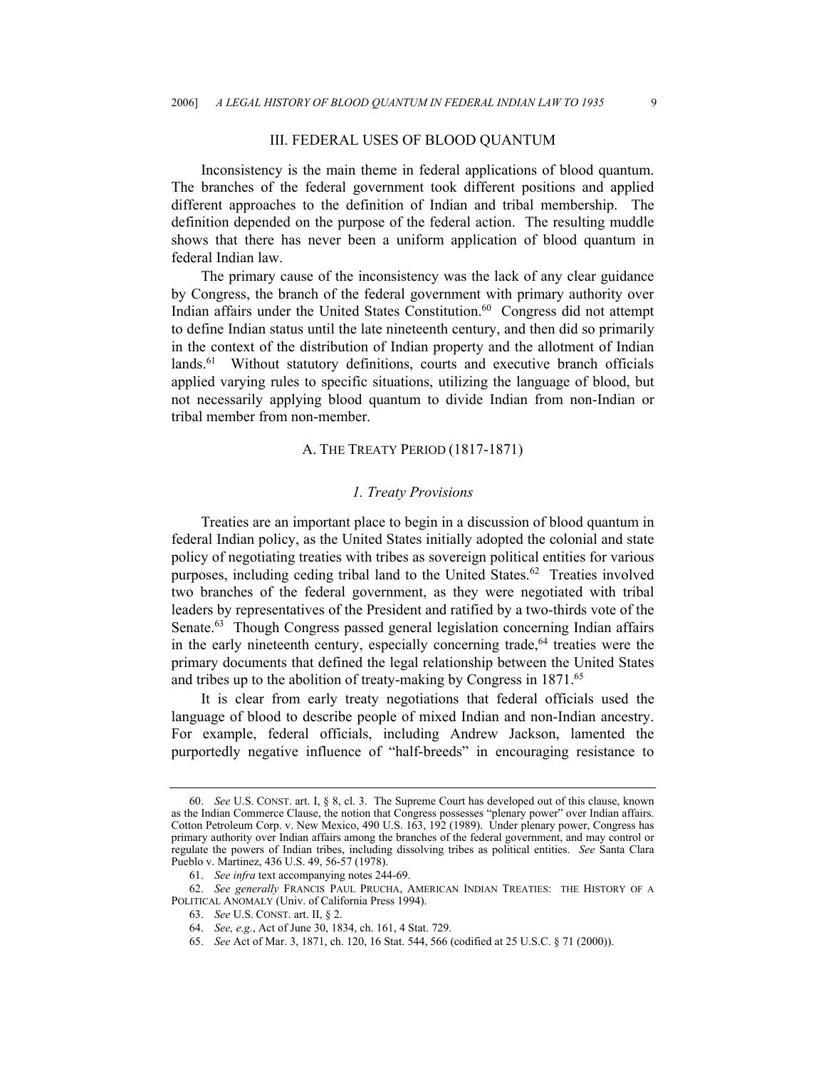### III. FEDERAL USES OF BLOOD QUANTUM

Inconsistency is the main theme in federal applications of blood quantum. The branches of the federal government took different positions and applied different approaches to the definition of Indian and tribal membership. The definition depended on the purpose of the federal action. The resulting muddle shows that there has never been a uniform application of blood quantum in federal Indian law.

The primary cause of the inconsistency was the lack of any clear guidance by Congress, the branch of the federal government with primary authority over Indian affairs under the United States Constitution.<sup>60</sup> Congress did not attempt to define Indian status until the late nineteenth century, and then did so primarily in the context of the distribution of Indian property and the allotment of Indian lands.<sup>61</sup> Without statutory definitions, courts and executive branch officials applied varying rules to specific situations, utilizing the language of blood, but not necessarily applying blood quantum to divide Indian from non-Indian or tribal member from non-member.

# A. THE TREATY PERIOD (1817-1871)

### *1. Treaty Provisions*

Treaties are an important place to begin in a discussion of blood quantum in federal Indian policy, as the United States initially adopted the colonial and state policy of negotiating treaties with tribes as sovereign political entities for various purposes, including ceding tribal land to the United States.<sup>62</sup> Treaties involved two branches of the federal government, as they were negotiated with tribal leaders by representatives of the President and ratified by a two-thirds vote of the Senate.<sup>63</sup> Though Congress passed general legislation concerning Indian affairs in the early nineteenth century, especially concerning trade, $64$  treaties were the primary documents that defined the legal relationship between the United States and tribes up to the abolition of treaty-making by Congress in 1871.<sup>[65](#page-8-5)</sup>

It is clear from early treaty negotiations that federal officials used the language of blood to describe people of mixed Indian and non-Indian ancestry. For example, federal officials, including Andrew Jackson, lamented the purportedly negative influence of "half-breeds" in encouraging resistance to

<span id="page-8-0"></span><sup>60.</sup> *See* U.S. CONST. art. I, § 8, cl. 3. The Supreme Court has developed out of this clause, known as the Indian Commerce Clause, the notion that Congress possesses "plenary power" over Indian affairs. Cotton Petroleum Corp. v. New Mexico, 490 U.S. 163, 192 (1989). Under plenary power, Congress has primary authority over Indian affairs among the branches of the federal government, and may control or regulate the powers of Indian tribes, including dissolving tribes as political entities. *See* Santa Clara Pueblo v. Martinez, 436 U.S. 49, 56-57 (1978).

<span id="page-8-2"></span><span id="page-8-1"></span><sup>61.</sup> *See infra* text accompanying notes 244-69.

<sup>62.</sup> *See generally* FRANCIS PAUL PRUCHA, AMERICAN INDIAN TREATIES: THE HISTORY OF A POLITICAL ANOMALY (Univ. of California Press 1994).

<span id="page-8-3"></span><sup>63.</sup> *See* U.S. CONST. art. II, § 2.

<span id="page-8-4"></span><sup>64.</sup> *See, e.g.*, Act of June 30, 1834, ch. 161, 4 Stat. 729.

<span id="page-8-5"></span><sup>65.</sup> *See* Act of Mar. 3, 1871, ch. 120, 16 Stat. 544, 566 (codified at 25 U.S.C. § 71 (2000)).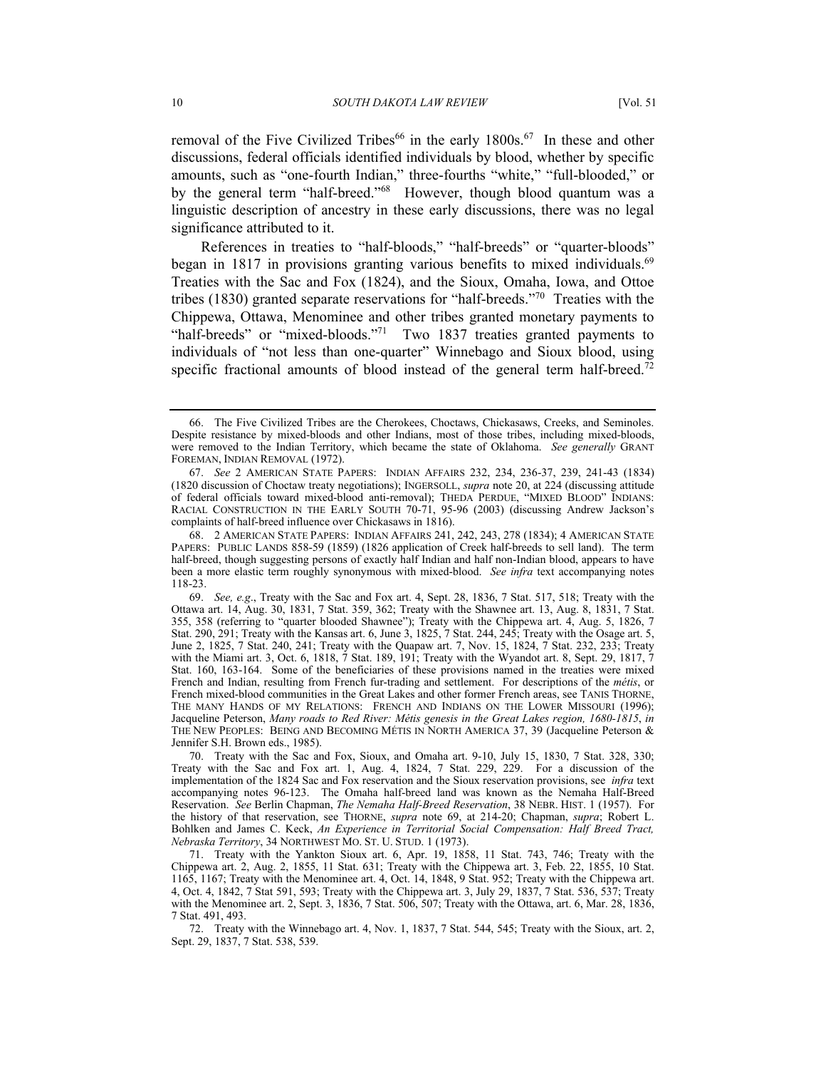removal of the Five Civilized Tribes<sup>66</sup> in the early 1800s.<sup>67</sup> In these and other discussions, federal officials identified individuals by blood, whether by specific amounts, such as "one-fourth Indian," three-fourths "white," "full-blooded," or by the general term "half-breed."<sup>68</sup> However, though blood quantum was a linguistic description of ancestry in these early discussions, there was no legal significance attributed to it.

References in treaties to "half-bloods," "half-breeds" or "quarter-bloods" began in 1817 in provisions granting various benefits to mixed individuals.<sup>69</sup> Treaties with the Sac and Fox (1824), and the Sioux, Omaha, Iowa, and Ottoe tribes (1830) granted separate reservations for "half-breeds."[70](#page-9-4) Treaties with the Chippewa, Ottawa, Menominee and other tribes granted monetary payments to "half-breeds" or "mixed-bloods."<sup>71</sup> Two 1837 treaties granted payments to individuals of "not less than one-quarter" Winnebago and Sioux blood, using specific fractional amounts of blood instead of the general term half-breed.<sup>72</sup>

<span id="page-9-0"></span><sup>66.</sup> The Five Civilized Tribes are the Cherokees, Choctaws, Chickasaws, Creeks, and Seminoles. Despite resistance by mixed-bloods and other Indians, most of those tribes, including mixed-bloods, were removed to the Indian Territory, which became the state of Oklahoma. *See generally* GRANT FOREMAN, INDIAN REMOVAL (1972).

<span id="page-9-1"></span><sup>67.</sup> *See* 2 AMERICAN STATE PAPERS: INDIAN AFFAIRS 232, 234, 236-37, 239, 241-43 (1834) (1820 discussion of Choctaw treaty negotiations); INGERSOLL, *supra* note 20, at 224 (discussing attitude of federal officials toward mixed-blood anti-removal); THEDA PERDUE, "MIXED BLOOD" INDIANS: RACIAL CONSTRUCTION IN THE EARLY SOUTH 70-71, 95-96 (2003) (discussing Andrew Jackson's complaints of half-breed influence over Chickasaws in 1816).

<span id="page-9-2"></span><sup>68. 2</sup> AMERICAN STATE PAPERS: INDIAN AFFAIRS 241, 242, 243, 278 (1834); 4 AMERICAN STATE PAPERS: PUBLIC LANDS 858-59 (1859) (1826 application of Creek half-breeds to sell land). The term half-breed, though suggesting persons of exactly half Indian and half non-Indian blood, appears to have been a more elastic term roughly synonymous with mixed-blood. *See infra* text accompanying notes 118-23.

<span id="page-9-3"></span><sup>69.</sup> *See, e.g*., Treaty with the Sac and Fox art. 4, Sept. 28, 1836, 7 Stat. 517, 518; Treaty with the Ottawa art. 14, Aug. 30, 1831, 7 Stat. 359, 362; Treaty with the Shawnee art. 13, Aug. 8, 1831, 7 Stat. 355, 358 (referring to "quarter blooded Shawnee"); Treaty with the Chippewa art. 4, Aug. 5, 1826, 7 Stat. 290, 291; Treaty with the Kansas art. 6, June 3, 1825, 7 Stat. 244, 245; Treaty with the Osage art. 5, June 2, 1825, 7 Stat. 240, 241; Treaty with the Quapaw art. 7, Nov. 15, 1824, 7 Stat. 232, 233; Treaty with the Miami art. 3, Oct. 6, 1818, 7 Stat. 189, 191; Treaty with the Wyandot art. 8, Sept. 29, 1817, 7 Stat. 160, 163-164. Some of the beneficiaries of these provisions named in the treaties were mixed French and Indian, resulting from French fur-trading and settlement. For descriptions of the *métis*, or French mixed-blood communities in the Great Lakes and other former French areas, see TANIS THORNE, THE MANY HANDS OF MY RELATIONS: FRENCH AND INDIANS ON THE LOWER MISSOURI (1996); Jacqueline Peterson, *Many roads to Red River: Métis genesis in the Great Lakes region, 1680-1815*, *in* THE NEW PEOPLES: BEING AND BECOMING MÉTIS IN NORTH AMERICA 37, 39 (Jacqueline Peterson & Jennifer S.H. Brown eds., 1985).

<span id="page-9-4"></span><sup>70.</sup> Treaty with the Sac and Fox, Sioux, and Omaha art. 9-10, July 15, 1830, 7 Stat. 328, 330; Treaty with the Sac and Fox art. 1, Aug. 4, 1824, 7 Stat. 229, 229. For a discussion of the implementation of the 1824 Sac and Fox reservation and the Sioux reservation provisions, see *infra* text accompanying notes 96-123. The Omaha half-breed land was known as the Nemaha Half-Breed Reservation. *See* Berlin Chapman, *The Nemaha Half-Breed Reservation*, 38 NEBR. HIST. 1 (1957). For the history of that reservation, see THORNE, *supra* note 69, at 214-20; Chapman, *supra*; Robert L. Bohlken and James C. Keck, *An Experience in Territorial Social Compensation: Half Breed Tract, Nebraska Territory*, 34 NORTHWEST MO. ST. U. STUD. 1 (1973).

<span id="page-9-5"></span><sup>71.</sup> Treaty with the Yankton Sioux art. 6, Apr. 19, 1858, 11 Stat. 743, 746; Treaty with the Chippewa art. 2, Aug. 2, 1855, 11 Stat. 631; Treaty with the Chippewa art. 3, Feb. 22, 1855, 10 Stat. 1165, 1167; Treaty with the Menominee art. 4, Oct. 14, 1848, 9 Stat. 952; Treaty with the Chippewa art. 4, Oct. 4, 1842, 7 Stat 591, 593; Treaty with the Chippewa art. 3, July 29, 1837, 7 Stat. 536, 537; Treaty with the Menominee art. 2, Sept. 3, 1836, 7 Stat. 506, 507; Treaty with the Ottawa, art. 6, Mar. 28, 1836, 7 Stat. 491, 493.

<span id="page-9-6"></span><sup>72.</sup> Treaty with the Winnebago art. 4, Nov. 1, 1837, 7 Stat. 544, 545; Treaty with the Sioux, art. 2, Sept. 29, 1837, 7 Stat. 538, 539.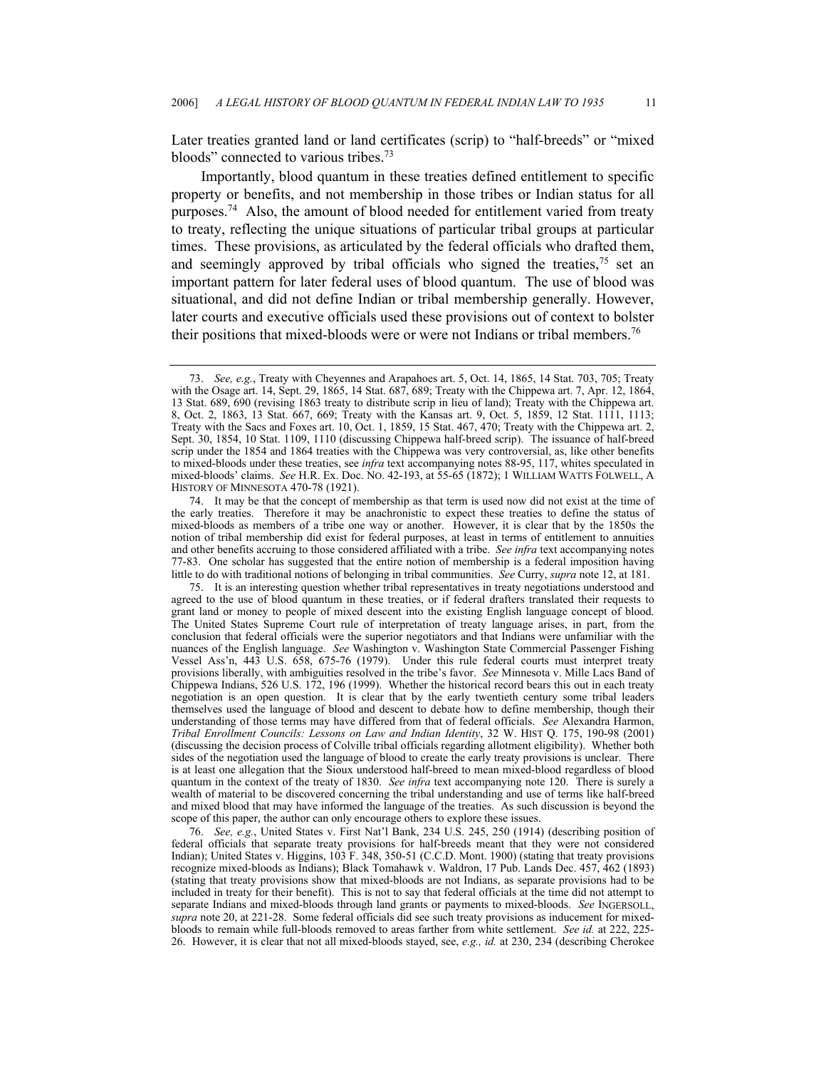Later treaties granted land or land certificates (scrip) to "half-breeds" or "mixed bloods" connected to various tribes.[73](#page-10-0)

Importantly, blood quantum in these treaties defined entitlement to specific property or benefits, and not membership in those tribes or Indian status for all purposes.[74](#page-10-1) Also, the amount of blood needed for entitlement varied from treaty to treaty, reflecting the unique situations of particular tribal groups at particular times. These provisions, as articulated by the federal officials who drafted them, and seemingly approved by tribal officials who signed the treaties,  $75$  set an important pattern for later federal uses of blood quantum. The use of blood was situational, and did not define Indian or tribal membership generally. However, later courts and executive officials used these provisions out of context to bolster their positions that mixed-bloods were or were not Indians or tribal members.[76](#page-10-3)

<span id="page-10-2"></span>75. It is an interesting question whether tribal representatives in treaty negotiations understood and agreed to the use of blood quantum in these treaties, or if federal drafters translated their requests to grant land or money to people of mixed descent into the existing English language concept of blood. The United States Supreme Court rule of interpretation of treaty language arises, in part, from the conclusion that federal officials were the superior negotiators and that Indians were unfamiliar with the nuances of the English language. *See* Washington v. Washington State Commercial Passenger Fishing Vessel Ass'n, 443 U.S. 658, 675-76 (1979). Under this rule federal courts must interpret treaty provisions liberally, with ambiguities resolved in the tribe's favor. *See* Minnesota v. Mille Lacs Band of Chippewa Indians, 526 U.S. 172, 196 (1999). Whether the historical record bears this out in each treaty negotiation is an open question. It is clear that by the early twentieth century some tribal leaders themselves used the language of blood and descent to debate how to define membership, though their understanding of those terms may have differed from that of federal officials. *See* Alexandra Harmon, *Tribal Enrollment Councils: Lessons on Law and Indian Identity*, 32 W. HIST Q. 175, 190-98 (2001) (discussing the decision process of Colville tribal officials regarding allotment eligibility). Whether both sides of the negotiation used the language of blood to create the early treaty provisions is unclear. There is at least one allegation that the Sioux understood half-breed to mean mixed-blood regardless of blood quantum in the context of the treaty of 1830. *See infra* text accompanying note 120. There is surely a wealth of material to be discovered concerning the tribal understanding and use of terms like half-breed and mixed blood that may have informed the language of the treaties. As such discussion is beyond the scope of this paper, the author can only encourage others to explore these issues.

<span id="page-10-3"></span>76. *See, e.g.*, United States v. First Nat'l Bank, 234 U.S. 245, 250 (1914) (describing position of federal officials that separate treaty provisions for half-breeds meant that they were not considered Indian); United States v. Higgins, 103 F. 348, 350-51 (C.C.D. Mont. 1900) (stating that treaty provisions recognize mixed-bloods as Indians); Black Tomahawk v. Waldron, 17 Pub. Lands Dec. 457, 462 (1893) (stating that treaty provisions show that mixed-bloods are not Indians, as separate provisions had to be included in treaty for their benefit). This is not to say that federal officials at the time did not attempt to separate Indians and mixed-bloods through land grants or payments to mixed-bloods. *See* INGERSOLL, *supra* note 20, at 221-28. Some federal officials did see such treaty provisions as inducement for mixedbloods to remain while full-bloods removed to areas farther from white settlement. *See id.* at 222, 225- 26. However, it is clear that not all mixed-bloods stayed, see, *e.g., id.* at 230, 234 (describing Cherokee

<span id="page-10-0"></span><sup>73.</sup> *See, e.g.*, Treaty with Cheyennes and Arapahoes art. 5, Oct. 14, 1865, 14 Stat. 703, 705; Treaty with the Osage art. 14, Sept. 29, 1865, 14 Stat. 687, 689; Treaty with the Chippewa art. 7, Apr. 12, 1864, 13 Stat. 689, 690 (revising 1863 treaty to distribute scrip in lieu of land); Treaty with the Chippewa art. 8, Oct. 2, 1863, 13 Stat. 667, 669; Treaty with the Kansas art. 9, Oct. 5, 1859, 12 Stat. 1111, 1113; Treaty with the Sacs and Foxes art. 10, Oct. 1, 1859, 15 Stat. 467, 470; Treaty with the Chippewa art. 2, Sept. 30, 1854, 10 Stat. 1109, 1110 (discussing Chippewa half-breed scrip). The issuance of half-breed scrip under the 1854 and 1864 treaties with the Chippewa was very controversial, as, like other benefits to mixed-bloods under these treaties, see *infra* text accompanying notes 88-95, 117, whites speculated in mixed-bloods' claims. *See* H.R. Ex. Doc. NO. 42-193, at 55-65 (1872); 1 WILLIAM WATTS FOLWELL, A HISTORY OF MINNESOTA 470-78 (1921).

<span id="page-10-1"></span><sup>74.</sup> It may be that the concept of membership as that term is used now did not exist at the time of the early treaties. Therefore it may be anachronistic to expect these treaties to define the status of mixed-bloods as members of a tribe one way or another. However, it is clear that by the 1850s the notion of tribal membership did exist for federal purposes, at least in terms of entitlement to annuities and other benefits accruing to those considered affiliated with a tribe. *See infra* text accompanying notes 77-83. One scholar has suggested that the entire notion of membership is a federal imposition having little to do with traditional notions of belonging in tribal communities. *See* Curry, *supra* note 12, at 181.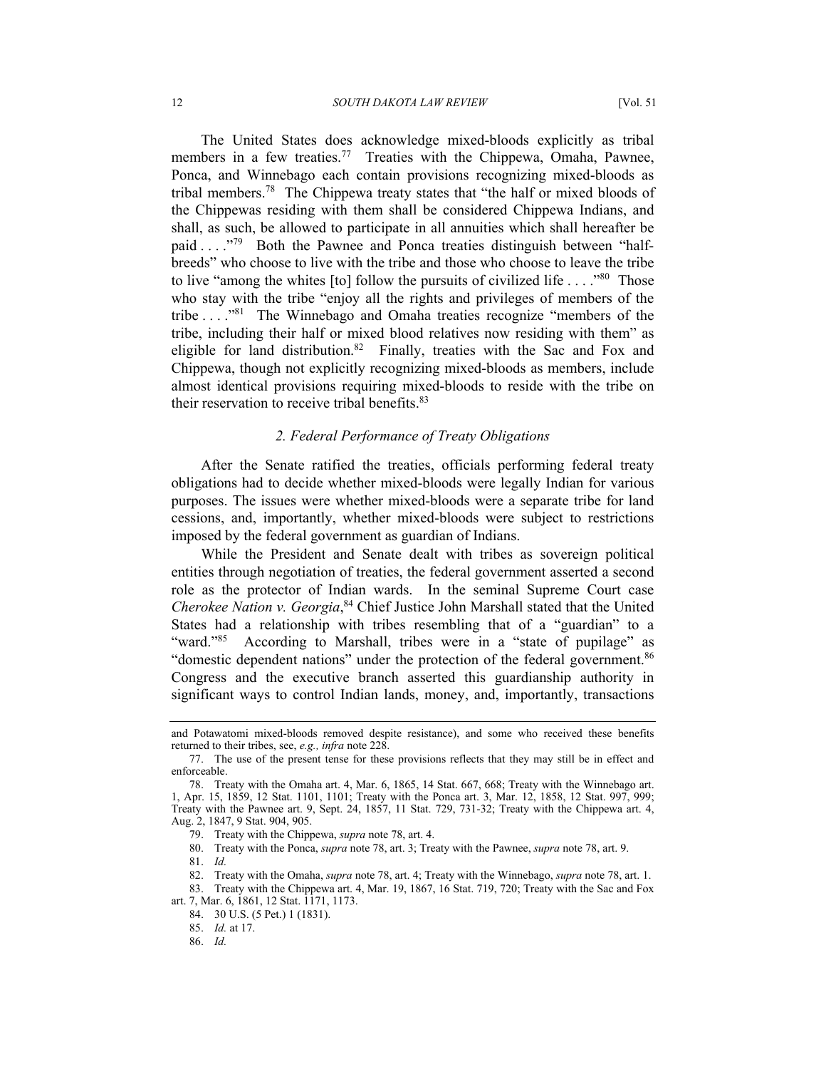The United States does acknowledge mixed-bloods explicitly as tribal members in a few treaties.<sup>77</sup> Treaties with the Chippewa, Omaha, Pawnee, Ponca, and Winnebago each contain provisions recognizing mixed-bloods as tribal members.[78](#page-11-1) The Chippewa treaty states that "the half or mixed bloods of the Chippewas residing with them shall be considered Chippewa Indians, and shall, as such, be allowed to participate in all annuities which shall hereafter be paid . . . ."[79](#page-11-2) Both the Pawnee and Ponca treaties distinguish between "halfbreeds" who choose to live with the tribe and those who choose to leave the tribe to live "among the whites [to] follow the pursuits of civilized life . . . .<sup>80</sup> Those who stay with the tribe "enjoy all the rights and privileges of members of the tribe . . . .["81](#page-11-4) The Winnebago and Omaha treaties recognize "members of the tribe, including their half or mixed blood relatives now residing with them" as eligible for land distribution.<sup>82</sup> Finally, treaties with the Sac and Fox and Chippewa, though not explicitly recognizing mixed-bloods as members, include almost identical provisions requiring mixed-bloods to reside with the tribe on their reservation to receive tribal benefits.<sup>[83](#page-11-6)</sup>

#### *2. Federal Performance of Treaty Obligations*

After the Senate ratified the treaties, officials performing federal treaty obligations had to decide whether mixed-bloods were legally Indian for various purposes. The issues were whether mixed-bloods were a separate tribe for land cessions, and, importantly, whether mixed-bloods were subject to restrictions imposed by the federal government as guardian of Indians.

While the President and Senate dealt with tribes as sovereign political entities through negotiation of treaties, the federal government asserted a second role as the protector of Indian wards. In the seminal Supreme Court case *Cherokee Nation v. Georgia*, [84](#page-11-7) Chief Justice John Marshall stated that the United States had a relationship with tribes resembling that of a "guardian" to a "ward."<sup>85</sup> According to Marshall, tribes were in a "state of pupilage" as "domestic dependent nations" under the protection of the federal government.<sup>86</sup> Congress and the executive branch asserted this guardianship authority in significant ways to control Indian lands, money, and, importantly, transactions

<span id="page-11-3"></span>80. Treaty with the Ponca, *supra* note 78, art. 3; Treaty with the Pawnee, *supra* note 78, art. 9.

<span id="page-11-4"></span>81. *Id.*

and Potawatomi mixed-bloods removed despite resistance), and some who received these benefits returned to their tribes, see, *e.g., infra* note 228.

<span id="page-11-0"></span><sup>77.</sup> The use of the present tense for these provisions reflects that they may still be in effect and enforceable.

<span id="page-11-1"></span><sup>78.</sup> Treaty with the Omaha art. 4, Mar. 6, 1865, 14 Stat. 667, 668; Treaty with the Winnebago art. 1, Apr. 15, 1859, 12 Stat. 1101, 1101; Treaty with the Ponca art. 3, Mar. 12, 1858, 12 Stat. 997, 999; Treaty with the Pawnee art. 9, Sept. 24, 1857, 11 Stat. 729, 731-32; Treaty with the Chippewa art. 4, Aug. 2, 1847, 9 Stat. 904, 905.

<span id="page-11-2"></span><sup>79.</sup> Treaty with the Chippewa, *supra* note 78, art. 4.

<span id="page-11-6"></span><span id="page-11-5"></span><sup>82.</sup> Treaty with the Omaha, *supra* note 78, art. 4; Treaty with the Winnebago, *supra* note 78, art. 1.

<sup>83.</sup> Treaty with the Chippewa art. 4, Mar. 19, 1867, 16 Stat. 719, 720; Treaty with the Sac and Fox art. 7, Mar. 6, 1861, 12 Stat. 1171, 1173.

<span id="page-11-7"></span><sup>84. 30</sup> U.S. (5 Pet.) 1 (1831).

<span id="page-11-8"></span><sup>85.</sup> *Id.* at 17.

<span id="page-11-9"></span><sup>86.</sup> *Id.*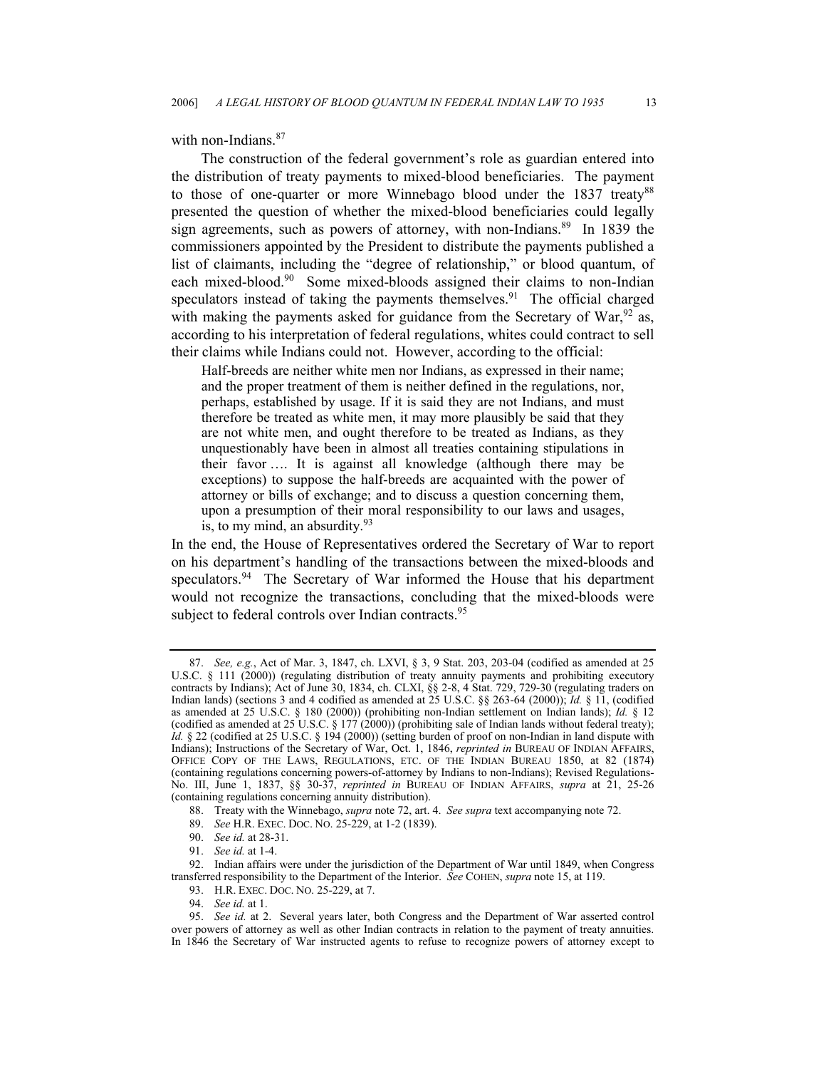with non-Indians.<sup>[87](#page-12-0)</sup>

The construction of the federal government's role as guardian entered into the distribution of treaty payments to mixed-blood beneficiaries. The payment to those of one-quarter or more Winnebago blood under the 1837 treaty<sup>[88](#page-12-1)</sup> presented the question of whether the mixed-blood beneficiaries could legally sign agreements, such as powers of attorney, with non-Indians.<sup>89</sup> In 1839 the commissioners appointed by the President to distribute the payments published a list of claimants, including the "degree of relationship," or blood quantum, of each mixed-blood.<sup>90</sup> Some mixed-bloods assigned their claims to non-Indian speculators instead of taking the payments themselves.<sup>91</sup> The official charged with making the payments asked for guidance from the Secretary of War,  $92$  as, according to his interpretation of federal regulations, whites could contract to sell their claims while Indians could not. However, according to the official:

Half-breeds are neither white men nor Indians, as expressed in their name; and the proper treatment of them is neither defined in the regulations, nor, perhaps, established by usage. If it is said they are not Indians, and must therefore be treated as white men, it may more plausibly be said that they are not white men, and ought therefore to be treated as Indians, as they unquestionably have been in almost all treaties containing stipulations in their favor …. It is against all knowledge (although there may be exceptions) to suppose the half-breeds are acquainted with the power of attorney or bills of exchange; and to discuss a question concerning them, upon a presumption of their moral responsibility to our laws and usages, is, to my mind, an absurdity.<sup>[93](#page-12-6)</sup>

In the end, the House of Representatives ordered the Secretary of War to report on his department's handling of the transactions between the mixed-bloods and speculators.<sup>94</sup> The Secretary of War informed the House that his department would not recognize the transactions, concluding that the mixed-bloods were subject to federal controls over Indian contracts.<sup>[95](#page-12-8)</sup>

<span id="page-12-0"></span><sup>87.</sup> *See, e.g.*, Act of Mar. 3, 1847, ch. LXVI, § 3, 9 Stat. 203, 203-04 (codified as amended at 25 U.S.C. § 111 (2000)) (regulating distribution of treaty annuity payments and prohibiting executory contracts by Indians); Act of June 30, 1834, ch. CLXI, §§ 2-8, 4 Stat. 729, 729-30 (regulating traders on Indian lands) (sections 3 and 4 codified as amended at 25 U.S.C. §§ 263-64 (2000)); *Id.* § 11, (codified as amended at 25 U.S.C. § 180 (2000)) (prohibiting non-Indian settlement on Indian lands); *Id.* § 12 (codified as amended at  $25^{\circ}$ U.S.C. § 177 (2000)) (prohibiting sale of Indian lands without federal treaty); *Id.* § 22 (codified at 25 U.S.C. § 194 (2000)) (setting burden of proof on non-Indian in land dispute with Indians); Instructions of the Secretary of War, Oct. 1, 1846, *reprinted in* BUREAU OF INDIAN AFFAIRS, OFFICE COPY OF THE LAWS, REGULATIONS, ETC. OF THE INDIAN BUREAU 1850, at 82 (1874) (containing regulations concerning powers-of-attorney by Indians to non-Indians); Revised Regulations-No. III, June 1, 1837, §§ 30-37, *reprinted in* BUREAU OF INDIAN AFFAIRS, *supra* at 21, 25-26 (containing regulations concerning annuity distribution).

<span id="page-12-1"></span><sup>88.</sup> Treaty with the Winnebago, *supra* note 72, art. 4. *See supra* text accompanying note 72.

<span id="page-12-2"></span><sup>89.</sup> *See* H.R. EXEC. DOC. NO. 25-229, at 1-2 (1839).

<span id="page-12-3"></span><sup>90.</sup> *See id.* at 28-31.

<span id="page-12-5"></span><span id="page-12-4"></span><sup>91.</sup> *See id.* at 1-4.

<sup>92.</sup> Indian affairs were under the jurisdiction of the Department of War until 1849, when Congress transferred responsibility to the Department of the Interior. *See* COHEN, *supra* note 15, at 119.

<span id="page-12-6"></span><sup>93.</sup> H.R. EXEC. DOC. NO. 25-229, at 7.

<span id="page-12-8"></span><span id="page-12-7"></span><sup>94.</sup> *See id.* at 1.

<sup>95.</sup> *See id.* at 2. Several years later, both Congress and the Department of War asserted control over powers of attorney as well as other Indian contracts in relation to the payment of treaty annuities. In 1846 the Secretary of War instructed agents to refuse to recognize powers of attorney except to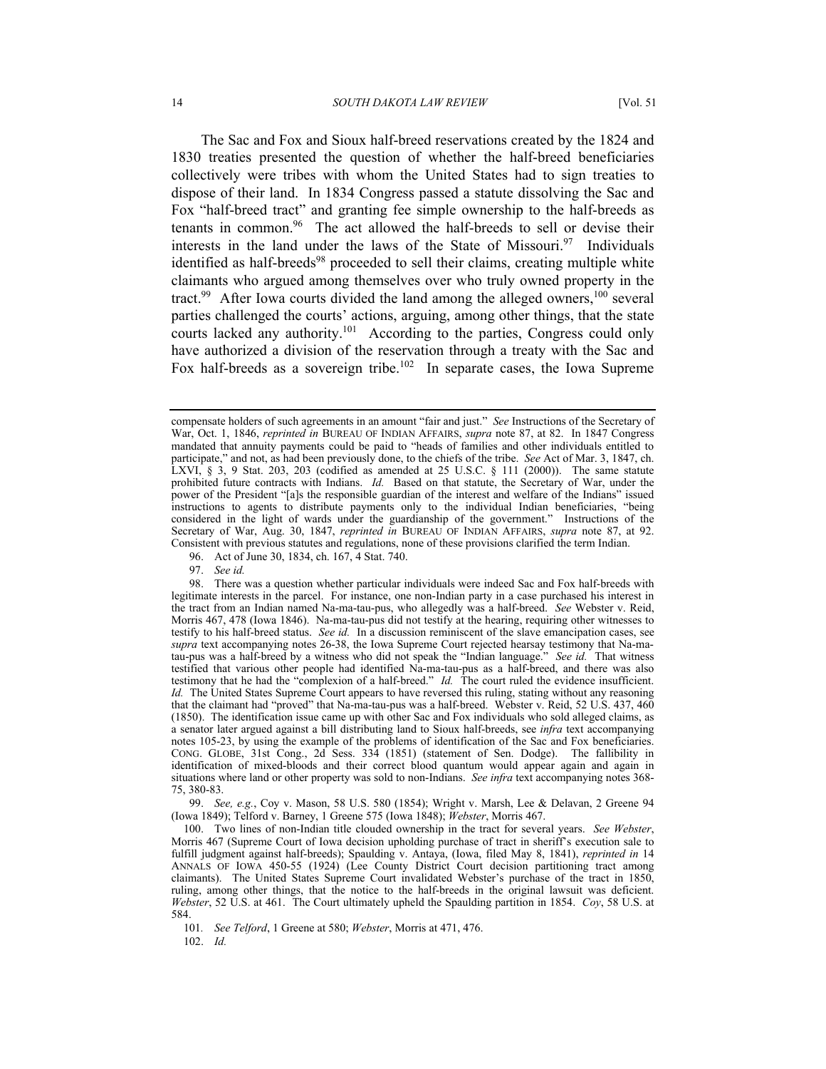The Sac and Fox and Sioux half-breed reservations created by the 1824 and 1830 treaties presented the question of whether the half-breed beneficiaries collectively were tribes with whom the United States had to sign treaties to dispose of their land. In 1834 Congress passed a statute dissolving the Sac and Fox "half-breed tract" and granting fee simple ownership to the half-breeds as tenants in common.<sup>96</sup> The act allowed the half-breeds to sell or devise their interests in the land under the laws of the State of Missouri.<sup>97</sup> Individuals identified as half-breeds<sup>98</sup> proceeded to sell their claims, creating multiple white claimants who argued among themselves over who truly owned property in the tract.<sup>99</sup> After Iowa courts divided the land among the alleged owners,<sup>100</sup> several parties challenged the courts' actions, arguing, among other things, that the state courts lacked any authority[.101](#page-13-5) According to the parties, Congress could only have authorized a division of the reservation through a treaty with the Sac and Fox half-breeds as a sovereign tribe.<sup>102</sup> In separate cases, the Iowa Supreme

<span id="page-13-0"></span>96. Act of June 30, 1834, ch. 167, 4 Stat. 740.

<span id="page-13-2"></span><span id="page-13-1"></span>97. *See id.*

<span id="page-13-3"></span>99. *See, e.g.*, Coy v. Mason, 58 U.S. 580 (1854); Wright v. Marsh, Lee & Delavan, 2 Greene 94 (Iowa 1849); Telford v. Barney, 1 Greene 575 (Iowa 1848); *Webster*, Morris 467.

<span id="page-13-5"></span>101*. See Telford*, 1 Greene at 580; *Webster*, Morris at 471, 476.

<span id="page-13-6"></span>102. *Id.*

compensate holders of such agreements in an amount "fair and just." *See* Instructions of the Secretary of War, Oct. 1, 1846, *reprinted in* BUREAU OF INDIAN AFFAIRS, *supra* note 87, at 82. In 1847 Congress mandated that annuity payments could be paid to "heads of families and other individuals entitled to participate," and not, as had been previously done, to the chiefs of the tribe. *See* Act of Mar. 3, 1847, ch. LXVI,  $\S$  3, 9 Stat. 203, 203 (codified as amended at 25 U.S.C.  $\S$  111 (2000)). The same statute prohibited future contracts with Indians. *Id.* Based on that statute, the Secretary of War, under the power of the President "[a]s the responsible guardian of the interest and welfare of the Indians" issued instructions to agents to distribute payments only to the individual Indian beneficiaries, "being considered in the light of wards under the guardianship of the government." Instructions of the Secretary of War, Aug. 30, 1847, *reprinted in* BUREAU OF INDIAN AFFAIRS, *supra* note 87, at 92. Consistent with previous statutes and regulations, none of these provisions clarified the term Indian.

<sup>98.</sup> There was a question whether particular individuals were indeed Sac and Fox half-breeds with legitimate interests in the parcel. For instance, one non-Indian party in a case purchased his interest in the tract from an Indian named Na-ma-tau-pus, who allegedly was a half-breed. *See* Webster v. Reid, Morris 467, 478 (Iowa 1846). Na-ma-tau-pus did not testify at the hearing, requiring other witnesses to testify to his half-breed status. *See id.* In a discussion reminiscent of the slave emancipation cases, see *supra* text accompanying notes 26-38, the Iowa Supreme Court rejected hearsay testimony that Na-matau-pus was a half-breed by a witness who did not speak the "Indian language." *See id.* That witness testified that various other people had identified Na-ma-tau-pus as a half-breed, and there was also testimony that he had the "complexion of a half-breed." *Id.* The court ruled the evidence insufficient. *Id.* The United States Supreme Court appears to have reversed this ruling, stating without any reasoning that the claimant had "proved" that Na-ma-tau-pus was a half-breed. Webster v. Reid, 52 U.S. 437, 460 (1850). The identification issue came up with other Sac and Fox individuals who sold alleged claims, as a senator later argued against a bill distributing land to Sioux half-breeds, see *infra* text accompanying notes 105-23, by using the example of the problems of identification of the Sac and Fox beneficiaries. CONG. GLOBE, 31st Cong., 2d Sess. 334 (1851) (statement of Sen. Dodge). The fallibility in identification of mixed-bloods and their correct blood quantum would appear again and again in situations where land or other property was sold to non-Indians. *See infra* text accompanying notes 368- 75, 380-83.

<span id="page-13-4"></span><sup>100.</sup> Two lines of non-Indian title clouded ownership in the tract for several years. *See Webster*, Morris 467 (Supreme Court of Iowa decision upholding purchase of tract in sheriff's execution sale to fulfill judgment against half-breeds); Spaulding v. Antaya, (Iowa, filed May 8, 1841), *reprinted in* 14 ANNALS OF IOWA 450-55 (1924) (Lee County District Court decision partitioning tract among claimants). The United States Supreme Court invalidated Webster's purchase of the tract in 1850, ruling, among other things, that the notice to the half-breeds in the original lawsuit was deficient. *Webster*, 52 U.S. at 461. The Court ultimately upheld the Spaulding partition in 1854. *Coy*, 58 U.S. at 584.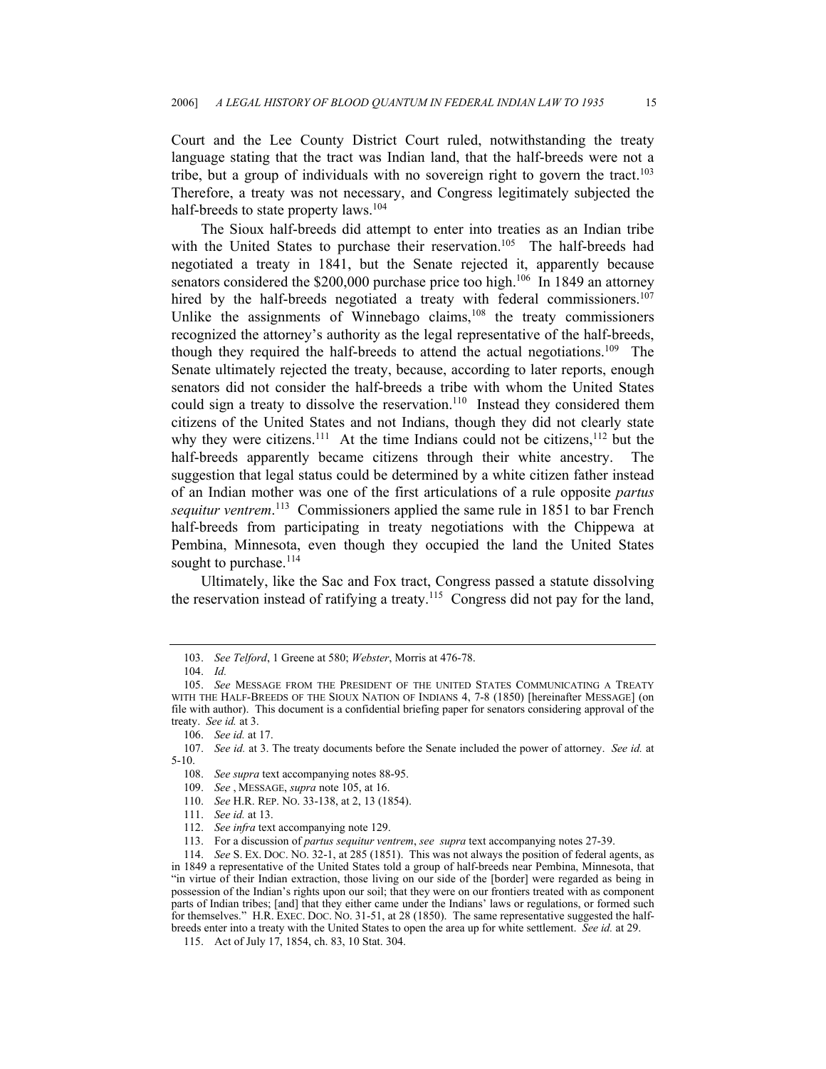Court and the Lee County District Court ruled, notwithstanding the treaty language stating that the tract was Indian land, that the half-breeds were not a tribe, but a group of individuals with no sovereign right to govern the tract.<sup>103</sup> Therefore, a treaty was not necessary, and Congress legitimately subjected the half-breeds to state property laws.<sup>[104](#page-14-1)</sup>

The Sioux half-breeds did attempt to enter into treaties as an Indian tribe with the United States to purchase their reservation.<sup>105</sup> The half-breeds had negotiated a treaty in 1841, but the Senate rejected it, apparently because senators considered the \$200,000 purchase price too high.<sup>106</sup> In 1849 an attorney hired by the half-breeds negotiated a treaty with federal commissioners.<sup>107</sup> Unlike the assignments of Winnebago claims, $108$  the treaty commissioners recognized the attorney's authority as the legal representative of the half-breeds, though they required the half-breeds to attend the actual negotiations.<sup>109</sup> The Senate ultimately rejected the treaty, because, according to later reports, enough senators did not consider the half-breeds a tribe with whom the United States could sign a treaty to dissolve the reservation.<sup>110</sup> Instead they considered them citizens of the United States and not Indians, though they did not clearly state why they were citizens.<sup>111</sup> At the time Indians could not be citizens,<sup>112</sup> but the half-breeds apparently became citizens through their white ancestry. The suggestion that legal status could be determined by a white citizen father instead of an Indian mother was one of the first articulations of a rule opposite *partus sequitur ventrem*. [113](#page-14-10) Commissioners applied the same rule in 1851 to bar French half-breeds from participating in treaty negotiations with the Chippewa at Pembina, Minnesota, even though they occupied the land the United States sought to purchase.<sup>114</sup>

Ultimately, like the Sac and Fox tract, Congress passed a statute dissolving the reservation instead of ratifying a treaty[.115](#page-14-12) Congress did not pay for the land,

- <span id="page-14-6"></span>109. *See* , MESSAGE, *supra* note 105, at 16.
- <span id="page-14-7"></span>110. *See* H.R. REP. NO. 33-138, at 2, 13 (1854).
- <span id="page-14-8"></span>111. *See id.* at 13.

<span id="page-14-0"></span><sup>103.</sup> *See Telford*, 1 Greene at 580; *Webster*, Morris at 476-78.

<span id="page-14-1"></span><sup>104.</sup> *Id.*

<span id="page-14-2"></span><sup>105.</sup> *See* MESSAGE FROM THE PRESIDENT OF THE UNITED STATES COMMUNICATING A TREATY WITH THE HALF-BREEDS OF THE SIOUX NATION OF INDIANS 4, 7-8 (1850) [hereinafter MESSAGE] (on file with author). This document is a confidential briefing paper for senators considering approval of the treaty. *See id.* at 3.

<span id="page-14-4"></span><span id="page-14-3"></span><sup>106.</sup> *See id.* at 17.

<sup>107.</sup> *See id.* at 3. The treaty documents before the Senate included the power of attorney. *See id.* at 5-10.

<span id="page-14-5"></span><sup>108.</sup> *See supra* text accompanying notes 88-95.

<span id="page-14-9"></span><sup>112.</sup> *See infra* text accompanying note 129.

<span id="page-14-11"></span><span id="page-14-10"></span><sup>113.</sup> For a discussion of *partus sequitur ventrem*, *see supra* text accompanying notes 27-39.

<sup>114.</sup> *See* S. EX. DOC. NO. 32-1, at 285 (1851). This was not always the position of federal agents, as in 1849 a representative of the United States told a group of half-breeds near Pembina, Minnesota, that "in virtue of their Indian extraction, those living on our side of the [border] were regarded as being in possession of the Indian's rights upon our soil; that they were on our frontiers treated with as component parts of Indian tribes; [and] that they either came under the Indians' laws or regulations, or formed such for themselves." H.R. EXEC. DOC. NO. 31-51, at 28 (1850). The same representative suggested the halfbreeds enter into a treaty with the United States to open the area up for white settlement. *See id.* at 29.

<span id="page-14-12"></span><sup>115.</sup> Act of July 17, 1854, ch. 83, 10 Stat. 304.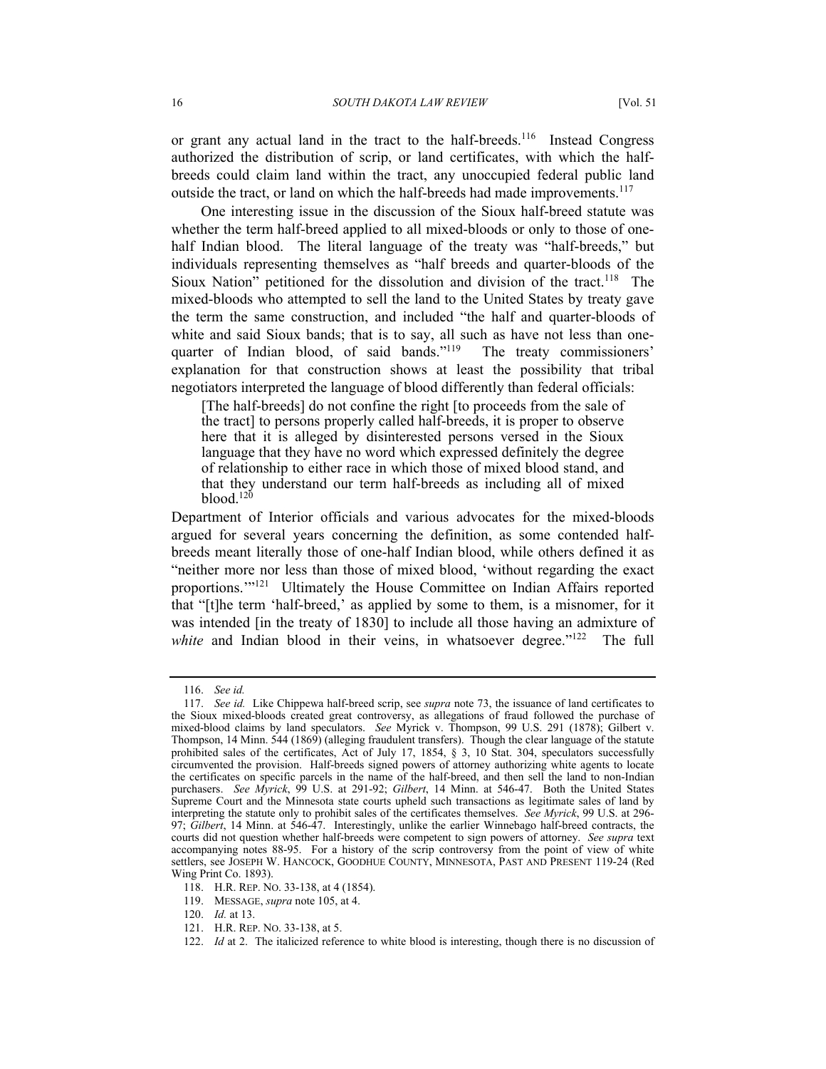or grant any actual land in the tract to the half-breeds.<sup>116</sup> Instead Congress authorized the distribution of scrip, or land certificates, with which the halfbreeds could claim land within the tract, any unoccupied federal public land outside the tract, or land on which the half-breeds had made improvements.<sup>117</sup>

One interesting issue in the discussion of the Sioux half-breed statute was whether the term half-breed applied to all mixed-bloods or only to those of onehalf Indian blood. The literal language of the treaty was "half-breeds," but individuals representing themselves as "half breeds and quarter-bloods of the Sioux Nation" petitioned for the dissolution and division of the tract.<sup>118</sup> The mixed-bloods who attempted to sell the land to the United States by treaty gave the term the same construction, and included "the half and quarter-bloods of white and said Sioux bands; that is to say, all such as have not less than onequarter of Indian blood, of said bands."<sup>119</sup> The treaty commissioners' explanation for that construction shows at least the possibility that tribal negotiators interpreted the language of blood differently than federal officials:

[The half-breeds] do not confine the right [to proceeds from the sale of the tract] to persons properly called half-breeds, it is proper to observe here that it is alleged by disinterested persons versed in the Sioux language that they have no word which expressed definitely the degree of relationship to either race in which those of mixed blood stand, and that they understand our term half-breeds as including all of mixed  $blood.<sup>120</sup>$  $blood.<sup>120</sup>$  $blood.<sup>120</sup>$ 

Department of Interior officials and various advocates for the mixed-bloods argued for several years concerning the definition, as some contended halfbreeds meant literally those of one-half Indian blood, while others defined it as "neither more nor less than those of mixed blood, 'without regarding the exact proportions.'["121](#page-15-5) Ultimately the House Committee on Indian Affairs reported that "[t]he term 'half-breed,' as applied by some to them, is a misnomer, for it was intended [in the treaty of 1830] to include all those having an admixture of white and Indian blood in their veins, in whatsoever degree."<sup>122</sup> The full

<span id="page-15-1"></span><span id="page-15-0"></span><sup>116.</sup> *See id.*

<sup>117.</sup> *See id.* Like Chippewa half-breed scrip, see *supra* note 73, the issuance of land certificates to the Sioux mixed-bloods created great controversy, as allegations of fraud followed the purchase of mixed-blood claims by land speculators. *See* Myrick v. Thompson, 99 U.S. 291 (1878); Gilbert v. Thompson, 14 Minn. 544 (1869) (alleging fraudulent transfers).Though the clear language of the statute prohibited sales of the certificates, Act of July 17, 1854, § 3, 10 Stat. 304, speculators successfully circumvented the provision. Half-breeds signed powers of attorney authorizing white agents to locate the certificates on specific parcels in the name of the half-breed, and then sell the land to non-Indian purchasers. *See Myrick*, 99 U.S. at 291-92; *Gilbert*, 14 Minn. at 546-47. Both the United States Supreme Court and the Minnesota state courts upheld such transactions as legitimate sales of land by interpreting the statute only to prohibit sales of the certificates themselves. *See Myrick*, 99 U.S. at 296- 97; *Gilbert*, 14 Minn. at 546-47.Interestingly, unlike the earlier Winnebago half-breed contracts, the courts did not question whether half-breeds were competent to sign powers of attorney. *See supra* text accompanying notes 88-95. For a history of the scrip controversy from the point of view of white settlers, see JOSEPH W. HANCOCK, GOODHUE COUNTY, MINNESOTA, PAST AND PRESENT 119-24 (Red Wing Print Co. 1893).

<span id="page-15-2"></span><sup>118.</sup> H.R. REP. NO. 33-138, at 4 (1854).

<span id="page-15-3"></span><sup>119.</sup> MESSAGE, *supra* note 105, at 4.

<span id="page-15-4"></span><sup>120.</sup> *Id.* at 13.

<span id="page-15-5"></span><sup>121.</sup> H.R. REP. NO. 33-138, at 5.

<span id="page-15-6"></span><sup>122.</sup> *Id* at 2. The italicized reference to white blood is interesting, though there is no discussion of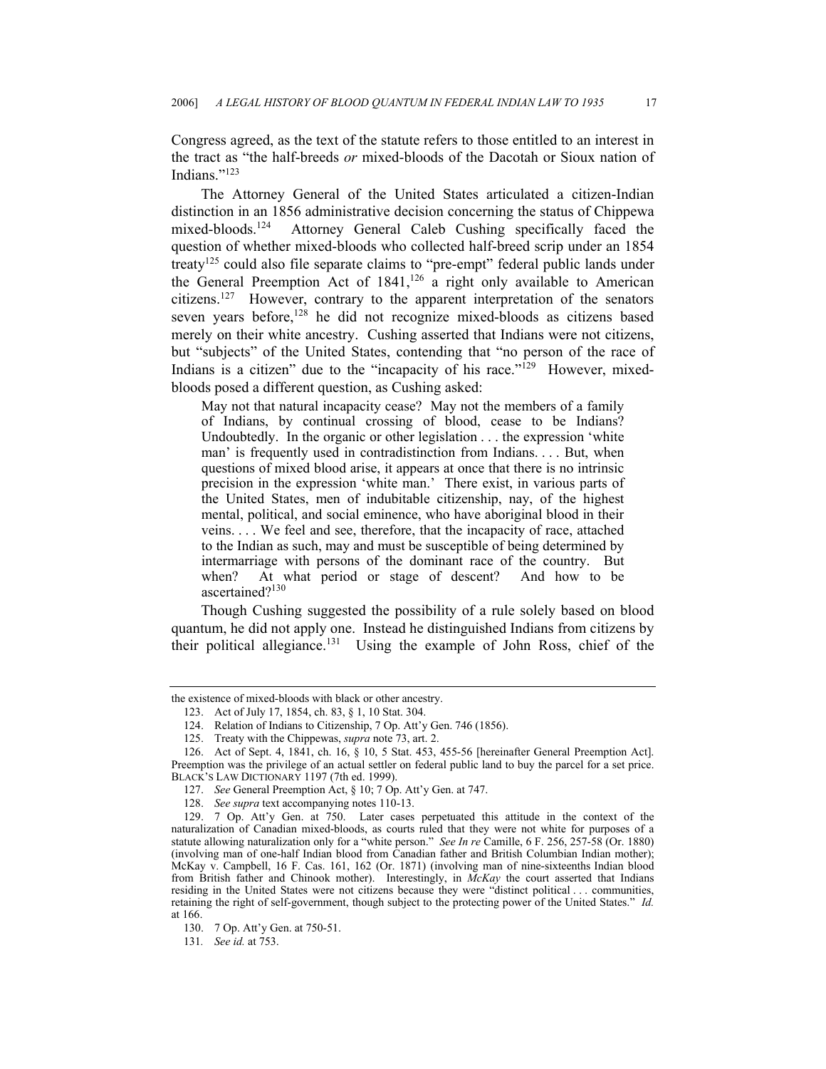Congress agreed, as the text of the statute refers to those entitled to an interest in the tract as "the half-breeds *or* mixed-bloods of the Dacotah or Sioux nation of Indians<sup>["123](#page-16-0)</sup>

The Attorney General of the United States articulated a citizen-Indian distinction in an 1856 administrative decision concerning the status of Chippewa mixed-bloods.<sup>124</sup> Attorney General Caleb Cushing specifically faced the question of whether mixed-bloods who collected half-breed scrip under an 1854 treat[y125](#page-16-2) could also file separate claims to "pre-empt" federal public lands under the General Preemption Act of 1841,<sup>126</sup> a right only available to American citizens.[127](#page-16-4) However, contrary to the apparent interpretation of the senators seven vears before,<sup>128</sup> he did not recognize mixed-bloods as citizens based merely on their white ancestry. Cushing asserted that Indians were not citizens, but "subjects" of the United States, contending that "no person of the race of Indians is a citizen" due to the "incapacity of his race."<sup>129</sup> However, mixedbloods posed a different question, as Cushing asked:

May not that natural incapacity cease? May not the members of a family of Indians, by continual crossing of blood, cease to be Indians? Undoubtedly. In the organic or other legislation . . . the expression 'white man' is frequently used in contradistinction from Indians. . . . But, when questions of mixed blood arise, it appears at once that there is no intrinsic precision in the expression 'white man.' There exist, in various parts of the United States, men of indubitable citizenship, nay, of the highest mental, political, and social eminence, who have aboriginal blood in their veins. . . . We feel and see, therefore, that the incapacity of race, attached to the Indian as such, may and must be susceptible of being determined by intermarriage with persons of the dominant race of the country. But when? At what period or stage of descent? And how to be ascertained?[130](#page-16-7)

Though Cushing suggested the possibility of a rule solely based on blood quantum, he did not apply one. Instead he distinguished Indians from citizens by their political allegiance.<sup>131</sup> Using the example of John Ross, chief of the

<span id="page-16-8"></span>131*. See id.* at 753.

the existence of mixed-bloods with black or other ancestry.

<span id="page-16-0"></span><sup>123.</sup> Act of July 17, 1854, ch. 83, § 1, 10 Stat. 304.

<span id="page-16-1"></span><sup>124.</sup> Relation of Indians to Citizenship, 7 Op. Att'y Gen. 746 (1856).

<span id="page-16-3"></span><span id="page-16-2"></span><sup>125.</sup> Treaty with the Chippewas, *supra* note 73, art. 2.

<sup>126.</sup> Act of Sept. 4, 1841, ch. 16, § 10, 5 Stat. 453, 455-56 [hereinafter General Preemption Act]. Preemption was the privilege of an actual settler on federal public land to buy the parcel for a set price. BLACK'S LAW DICTIONARY 1197 (7th ed. 1999).

<span id="page-16-4"></span><sup>127.</sup> *See* General Preemption Act, § 10; 7 Op. Att'y Gen. at 747.

<span id="page-16-6"></span><span id="page-16-5"></span><sup>128.</sup> *See supra* text accompanying notes 110-13.

<sup>129. 7</sup> Op. Att'y Gen. at 750. Later cases perpetuated this attitude in the context of the naturalization of Canadian mixed-bloods, as courts ruled that they were not white for purposes of a statute allowing naturalization only for a "white person." *See In re* Camille, 6 F. 256, 257-58 (Or. 1880) (involving man of one-half Indian blood from Canadian father and British Columbian Indian mother); McKay v. Campbell, 16 F. Cas. 161, 162 (Or. 1871) (involving man of nine-sixteenths Indian blood from British father and Chinook mother). Interestingly, in *McKay* the court asserted that Indians residing in the United States were not citizens because they were "distinct political . . . communities, retaining the right of self-government, though subject to the protecting power of the United States." *Id.* at 166.

<span id="page-16-7"></span><sup>130. 7</sup> Op. Att'y Gen. at 750-51.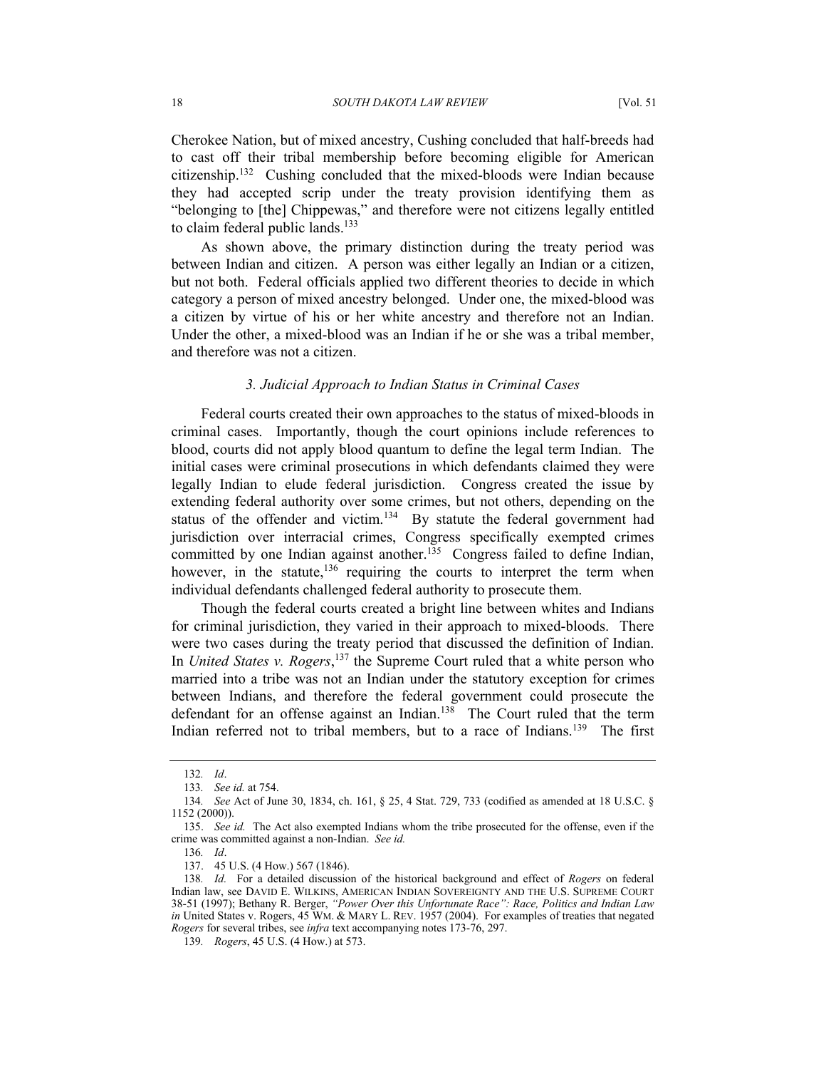Cherokee Nation, but of mixed ancestry, Cushing concluded that half-breeds had to cast off their tribal membership before becoming eligible for American citizenship.[132](#page-17-0) Cushing concluded that the mixed-bloods were Indian because they had accepted scrip under the treaty provision identifying them as "belonging to [the] Chippewas," and therefore were not citizens legally entitled to claim federal public lands.<sup>133</sup>

As shown above, the primary distinction during the treaty period was between Indian and citizen. A person was either legally an Indian or a citizen, but not both. Federal officials applied two different theories to decide in which category a person of mixed ancestry belonged. Under one, the mixed-blood was a citizen by virtue of his or her white ancestry and therefore not an Indian. Under the other, a mixed-blood was an Indian if he or she was a tribal member, and therefore was not a citizen.

### *3. Judicial Approach to Indian Status in Criminal Cases*

Federal courts created their own approaches to the status of mixed-bloods in criminal cases. Importantly, though the court opinions include references to blood, courts did not apply blood quantum to define the legal term Indian. The initial cases were criminal prosecutions in which defendants claimed they were legally Indian to elude federal jurisdiction. Congress created the issue by extending federal authority over some crimes, but not others, depending on the status of the offender and victim.<sup>134</sup> By statute the federal government had jurisdiction over interracial crimes, Congress specifically exempted crimes committed by one Indian against another.<sup>135</sup> Congress failed to define Indian, however, in the statute, $136$  requiring the courts to interpret the term when individual defendants challenged federal authority to prosecute them.

Though the federal courts created a bright line between whites and Indians for criminal jurisdiction, they varied in their approach to mixed-bloods. There were two cases during the treaty period that discussed the definition of Indian. In *United States v. Rogers*, [137](#page-17-5) the Supreme Court ruled that a white person who married into a tribe was not an Indian under the statutory exception for crimes between Indians, and therefore the federal government could prosecute the defendant for an offense against an Indian.<sup>138</sup> The Court ruled that the term Indian referred not to tribal members, but to a race of Indians.<sup>139</sup> The first

<span id="page-17-0"></span><sup>132</sup>*. Id*.

<span id="page-17-1"></span><sup>133</sup>*. See id.* at 754.

<span id="page-17-2"></span><sup>134</sup>*. See* Act of June 30, 1834, ch. 161, § 25, 4 Stat. 729, 733 (codified as amended at 18 U.S.C. § 1152 (2000)).

<span id="page-17-3"></span><sup>135.</sup> *See id.* The Act also exempted Indians whom the tribe prosecuted for the offense, even if the crime was committed against a non-Indian. *See id.*

<span id="page-17-4"></span><sup>136</sup>*. Id*.

<span id="page-17-6"></span><span id="page-17-5"></span><sup>137. 45</sup> U.S. (4 How.) 567 (1846).

<sup>138</sup>*. Id.* For a detailed discussion of the historical background and effect of *Rogers* on federal Indian law, see DAVID E. WILKINS, AMERICAN INDIAN SOVEREIGNTY AND THE U.S. SUPREME COURT 38-51 (1997); Bethany R. Berger, *"Power Over this Unfortunate Race": Race, Politics and Indian Law in* United States v. Rogers, 45 WM. & MARY L. REV. 1957 (2004). For examples of treaties that negated *Rogers* for several tribes, see *infra* text accompanying notes 173-76, 297.

<span id="page-17-7"></span><sup>139</sup>*. Rogers*, 45 U.S. (4 How.) at 573.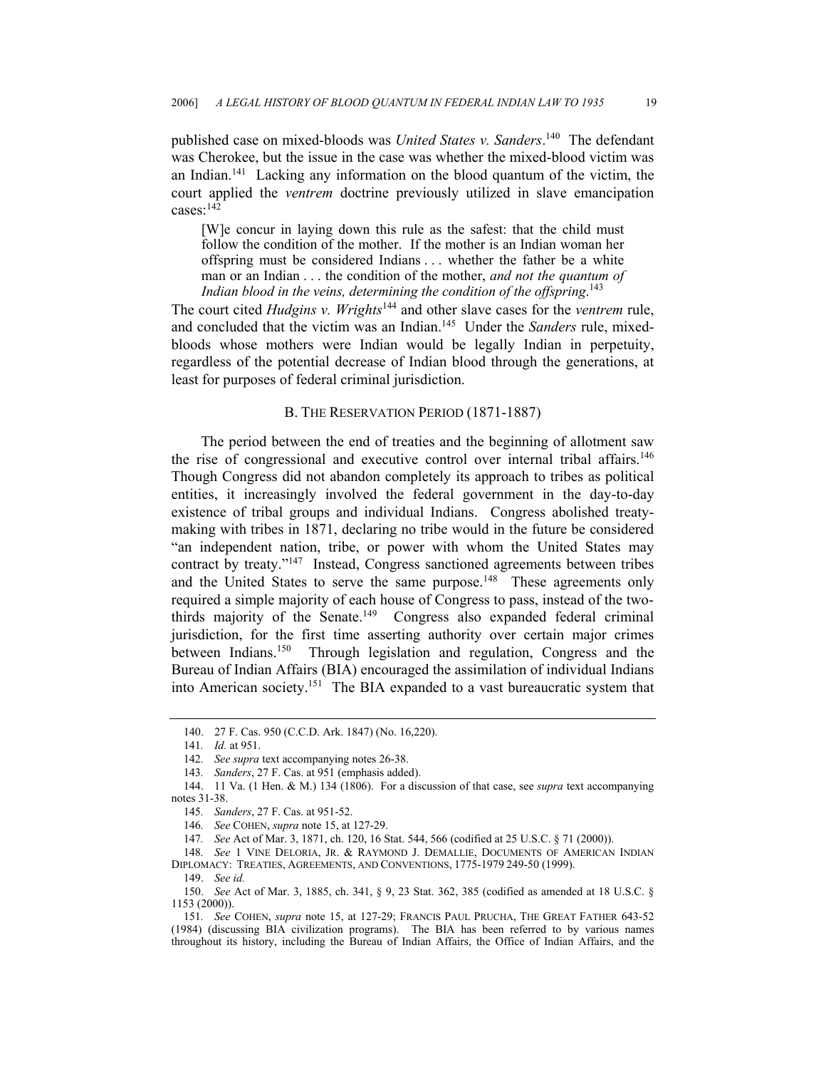published case on mixed-bloods was *United States v. Sanders*.<sup>140</sup> The defendant was Cherokee, but the issue in the case was whether the mixed-blood victim was an Indian.<sup>141</sup> Lacking any information on the blood quantum of the victim, the court applied the *ventrem* doctrine previously utilized in slave emancipation cases: $142$ 

[W]e concur in laying down this rule as the safest: that the child must follow the condition of the mother. If the mother is an Indian woman her offspring must be considered Indians . . . whether the father be a white man or an Indian . . . the condition of the mother, *and not the quantum of Indian blood in the veins, determining the condition of the offspring*. [143](#page-18-3)

The court cited *Hudgins v. Wrights*[144](#page-18-4) and other slave cases for the *ventrem* rule, and concluded that the victim was an Indian.[145](#page-18-5) Under the *Sanders* rule, mixedbloods whose mothers were Indian would be legally Indian in perpetuity, regardless of the potential decrease of Indian blood through the generations, at least for purposes of federal criminal jurisdiction.

### B. THE RESERVATION PERIOD (1871-1887)

The period between the end of treaties and the beginning of allotment saw the rise of congressional and executive control over internal tribal affairs.[146](#page-18-6)  Though Congress did not abandon completely its approach to tribes as political entities, it increasingly involved the federal government in the day-to-day existence of tribal groups and individual Indians. Congress abolished treatymaking with tribes in 1871, declaring no tribe would in the future be considered "an independent nation, tribe, or power with whom the United States may contract by treaty."[147](#page-18-7) Instead, Congress sanctioned agreements between tribes and the United States to serve the same purpose.<sup>148</sup> These agreements only required a simple majority of each house of Congress to pass, instead of the twothirds majority of the Senate.<sup>149</sup> Congress also expanded federal criminal jurisdiction, for the first time asserting authority over certain major crimes between Indians.[150](#page-18-10) Through legislation and regulation, Congress and the Bureau of Indian Affairs (BIA) encouraged the assimilation of individual Indians into American society.[151](#page-18-11) The BIA expanded to a vast bureaucratic system that

<span id="page-18-8"></span>148*. See* 1 VINE DELORIA, JR. & RAYMOND J. DEMALLIE, DOCUMENTS OF AMERICAN INDIAN DIPLOMACY: TREATIES, AGREEMENTS, AND CONVENTIONS, 1775-1979 249-50 (1999).

<span id="page-18-10"></span><span id="page-18-9"></span>149. *See id.*

150. *See* Act of Mar. 3, 1885, ch. 341, § 9, 23 Stat. 362, 385 (codified as amended at 18 U.S.C. § 1153 (2000)).

<span id="page-18-11"></span>151*. See* COHEN, *supra* note 15, at 127-29; FRANCIS PAUL PRUCHA, THE GREAT FATHER 643-52 (1984) (discussing BIA civilization programs). The BIA has been referred to by various names throughout its history, including the Bureau of Indian Affairs, the Office of Indian Affairs, and the

<span id="page-18-0"></span><sup>140. 27</sup> F. Cas. 950 (C.C.D. Ark. 1847) (No. 16,220).

<span id="page-18-1"></span><sup>141</sup>*. Id.* at 951.

<span id="page-18-2"></span><sup>142</sup>*. See supra* text accompanying notes 26-38.

<span id="page-18-4"></span><span id="page-18-3"></span><sup>143</sup>*. Sanders*, 27 F. Cas. at 951 (emphasis added).

<sup>144. 11</sup> Va. (1 Hen. & M.) 134 (1806). For a discussion of that case, see *supra* text accompanying notes 31-38.

<span id="page-18-5"></span><sup>145</sup>*. Sanders*, 27 F. Cas. at 951-52.

<span id="page-18-6"></span><sup>146</sup>*. See* COHEN, *supra* note 15, at 127-29.

<span id="page-18-7"></span><sup>147</sup>*. See* Act of Mar. 3, 1871, ch. 120, 16 Stat. 544, 566 (codified at 25 U.S.C. § 71 (2000)).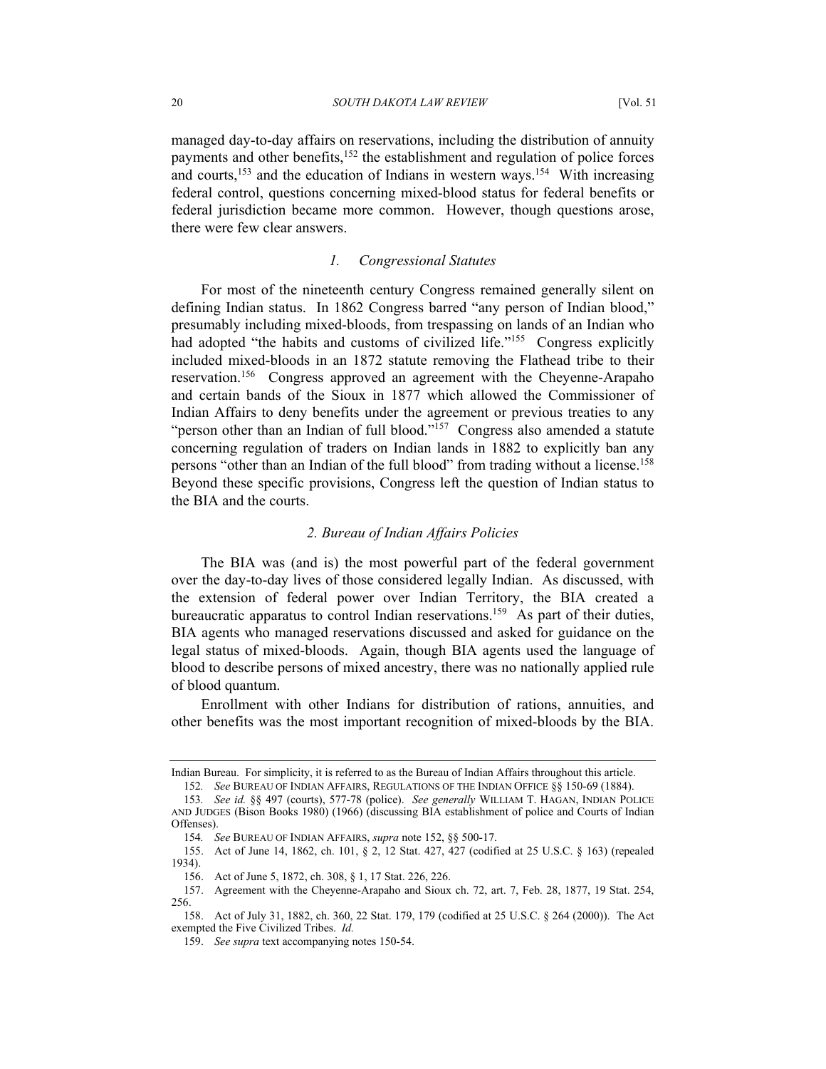managed day-to-day affairs on reservations, including the distribution of annuity payments and other benefits,<sup>152</sup> the establishment and regulation of police forces and courts,<sup>153</sup> and the education of Indians in western ways.<sup>154</sup> With increasing federal control, questions concerning mixed-blood status for federal benefits or federal jurisdiction became more common. However, though questions arose, there were few clear answers.

### *1. Congressional Statutes*

For most of the nineteenth century Congress remained generally silent on defining Indian status. In 1862 Congress barred "any person of Indian blood," presumably including mixed-bloods, from trespassing on lands of an Indian who had adopted "the habits and customs of civilized life."<sup>155</sup> Congress explicitly included mixed-bloods in an 1872 statute removing the Flathead tribe to their reservation.[156](#page-19-4) Congress approved an agreement with the Cheyenne-Arapaho and certain bands of the Sioux in 1877 which allowed the Commissioner of Indian Affairs to deny benefits under the agreement or previous treaties to any "person other than an Indian of full blood."<sup>157</sup> Congress also amended a statute concerning regulation of traders on Indian lands in 1882 to explicitly ban any persons "other than an Indian of the full blood" from trading without a license.[158](#page-19-6)  Beyond these specific provisions, Congress left the question of Indian status to the BIA and the courts.

#### *2. Bureau of Indian Affairs Policies*

The BIA was (and is) the most powerful part of the federal government over the day-to-day lives of those considered legally Indian. As discussed, with the extension of federal power over Indian Territory, the BIA created a bureaucratic apparatus to control Indian reservations.<sup>159</sup> As part of their duties, BIA agents who managed reservations discussed and asked for guidance on the legal status of mixed-bloods. Again, though BIA agents used the language of blood to describe persons of mixed ancestry, there was no nationally applied rule of blood quantum.

Enrollment with other Indians for distribution of rations, annuities, and other benefits was the most important recognition of mixed-bloods by the BIA.

Indian Bureau. For simplicity, it is referred to as the Bureau of Indian Affairs throughout this article.

<span id="page-19-1"></span><span id="page-19-0"></span><sup>152</sup>*. See* BUREAU OF INDIAN AFFAIRS, REGULATIONS OF THE INDIAN OFFICE §§ 150-69 (1884).

<sup>153</sup>*. See id.* §§ 497 (courts), 577-78 (police). *See generally* WILLIAM T. HAGAN, INDIAN POLICE AND JUDGES (Bison Books 1980) (1966) (discussing BIA establishment of police and Courts of Indian Offenses).

<span id="page-19-2"></span><sup>154</sup>*. See* BUREAU OF INDIAN AFFAIRS, *supra* note 152, §§ 500-17.

<span id="page-19-3"></span><sup>155.</sup> Act of June 14, 1862, ch. 101, § 2, 12 Stat. 427, 427 (codified at 25 U.S.C. § 163) (repealed 1934).

<span id="page-19-5"></span><span id="page-19-4"></span><sup>156.</sup> Act of June 5, 1872, ch. 308, § 1, 17 Stat. 226, 226.

<sup>157.</sup> Agreement with the Cheyenne-Arapaho and Sioux ch. 72, art. 7, Feb. 28, 1877, 19 Stat. 254, 256.

<span id="page-19-6"></span><sup>158.</sup> Act of July 31, 1882, ch. 360, 22 Stat. 179, 179 (codified at 25 U.S.C. § 264 (2000)). The Act exempted the Five Civilized Tribes. *Id.*

<span id="page-19-7"></span><sup>159.</sup> *See supra* text accompanying notes 150-54.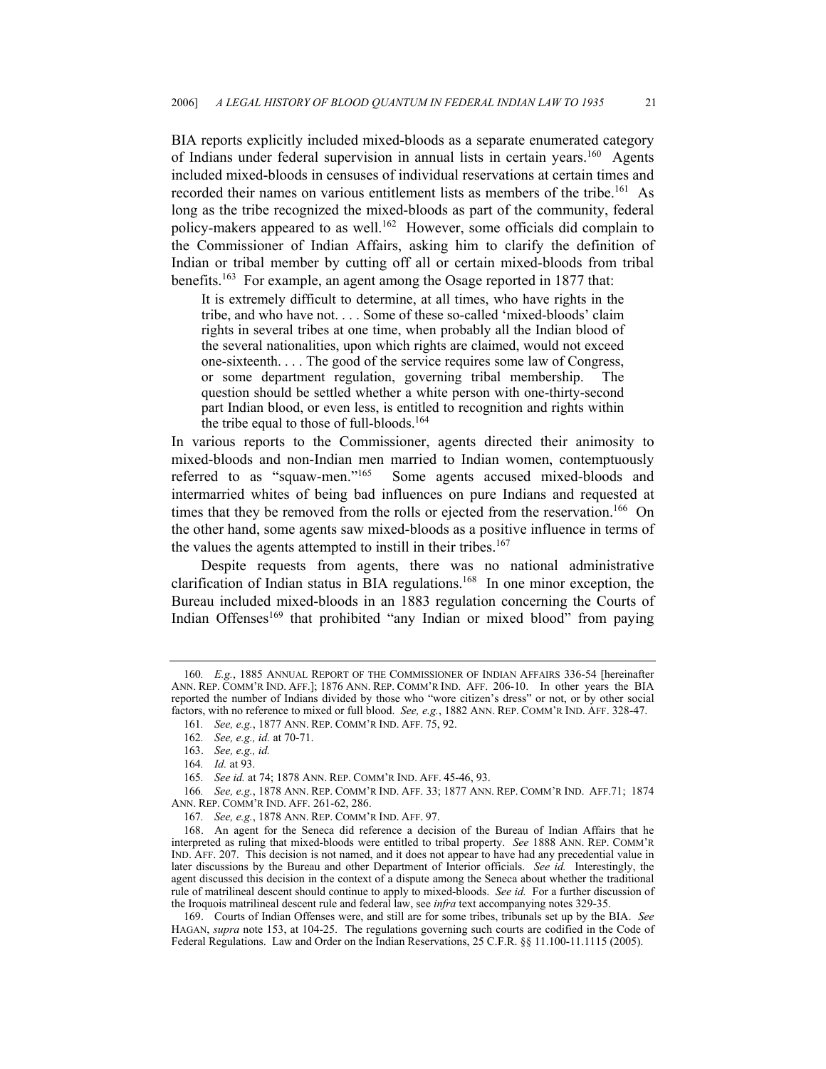BIA reports explicitly included mixed-bloods as a separate enumerated category of Indians under federal supervision in annual lists in certain years.[160](#page-20-0) Agents included mixed-bloods in censuses of individual reservations at certain times and recorded their names on various entitlement lists as members of the tribe.<sup>161</sup> As long as the tribe recognized the mixed-bloods as part of the community, federal policy-makers appeared to as well.[162](#page-20-2) However, some officials did complain to the Commissioner of Indian Affairs, asking him to clarify the definition of Indian or tribal member by cutting off all or certain mixed-bloods from tribal benefits.<sup>163</sup> For example, an agent among the Osage reported in 1877 that:

It is extremely difficult to determine, at all times, who have rights in the tribe, and who have not. . . . Some of these so-called 'mixed-bloods' claim rights in several tribes at one time, when probably all the Indian blood of the several nationalities, upon which rights are claimed, would not exceed one-sixteenth. . . . The good of the service requires some law of Congress, or some department regulation, governing tribal membership. The question should be settled whether a white person with one-thirty-second part Indian blood, or even less, is entitled to recognition and rights within the tribe equal to those of full-bloods.<sup>[164](#page-20-4)</sup>

In various reports to the Commissioner, agents directed their animosity to mixed-bloods and non-Indian men married to Indian women, contemptuously referred to as "squaw-men."<sup>165</sup> Some agents accused mixed-bloods and Some agents accused mixed-bloods and intermarried whites of being bad influences on pure Indians and requested at times that they be removed from the rolls or ejected from the reservation.<sup>166</sup> On the other hand, some agents saw mixed-bloods as a positive influence in terms of the values the agents attempted to instill in their tribes.<sup>[167](#page-20-7)</sup>

Despite requests from agents, there was no national administrative clarification of Indian status in BIA regulations.[168](#page-20-8) In one minor exception, the Bureau included mixed-bloods in an 1883 regulation concerning the Courts of Indian Offenses<sup>169</sup> that prohibited "any Indian or mixed blood" from paying

<span id="page-20-0"></span><sup>160</sup>*. E.g.*, 1885 ANNUAL REPORT OF THE COMMISSIONER OF INDIAN AFFAIRS 336-54 [hereinafter ANN. REP. COMM'R IND. AFF.]; 1876 ANN. REP. COMM'R IND. AFF. 206-10. In other years the BIA reported the number of Indians divided by those who "wore citizen's dress" or not, or by other social factors, with no reference to mixed or full blood. *See, e.g.*, 1882 ANN. REP. COMM'R IND. AFF. 328-47.

<span id="page-20-1"></span><sup>161</sup>*. See, e.g.*, 1877 ANN. REP. COMM'R IND. AFF. 75, 92.

<span id="page-20-2"></span><sup>162</sup>*. See, e.g., id.* at 70-71.

<span id="page-20-3"></span><sup>163.</sup> *See, e.g., id.*

<span id="page-20-4"></span><sup>164</sup>*. Id.* at 93.

<span id="page-20-5"></span><sup>165</sup>*. See id.* at 74; 1878 ANN. REP. COMM'R IND. AFF. 45-46, 93.

<span id="page-20-6"></span><sup>166</sup>*. See, e.g.*, 1878 ANN. REP. COMM'R IND. AFF. 33; 1877 ANN. REP. COMM'R IND. AFF.71; 1874 ANN. REP. COMM'R IND. AFF. 261-62, 286.

<span id="page-20-7"></span><sup>167</sup>*. See, e.g.*, 1878 ANN. REP. COMM'R IND. AFF. 97.

<span id="page-20-8"></span><sup>168.</sup> An agent for the Seneca did reference a decision of the Bureau of Indian Affairs that he interpreted as ruling that mixed-bloods were entitled to tribal property. *See* 1888 ANN. REP. COMM'R IND. AFF. 207. This decision is not named, and it does not appear to have had any precedential value in later discussions by the Bureau and other Department of Interior officials. *See id.* Interestingly, the agent discussed this decision in the context of a dispute among the Seneca about whether the traditional rule of matrilineal descent should continue to apply to mixed-bloods. *See id.* For a further discussion of the Iroquois matrilineal descent rule and federal law, see *infra* text accompanying notes 329-35.

<span id="page-20-9"></span><sup>169.</sup> Courts of Indian Offenses were, and still are for some tribes, tribunals set up by the BIA. *See*  HAGAN, *supra* note 153, at 104-25. The regulations governing such courts are codified in the Code of Federal Regulations. Law and Order on the Indian Reservations, 25 C.F.R. §§ 11.100-11.1115 (2005).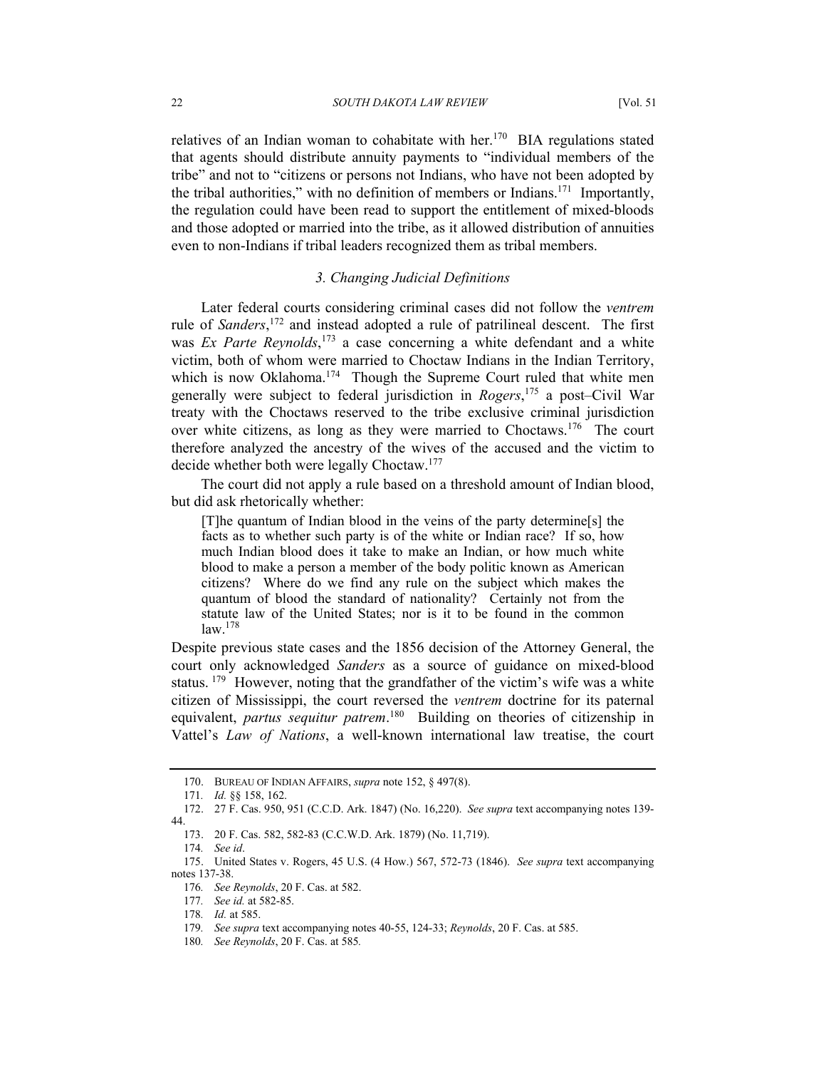relatives of an Indian woman to cohabitate with her.<sup>170</sup> BIA regulations stated that agents should distribute annuity payments to "individual members of the tribe" and not to "citizens or persons not Indians, who have not been adopted by the tribal authorities," with no definition of members or Indians.[171](#page-21-1) Importantly, the regulation could have been read to support the entitlement of mixed-bloods and those adopted or married into the tribe, as it allowed distribution of annuities even to non-Indians if tribal leaders recognized them as tribal members.

# *3. Changing Judicial Definitions*

Later federal courts considering criminal cases did not follow the *ventrem*  rule of *Sanders*, [172](#page-21-2) and instead adopted a rule of patrilineal descent. The first was *Ex Parte Reynolds*, [173](#page-21-3) a case concerning a white defendant and a white victim, both of whom were married to Choctaw Indians in the Indian Territory, which is now Oklahoma.<sup>174</sup> Though the Supreme Court ruled that white men generally were subject to federal jurisdiction in *Rogers*, [175](#page-21-5) a post–Civil War treaty with the Choctaws reserved to the tribe exclusive criminal jurisdiction over white citizens, as long as they were married to Choctaws.[176](#page-21-6) The court therefore analyzed the ancestry of the wives of the accused and the victim to decide whether both were legally Choctaw.[177](#page-21-7)

The court did not apply a rule based on a threshold amount of Indian blood, but did ask rhetorically whether:

[T]he quantum of Indian blood in the veins of the party determine[s] the facts as to whether such party is of the white or Indian race? If so, how much Indian blood does it take to make an Indian, or how much white blood to make a person a member of the body politic known as American citizens? Where do we find any rule on the subject which makes the quantum of blood the standard of nationality? Certainly not from the statute law of the United States; nor is it to be found in the common  $law.<sup>178</sup>$  $law.<sup>178</sup>$  $law.<sup>178</sup>$ 

Despite previous state cases and the 1856 decision of the Attorney General, the court only acknowledged *Sanders* as a source of guidance on mixed-blood status. <sup>179</sup> However, noting that the grandfather of the victim's wife was a white citizen of Mississippi, the court reversed the *ventrem* doctrine for its paternal equivalent, *partus sequitur patrem*.<sup>180</sup> Building on theories of citizenship in Vattel's *Law of Nations*, a well-known international law treatise, the court

<span id="page-21-0"></span><sup>170.</sup> BUREAU OF INDIAN AFFAIRS, *supra* note 152, § 497(8).

<span id="page-21-2"></span><span id="page-21-1"></span><sup>171</sup>*. Id.* §§ 158, 162.

<sup>172. 27</sup> F. Cas. 950, 951 (C.C.D. Ark. 1847) (No. 16,220). *See supra* text accompanying notes 139- 44.

<span id="page-21-3"></span><sup>173. 20</sup> F. Cas. 582, 582-83 (C.C.W.D. Ark. 1879) (No. 11,719).

<span id="page-21-4"></span><sup>174</sup>*. See id*.

<span id="page-21-5"></span><sup>175.</sup> United States v. Rogers, 45 U.S. (4 How.) 567, 572-73 (1846). *See supra* text accompanying notes 137-38.

<span id="page-21-6"></span><sup>176</sup>*. See Reynolds*, 20 F. Cas. at 582.

<span id="page-21-7"></span><sup>177</sup>*. See id.* at 582-85.

<span id="page-21-8"></span><sup>178</sup>*. Id.* at 585.

<span id="page-21-9"></span><sup>179</sup>*. See supra* text accompanying notes 40-55, 124-33; *Reynolds*, 20 F. Cas. at 585.

<span id="page-21-10"></span><sup>180</sup>*. See Reynolds*, 20 F. Cas. at 585*.*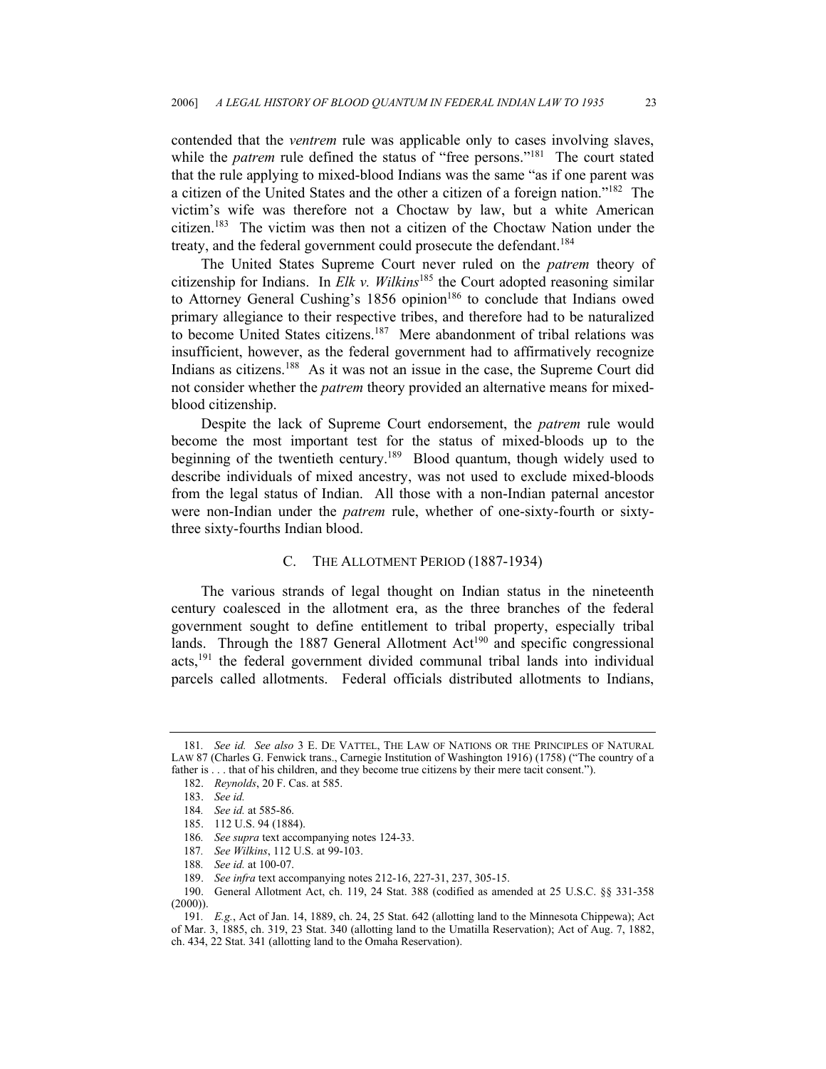contended that the *ventrem* rule was applicable only to cases involving slaves, while the *patrem* rule defined the status of "free persons."<sup>181</sup> The court stated that the rule applying to mixed-blood Indians was the same "as if one parent was a citizen of the United States and the other a citizen of a foreign nation.["182](#page-22-1) The victim's wife was therefore not a Choctaw by law, but a white American citizen[.183](#page-22-2) The victim was then not a citizen of the Choctaw Nation under the treaty, and the federal government could prosecute the defendant.<sup>[184](#page-22-3)</sup>

The United States Supreme Court never ruled on the *patrem* theory of citizenship for Indians. In *Elk v. Wilkins*[185](#page-22-4) the Court adopted reasoning similar to Attorney General Cushing's 1856 opinion<sup>186</sup> to conclude that Indians owed primary allegiance to their respective tribes, and therefore had to be naturalized to become United States citizens.<sup>187</sup> Mere abandonment of tribal relations was insufficient, however, as the federal government had to affirmatively recognize Indians as citizens.<sup>188</sup> As it was not an issue in the case, the Supreme Court did not consider whether the *patrem* theory provided an alternative means for mixedblood citizenship.

Despite the lack of Supreme Court endorsement, the *patrem* rule would become the most important test for the status of mixed-bloods up to the beginning of the twentieth century.<sup>189</sup> Blood quantum, though widely used to describe individuals of mixed ancestry, was not used to exclude mixed-bloods from the legal status of Indian. All those with a non-Indian paternal ancestor were non-Indian under the *patrem* rule, whether of one-sixty-fourth or sixtythree sixty-fourths Indian blood.

### C. THE ALLOTMENT PERIOD (1887-1934)

The various strands of legal thought on Indian status in the nineteenth century coalesced in the allotment era, as the three branches of the federal government sought to define entitlement to tribal property, especially tribal lands. Through the 1887 General Allotment  $Act^{190}$  and specific congressional acts,[191](#page-22-10) the federal government divided communal tribal lands into individual parcels called allotments. Federal officials distributed allotments to Indians,

<span id="page-22-0"></span><sup>181</sup>*. See id. See also* 3 E. DE VATTEL, THE LAW OF NATIONS OR THE PRINCIPLES OF NATURAL LAW 87 (Charles G. Fenwick trans., Carnegie Institution of Washington 1916) (1758) ("The country of a father is . . . that of his children, and they become true citizens by their mere tacit consent.").

<span id="page-22-1"></span><sup>182.</sup> *Reynolds*, 20 F. Cas. at 585.

<span id="page-22-2"></span><sup>183.</sup> *See id.*

<span id="page-22-3"></span><sup>184</sup>*. See id.* at 585-86.

<span id="page-22-4"></span><sup>185. 112</sup> U.S. 94 (1884).

<span id="page-22-5"></span><sup>186</sup>*. See supra* text accompanying notes 124-33.

<span id="page-22-6"></span><sup>187</sup>*. See Wilkins*, 112 U.S. at 99-103.

<span id="page-22-7"></span><sup>188</sup>*. See id.* at 100-07.

<span id="page-22-9"></span><span id="page-22-8"></span><sup>189.</sup> *See infra* text accompanying notes 212-16, 227-31, 237, 305-15.

<sup>190.</sup> General Allotment Act, ch. 119, 24 Stat. 388 (codified as amended at 25 U.S.C. §§ 331-358  $(2000)$ ).

<span id="page-22-10"></span><sup>191</sup>*. E.g.*, Act of Jan. 14, 1889, ch. 24, 25 Stat. 642 (allotting land to the Minnesota Chippewa); Act of Mar. 3, 1885, ch. 319, 23 Stat. 340 (allotting land to the Umatilla Reservation); Act of Aug. 7, 1882, ch. 434, 22 Stat. 341 (allotting land to the Omaha Reservation).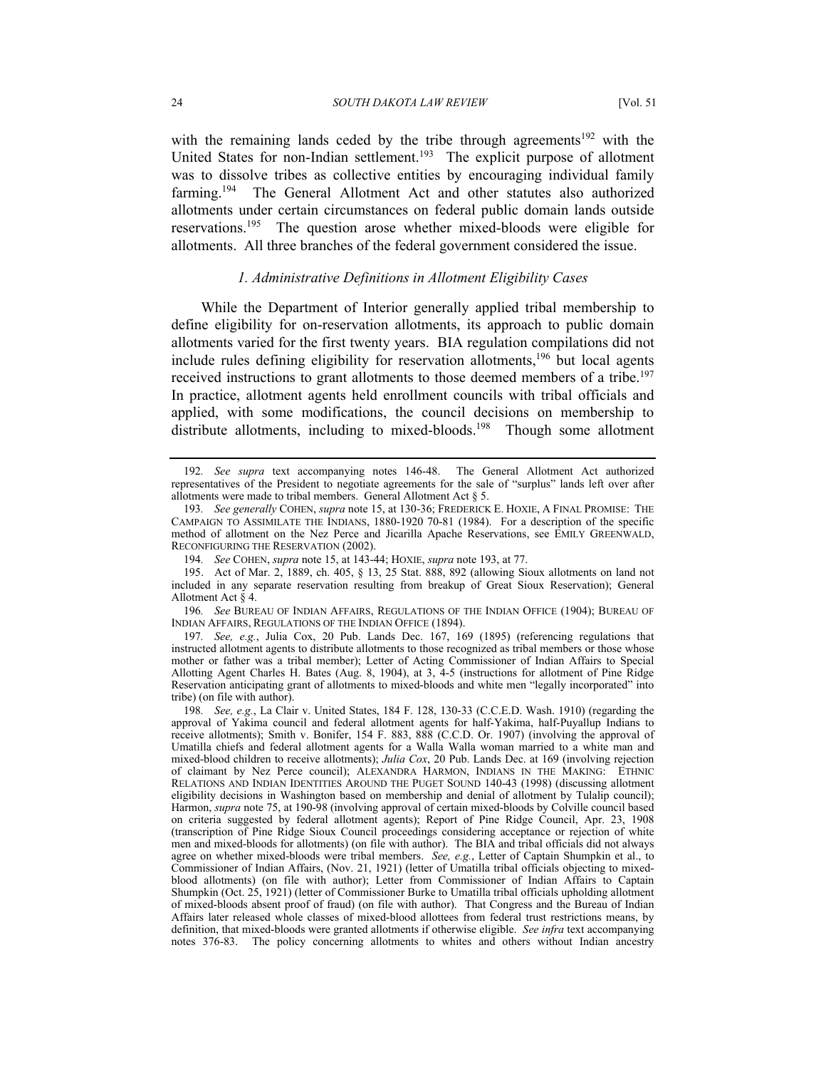with the remaining lands ceded by the tribe through agreements<sup>192</sup> with the United States for non-Indian settlement.<sup>193</sup> The explicit purpose of allotment was to dissolve tribes as collective entities by encouraging individual family farming.[194](#page-23-2) The General Allotment Act and other statutes also authorized allotments under certain circumstances on federal public domain lands outside reservations.[195](#page-23-3) The question arose whether mixed-bloods were eligible for allotments. All three branches of the federal government considered the issue.

#### *1. Administrative Definitions in Allotment Eligibility Cases*

While the Department of Interior generally applied tribal membership to define eligibility for on-reservation allotments, its approach to public domain allotments varied for the first twenty years. BIA regulation compilations did not include rules defining eligibility for reservation allotments,<sup>196</sup> but local agents received instructions to grant allotments to those deemed members of a tribe.<sup>197</sup> In practice, allotment agents held enrollment councils with tribal officials and applied, with some modifications, the council decisions on membership to distribute allotments, including to mixed-bloods.<sup>198</sup> Though some allotment

<span id="page-23-4"></span>196*. See* BUREAU OF INDIAN AFFAIRS, REGULATIONS OF THE INDIAN OFFICE (1904); BUREAU OF INDIAN AFFAIRS, REGULATIONS OF THE INDIAN OFFICE (1894).

<span id="page-23-5"></span>197*. See, e.g.*, Julia Cox, 20 Pub. Lands Dec. 167, 169 (1895) (referencing regulations that instructed allotment agents to distribute allotments to those recognized as tribal members or those whose mother or father was a tribal member); Letter of Acting Commissioner of Indian Affairs to Special Allotting Agent Charles H. Bates (Aug. 8, 1904), at 3, 4-5 (instructions for allotment of Pine Ridge Reservation anticipating grant of allotments to mixed-bloods and white men "legally incorporated" into tribe) (on file with author).

<span id="page-23-6"></span>198*. See, e.g.*, La Clair v. United States, 184 F. 128, 130-33 (C.C.E.D. Wash. 1910) (regarding the approval of Yakima council and federal allotment agents for half-Yakima, half-Puyallup Indians to receive allotments); Smith v. Bonifer, 154 F. 883, 888 (C.C.D. Or. 1907) (involving the approval of Umatilla chiefs and federal allotment agents for a Walla Walla woman married to a white man and mixed-blood children to receive allotments); *Julia Cox*, 20 Pub. Lands Dec. at 169 (involving rejection of claimant by Nez Perce council); ALEXANDRA HARMON, INDIANS IN THE MAKING: ETHNIC RELATIONS AND INDIAN IDENTITIES AROUND THE PUGET SOUND 140-43 (1998) (discussing allotment eligibility decisions in Washington based on membership and denial of allotment by Tulalip council); Harmon, *supra* note 75, at 190-98 (involving approval of certain mixed-bloods by Colville council based on criteria suggested by federal allotment agents); Report of Pine Ridge Council, Apr. 23, 1908 (transcription of Pine Ridge Sioux Council proceedings considering acceptance or rejection of white men and mixed-bloods for allotments) (on file with author). The BIA and tribal officials did not always agree on whether mixed-bloods were tribal members. *See, e.g.*, Letter of Captain Shumpkin et al., to Commissioner of Indian Affairs, (Nov. 21, 1921) (letter of Umatilla tribal officials objecting to mixedblood allotments) (on file with author); Letter from Commissioner of Indian Affairs to Captain Shumpkin (Oct. 25, 1921) (letter of Commissioner Burke to Umatilla tribal officials upholding allotment of mixed-bloods absent proof of fraud) (on file with author).That Congress and the Bureau of Indian Affairs later released whole classes of mixed-blood allottees from federal trust restrictions means, by definition, that mixed-bloods were granted allotments if otherwise eligible. *See infra* text accompanying notes 376-83. The policy concerning allotments to whites and others without Indian ancestry

<span id="page-23-0"></span><sup>192</sup>*. See supra* text accompanying notes 146-48. The General Allotment Act authorized representatives of the President to negotiate agreements for the sale of "surplus" lands left over after allotments were made to tribal members. General Allotment Act § 5.

<span id="page-23-1"></span><sup>193</sup>*. See generally* COHEN, *supra* note 15, at 130-36; FREDERICK E. HOXIE, A FINAL PROMISE: THE CAMPAIGN TO ASSIMILATE THE INDIANS, 1880-1920 70-81 (1984). For a description of the specific method of allotment on the Nez Perce and Jicarilla Apache Reservations, see EMILY GREENWALD, RECONFIGURING THE RESERVATION (2002).

<span id="page-23-3"></span><span id="page-23-2"></span><sup>194</sup>*. See* COHEN, *supra* note 15, at 143-44; HOXIE, *supra* note 193, at 77.

<sup>195.</sup> Act of Mar. 2, 1889, ch. 405, § 13, 25 Stat. 888, 892 (allowing Sioux allotments on land not included in any separate reservation resulting from breakup of Great Sioux Reservation); General Allotment Act § 4.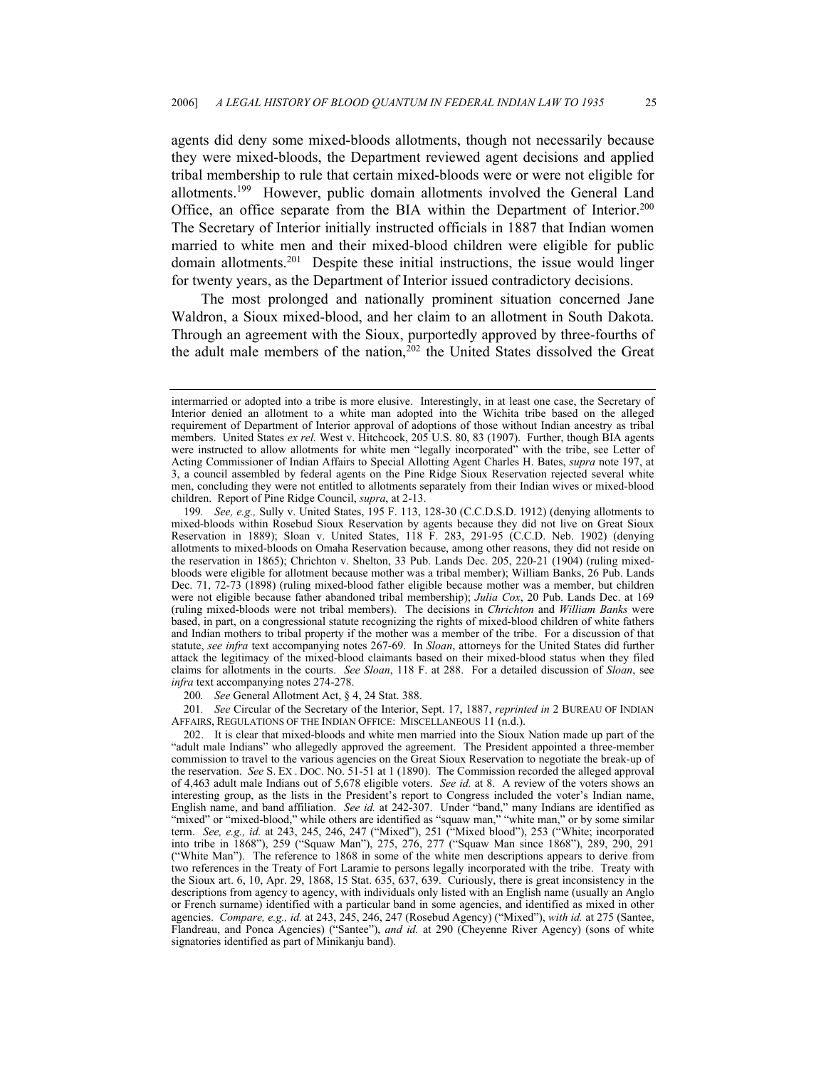agents did deny some mixed-bloods allotments, though not necessarily because they were mixed-bloods, the Department reviewed agent decisions and applied tribal membership to rule that certain mixed-bloods were or were not eligible for allotments.[199](#page-24-0) However, public domain allotments involved the General Land Office, an office separate from the BIA within the Department of Interior.[200](#page-24-1)  The Secretary of Interior initially instructed officials in 1887 that Indian women married to white men and their mixed-blood children were eligible for public domain allotments.[201](#page-24-2) Despite these initial instructions, the issue would linger for twenty years, as the Department of Interior issued contradictory decisions.

The most prolonged and nationally prominent situation concerned Jane Waldron, a Sioux mixed-blood, and her claim to an allotment in South Dakota. Through an agreement with the Sioux, purportedly approved by three-fourths of the adult male members of the nation, $202$  the United States dissolved the Great

<span id="page-24-2"></span><span id="page-24-1"></span>200*. See* General Allotment Act, § 4, 24 Stat. 388.

201*. See* Circular of the Secretary of the Interior, Sept. 17, 1887, *reprinted in* 2 BUREAU OF INDIAN AFFAIRS, REGULATIONS OF THE INDIAN OFFICE: MISCELLANEOUS 11 (n.d.).

intermarried or adopted into a tribe is more elusive. Interestingly, in at least one case, the Secretary of Interior denied an allotment to a white man adopted into the Wichita tribe based on the alleged requirement of Department of Interior approval of adoptions of those without Indian ancestry as tribal members. United States *ex rel.* West v. Hitchcock, 205 U.S. 80, 83 (1907). Further, though BIA agents were instructed to allow allotments for white men "legally incorporated" with the tribe, see Letter of Acting Commissioner of Indian Affairs to Special Allotting Agent Charles H. Bates, *supra* note 197, at 3, a council assembled by federal agents on the Pine Ridge Sioux Reservation rejected several white men, concluding they were not entitled to allotments separately from their Indian wives or mixed-blood children. Report of Pine Ridge Council, *supra*, at 2-13.

<span id="page-24-0"></span><sup>199</sup>*. See, e.g.,* Sully v. United States, 195 F. 113, 128-30 (C.C.D.S.D. 1912) (denying allotments to mixed-bloods within Rosebud Sioux Reservation by agents because they did not live on Great Sioux Reservation in 1889); Sloan v. United States, 118 F. 283, 291-95 (C.C.D. Neb. 1902) (denying allotments to mixed-bloods on Omaha Reservation because, among other reasons, they did not reside on the reservation in 1865); Chrichton v. Shelton, 33 Pub. Lands Dec. 205, 220-21 (1904) (ruling mixedbloods were eligible for allotment because mother was a tribal member); William Banks, 26 Pub. Lands Dec. 71, 72-73 (1898) (ruling mixed-blood father eligible because mother was a member, but children were not eligible because father abandoned tribal membership); *Julia Cox*, 20 Pub. Lands Dec. at 169 (ruling mixed-bloods were not tribal members). The decisions in *Chrichton* and *William Banks* were based, in part, on a congressional statute recognizing the rights of mixed-blood children of white fathers and Indian mothers to tribal property if the mother was a member of the tribe. For a discussion of that statute, *see infra* text accompanying notes 267-69. In *Sloan*, attorneys for the United States did further attack the legitimacy of the mixed-blood claimants based on their mixed-blood status when they filed claims for allotments in the courts. *See Sloan*, 118 F. at 288. For a detailed discussion of *Sloan*, see *infra* text accompanying notes 274-278.

<span id="page-24-3"></span><sup>202.</sup> It is clear that mixed-bloods and white men married into the Sioux Nation made up part of the "adult male Indians" who allegedly approved the agreement. The President appointed a three-member commission to travel to the various agencies on the Great Sioux Reservation to negotiate the break-up of the reservation. *See* S. EX . DOC. NO. 51-51 at 1 (1890). The Commission recorded the alleged approval of 4,463 adult male Indians out of 5,678 eligible voters. *See id.* at 8. A review of the voters shows an interesting group, as the lists in the President's report to Congress included the voter's Indian name, English name, and band affiliation. *See id.* at 242-307. Under "band," many Indians are identified as "mixed" or "mixed-blood," while others are identified as "squaw man," "white man," or by some similar term. *See, e.g., id.* at 243, 245, 246, 247 ("Mixed"), 251 ("Mixed blood"), 253 ("White; incorporated into tribe in 1868"), 259 ("Squaw Man"), 275, 276, 277 ("Squaw Man since 1868"), 289, 290, 291 ("White Man").The reference to 1868 in some of the white men descriptions appears to derive from two references in the Treaty of Fort Laramie to persons legally incorporated with the tribe. Treaty with the Sioux art. 6, 10, Apr. 29, 1868, 15 Stat. 635, 637, 639. Curiously, there is great inconsistency in the descriptions from agency to agency, with individuals only listed with an English name (usually an Anglo or French surname) identified with a particular band in some agencies, and identified as mixed in other agencies. *Compare, e.g., id.* at 243, 245, 246, 247 (Rosebud Agency) ("Mixed"), *with id.* at 275 (Santee, Flandreau, and Ponca Agencies) ("Santee"), *and id.* at 290 (Cheyenne River Agency) (sons of white signatories identified as part of Minikanju band).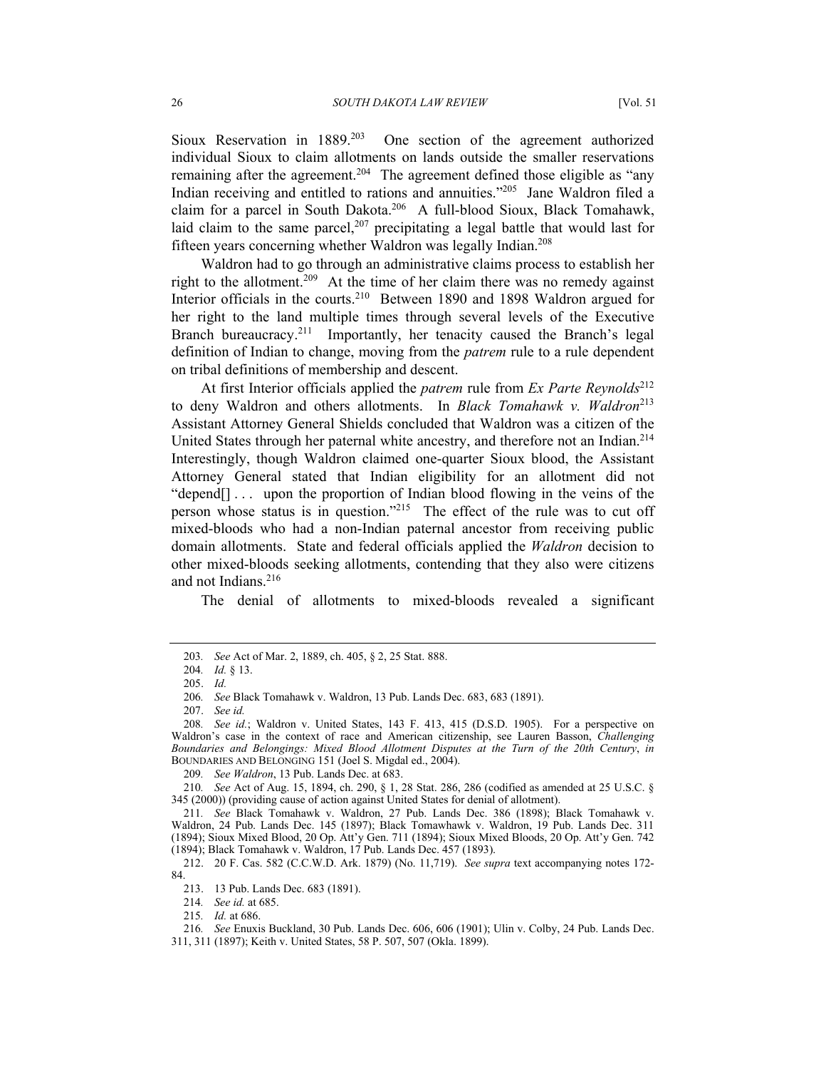Sioux Reservation in 1889[.203](#page-25-0) One section of the agreement authorized individual Sioux to claim allotments on lands outside the smaller reservations remaining after the agreement.<sup>204</sup> The agreement defined those eligible as "any Indian receiving and entitled to rations and annuities."[205](#page-25-2) Jane Waldron filed a claim for a parcel in South Dakota.[206](#page-25-3) A full-blood Sioux, Black Tomahawk, laid claim to the same parcel,<sup>207</sup> precipitating a legal battle that would last for fifteen years concerning whether Waldron was legally Indian.[208](#page-25-5)

Waldron had to go through an administrative claims process to establish her right to the allotment.<sup>209</sup> At the time of her claim there was no remedy against Interior officials in the courts.<sup>210</sup> Between 1890 and 1898 Waldron argued for her right to the land multiple times through several levels of the Executive Branch bureaucracy.<sup>211</sup> Importantly, her tenacity caused the Branch's legal definition of Indian to change, moving from the *patrem* rule to a rule dependent on tribal definitions of membership and descent.

At first Interior officials applied the *patrem* rule from *Ex Parte Reynolds*<sup>[212](#page-25-9)</sup> to deny Waldron and others allotments. In *Black Tomahawk v. Waldron*<sup>[213](#page-25-10)</sup> Assistant Attorney General Shields concluded that Waldron was a citizen of the United States through her paternal white ancestry, and therefore not an Indian.<sup>214</sup> Interestingly, though Waldron claimed one-quarter Sioux blood, the Assistant Attorney General stated that Indian eligibility for an allotment did not "depend[]... upon the proportion of Indian blood flowing in the veins of the person whose status is in question."[215](#page-25-12) The effect of the rule was to cut off mixed-bloods who had a non-Indian paternal ancestor from receiving public domain allotments. State and federal officials applied the *Waldron* decision to other mixed-bloods seeking allotments, contending that they also were citizens and not Indians.<sup>[216](#page-25-13)</sup>

The denial of allotments to mixed-bloods revealed a significant

<span id="page-25-0"></span><sup>203</sup>*. See* Act of Mar. 2, 1889, ch. 405, § 2, 25 Stat. 888.

<span id="page-25-1"></span><sup>204</sup>*. Id.* § 13.

<span id="page-25-2"></span><sup>205.</sup> *Id.* 

<span id="page-25-3"></span><sup>206</sup>*. See* Black Tomahawk v. Waldron, 13 Pub. Lands Dec. 683, 683 (1891).

<span id="page-25-4"></span><sup>207.</sup> *See id.*

<span id="page-25-5"></span><sup>208</sup>*. See id.*; Waldron v. United States, 143 F. 413, 415 (D.S.D. 1905). For a perspective on Waldron's case in the context of race and American citizenship, see Lauren Basson, *Challenging Boundaries and Belongings: Mixed Blood Allotment Disputes at the Turn of the 20th Century*, *in* BOUNDARIES AND BELONGING 151 (Joel S. Migdal ed., 2004).

<span id="page-25-7"></span><span id="page-25-6"></span><sup>209</sup>*. See Waldron*, 13 Pub. Lands Dec. at 683.

<sup>210</sup>*. See* Act of Aug. 15, 1894, ch. 290, § 1, 28 Stat. 286, 286 (codified as amended at 25 U.S.C. § 345 (2000)) (providing cause of action against United States for denial of allotment).

<span id="page-25-8"></span><sup>211</sup>*. See* Black Tomahawk v. Waldron, 27 Pub. Lands Dec. 386 (1898); Black Tomahawk v. Waldron, 24 Pub. Lands Dec. 145 (1897); Black Tomawhawk v. Waldron, 19 Pub. Lands Dec. 311 (1894); Sioux Mixed Blood, 20 Op. Att'y Gen. 711 (1894); Sioux Mixed Bloods, 20 Op. Att'y Gen. 742 (1894); Black Tomahawk v. Waldron, 17 Pub. Lands Dec. 457 (1893).

<span id="page-25-9"></span><sup>212. 20</sup> F. Cas. 582 (C.C.W.D. Ark. 1879) (No. 11,719). *See supra* text accompanying notes 172- 84.

<span id="page-25-10"></span><sup>213. 13</sup> Pub. Lands Dec. 683 (1891).

<span id="page-25-11"></span><sup>214</sup>*. See id.* at 685.

<span id="page-25-13"></span><span id="page-25-12"></span><sup>215</sup>*. Id.* at 686.

<sup>216</sup>*. See* Enuxis Buckland, 30 Pub. Lands Dec. 606, 606 (1901); Ulin v. Colby, 24 Pub. Lands Dec. 311, 311 (1897); Keith v. United States, 58 P. 507, 507 (Okla. 1899).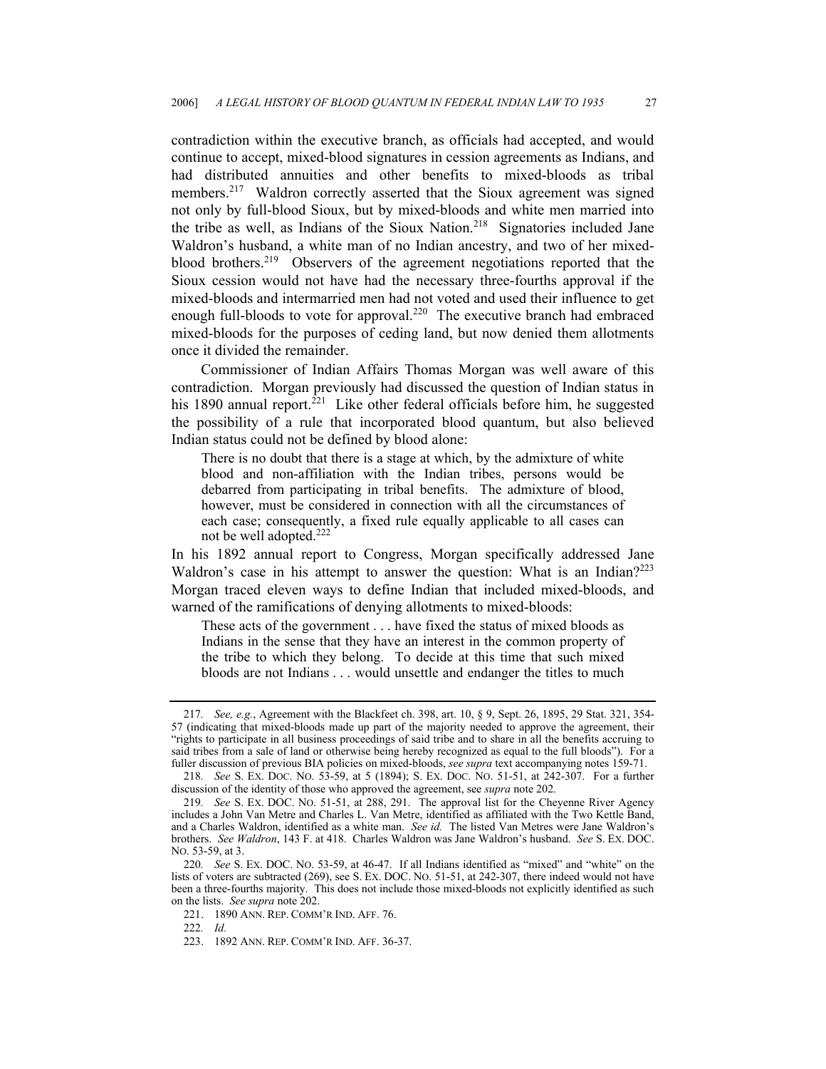contradiction within the executive branch, as officials had accepted, and would continue to accept, mixed-blood signatures in cession agreements as Indians, and had distributed annuities and other benefits to mixed-bloods as tribal members.<sup>217</sup> Waldron correctly asserted that the Sioux agreement was signed not only by full-blood Sioux, but by mixed-bloods and white men married into the tribe as well, as Indians of the Sioux Nation.<sup>218</sup> Signatories included Jane Waldron's husband, a white man of no Indian ancestry, and two of her mixedblood brothers.[219](#page-26-2) Observers of the agreement negotiations reported that the Sioux cession would not have had the necessary three-fourths approval if the mixed-bloods and intermarried men had not voted and used their influence to get enough full-bloods to vote for approval.<sup>220</sup> The executive branch had embraced mixed-bloods for the purposes of ceding land, but now denied them allotments once it divided the remainder.

Commissioner of Indian Affairs Thomas Morgan was well aware of this contradiction. Morgan previously had discussed the question of Indian status in his 1890 annual report.<sup>221</sup> Like other federal officials before him, he suggested the possibility of a rule that incorporated blood quantum, but also believed Indian status could not be defined by blood alone:

There is no doubt that there is a stage at which, by the admixture of white blood and non-affiliation with the Indian tribes, persons would be debarred from participating in tribal benefits. The admixture of blood, however, must be considered in connection with all the circumstances of each case; consequently, a fixed rule equally applicable to all cases can not be well adopted.[222](#page-26-5)

In his 1892 annual report to Congress, Morgan specifically addressed Jane Waldron's case in his attempt to answer the question: What is an Indian?<sup>223</sup> Morgan traced eleven ways to define Indian that included mixed-bloods, and warned of the ramifications of denying allotments to mixed-bloods:

These acts of the government . . . have fixed the status of mixed bloods as Indians in the sense that they have an interest in the common property of the tribe to which they belong. To decide at this time that such mixed bloods are not Indians . . . would unsettle and endanger the titles to much

<span id="page-26-0"></span><sup>217</sup>*. See, e.g.*, Agreement with the Blackfeet ch. 398, art. 10, § 9, Sept. 26, 1895, 29 Stat. 321, 354- 57 (indicating that mixed-bloods made up part of the majority needed to approve the agreement, their "rights to participate in all business proceedings of said tribe and to share in all the benefits accruing to said tribes from a sale of land or otherwise being hereby recognized as equal to the full bloods"). For a fuller discussion of previous BIA policies on mixed-bloods, *see supra* text accompanying notes 159-71.

<span id="page-26-1"></span><sup>218</sup>*. See* S. EX. DOC. NO. 53-59, at 5 (1894); S. EX. DOC. NO. 51-51, at 242-307. For a further discussion of the identity of those who approved the agreement, see *supra* note 202.

<span id="page-26-2"></span><sup>219</sup>*. See* S. EX. DOC. NO. 51-51, at 288, 291. The approval list for the Cheyenne River Agency includes a John Van Metre and Charles L. Van Metre, identified as affiliated with the Two Kettle Band, and a Charles Waldron, identified as a white man. *See id.* The listed Van Metres were Jane Waldron's brothers. *See Waldron*, 143 F. at 418. Charles Waldron was Jane Waldron's husband. *See* S. EX. DOC. NO. 53-59, at 3.

<span id="page-26-3"></span><sup>220</sup>*. See* S. EX. DOC. NO. 53-59, at 46-47. If all Indians identified as "mixed" and "white" on the lists of voters are subtracted (269), see S. EX. DOC. NO. 51-51, at 242-307, there indeed would not have been a three-fourths majority. This does not include those mixed-bloods not explicitly identified as such on the lists. *See supra* note 202.

<span id="page-26-4"></span><sup>221. 1890</sup> ANN. REP. COMM'R IND. AFF. 76.

<span id="page-26-5"></span><sup>222</sup>*. Id.*

<span id="page-26-6"></span><sup>223. 1892</sup> ANN. REP. COMM'R IND. AFF. 36-37.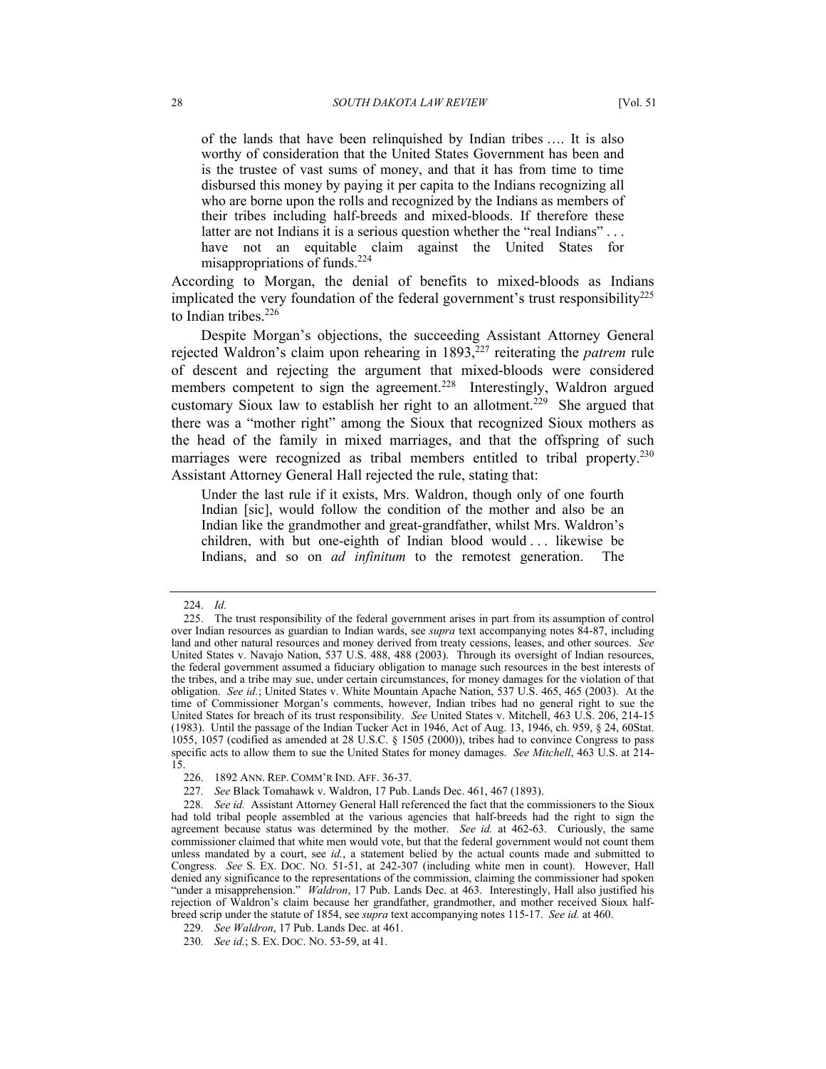of the lands that have been relinquished by Indian tribes …. It is also worthy of consideration that the United States Government has been and is the trustee of vast sums of money, and that it has from time to time disbursed this money by paying it per capita to the Indians recognizing all who are borne upon the rolls and recognized by the Indians as members of their tribes including half-breeds and mixed-bloods. If therefore these latter are not Indians it is a serious question whether the "real Indians"... have not an equitable claim against the United States for misappropriations of funds.[224](#page-27-0)

According to Morgan, the denial of benefits to mixed-bloods as Indians implicated the very foundation of the federal government's trust responsibility<sup>[225](#page-27-1)</sup> to Indian tribes.<sup>[226](#page-27-2)</sup>

Despite Morgan's objections, the succeeding Assistant Attorney General rejected Waldron's claim upon rehearing in 1893,[227](#page-27-3) reiterating the *patrem* rule of descent and rejecting the argument that mixed-bloods were considered members competent to sign the agreement.<sup>228</sup> Interestingly, Waldron argued customary Sioux law to establish her right to an allotment.<sup>229</sup> She argued that there was a "mother right" among the Sioux that recognized Sioux mothers as the head of the family in mixed marriages, and that the offspring of such marriages were recognized as tribal members entitled to tribal property.<sup>230</sup> Assistant Attorney General Hall rejected the rule, stating that:

Under the last rule if it exists, Mrs. Waldron, though only of one fourth Indian [sic], would follow the condition of the mother and also be an Indian like the grandmother and great-grandfather, whilst Mrs. Waldron's children, with but one-eighth of Indian blood would . . . likewise be Indians, and so on *ad infinitum* to the remotest generation. The

<span id="page-27-4"></span><span id="page-27-3"></span>227*. See* Black Tomahawk v. Waldron, 17 Pub. Lands Dec. 461, 467 (1893).

<span id="page-27-1"></span><span id="page-27-0"></span><sup>224.</sup> *Id.* 

<sup>225.</sup> The trust responsibility of the federal government arises in part from its assumption of control over Indian resources as guardian to Indian wards, see *supra* text accompanying notes 84-87, including land and other natural resources and money derived from treaty cessions, leases, and other sources. *See*  United States v. Navajo Nation, 537 U.S. 488, 488 (2003). Through its oversight of Indian resources, the federal government assumed a fiduciary obligation to manage such resources in the best interests of the tribes, and a tribe may sue, under certain circumstances, for money damages for the violation of that obligation. *See id.*; United States v. White Mountain Apache Nation, 537 U.S. 465, 465 (2003). At the time of Commissioner Morgan's comments, however, Indian tribes had no general right to sue the United States for breach of its trust responsibility. *See* United States v. Mitchell, 463 U.S. 206, 214-15 (1983). Until the passage of the Indian Tucker Act in 1946, Act of Aug. 13, 1946, ch. 959, § 24, 60Stat. 1055, 1057 (codified as amended at 28 U.S.C. § 1505 (2000)), tribes had to convince Congress to pass specific acts to allow them to sue the United States for money damages. *See Mitchell*, 463 U.S. at 214- 15.

<span id="page-27-2"></span><sup>226. 1892</sup> ANN. REP. COMM'R IND. AFF. 36-37.

<sup>228</sup>*. See id.* Assistant Attorney General Hall referenced the fact that the commissioners to the Sioux had told tribal people assembled at the various agencies that half-breeds had the right to sign the agreement because status was determined by the mother. *See id.* at 462-63. Curiously, the same commissioner claimed that white men would vote, but that the federal government would not count them unless mandated by a court, see *id.*, a statement belied by the actual counts made and submitted to Congress. *See* S. EX. DOC. NO. 51-51, at 242-307 (including white men in count). However, Hall denied any significance to the representations of the commission, claiming the commissioner had spoken "under a misapprehension." *Waldron*, 17 Pub. Lands Dec. at 463.Interestingly, Hall also justified his rejection of Waldron's claim because her grandfather, grandmother, and mother received Sioux halfbreed scrip under the statute of 1854, see *supra* text accompanying notes 115-17. *See id.* at 460.

<span id="page-27-5"></span><sup>229</sup>*. See Waldron*, 17 Pub. Lands Dec. at 461.

<span id="page-27-6"></span><sup>230</sup>*. See id.*; S. EX. DOC. NO. 53-59, at 41.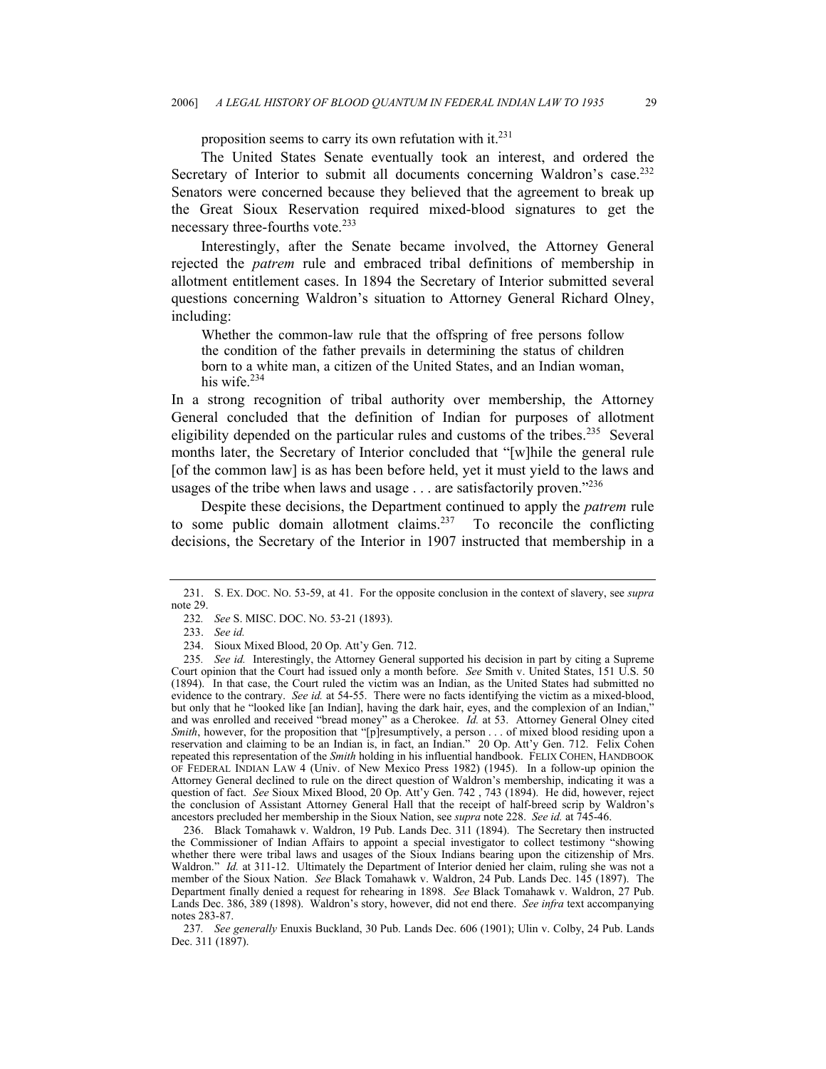proposition seems to carry its own refutation with it.<sup>[231](#page-28-0)</sup>

The United States Senate eventually took an interest, and ordered the Secretary of Interior to submit all documents concerning Waldron's case.<sup>232</sup> Senators were concerned because they believed that the agreement to break up the Great Sioux Reservation required mixed-blood signatures to get the necessary three-fourths vote.<sup>[233](#page-28-2)</sup>

Interestingly, after the Senate became involved, the Attorney General rejected the *patrem* rule and embraced tribal definitions of membership in allotment entitlement cases. In 1894 the Secretary of Interior submitted several questions concerning Waldron's situation to Attorney General Richard Olney, including:

Whether the common-law rule that the offspring of free persons follow the condition of the father prevails in determining the status of children born to a white man, a citizen of the United States, and an Indian woman, his wife.[234](#page-28-3)

In a strong recognition of tribal authority over membership, the Attorney General concluded that the definition of Indian for purposes of allotment eligibility depended on the particular rules and customs of the tribes.<sup>235</sup> Several months later, the Secretary of Interior concluded that "[w]hile the general rule [of the common law] is as has been before held, yet it must yield to the laws and usages of the tribe when laws and usage . . . are satisfactorily proven."[236](#page-28-5)

Despite these decisions, the Department continued to apply the *patrem* rule to some public domain allotment claims.<sup>237</sup> To reconcile the conflicting decisions, the Secretary of the Interior in 1907 instructed that membership in a

<span id="page-28-0"></span><sup>231.</sup> S. EX. DOC. NO. 53-59, at 41. For the opposite conclusion in the context of slavery, see *supra* note 29.

<span id="page-28-1"></span><sup>232</sup>*. See* S. MISC. DOC. NO. 53-21 (1893).

<span id="page-28-2"></span><sup>233.</sup> *See id.*

<span id="page-28-4"></span><span id="page-28-3"></span><sup>234.</sup> Sioux Mixed Blood, 20 Op. Att'y Gen. 712.

<sup>235</sup>*. See id.* Interestingly, the Attorney General supported his decision in part by citing a Supreme Court opinion that the Court had issued only a month before. *See* Smith v. United States, 151 U.S. 50 (1894). In that case, the Court ruled the victim was an Indian, as the United States had submitted no evidence to the contrary. *See id.* at 54-55. There were no facts identifying the victim as a mixed-blood, but only that he "looked like [an Indian], having the dark hair, eyes, and the complexion of an Indian," and was enrolled and received "bread money" as a Cherokee. *Id.* at 53. Attorney General Olney cited *Smith*, however, for the proposition that "[p]resumptively, a person . . . of mixed blood residing upon a reservation and claiming to be an Indian is, in fact, an Indian." 20 Op. Att'y Gen. 712. Felix Cohen repeated this representation of the *Smith* holding in his influential handbook. FELIX COHEN, HANDBOOK OF FEDERAL INDIAN LAW 4 (Univ. of New Mexico Press 1982) (1945). In a follow-up opinion the Attorney General declined to rule on the direct question of Waldron's membership, indicating it was a question of fact. *See* Sioux Mixed Blood, 20 Op. Att'y Gen. 742 , 743 (1894). He did, however, reject the conclusion of Assistant Attorney General Hall that the receipt of half-breed scrip by Waldron's ancestors precluded her membership in the Sioux Nation, see *supra* note 228. *See id.* at 745-46.

<span id="page-28-5"></span><sup>236.</sup> Black Tomahawk v. Waldron, 19 Pub. Lands Dec. 311 (1894). The Secretary then instructed the Commissioner of Indian Affairs to appoint a special investigator to collect testimony "showing whether there were tribal laws and usages of the Sioux Indians bearing upon the citizenship of Mrs. Waldron." *Id.* at 311-12. Ultimately the Department of Interior denied her claim, ruling she was not a member of the Sioux Nation. *See* Black Tomahawk v. Waldron, 24 Pub. Lands Dec. 145 (1897). The Department finally denied a request for rehearing in 1898. *See* Black Tomahawk v. Waldron, 27 Pub. Lands Dec. 386, 389 (1898). Waldron's story, however, did not end there. *See infra* text accompanying notes 283-87.

<span id="page-28-6"></span><sup>237</sup>*. See generally* Enuxis Buckland, 30 Pub. Lands Dec. 606 (1901); Ulin v. Colby, 24 Pub. Lands Dec. 311 (1897).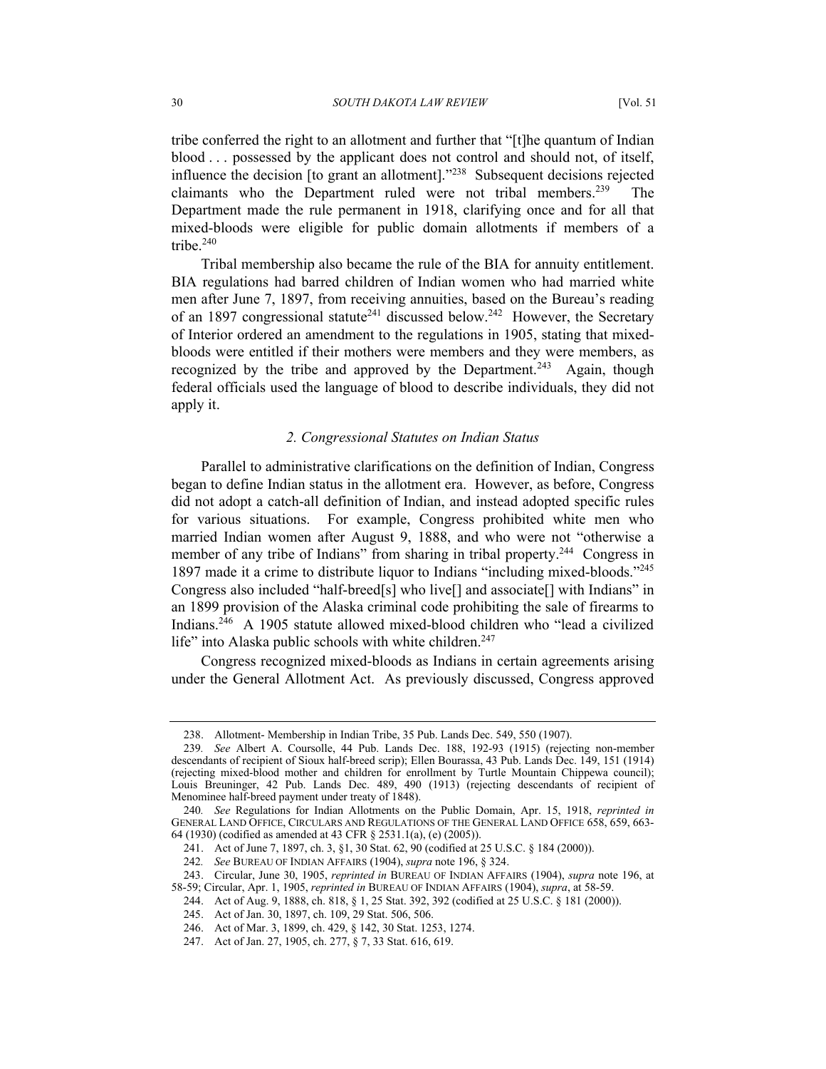tribe conferred the right to an allotment and further that "[t]he quantum of Indian blood . . . possessed by the applicant does not control and should not, of itself, influence the decision [to grant an allotment].["238](#page-29-0) Subsequent decisions rejected claimants who the Department ruled were not tribal members.[239](#page-29-1) The Department made the rule permanent in 1918, clarifying once and for all that mixed-bloods were eligible for public domain allotments if members of a tribe.[240](#page-29-2)

Tribal membership also became the rule of the BIA for annuity entitlement. BIA regulations had barred children of Indian women who had married white men after June 7, 1897, from receiving annuities, based on the Bureau's reading of an 1897 congressional statute<sup>241</sup> discussed below.<sup>242</sup> However, the Secretary of Interior ordered an amendment to the regulations in 1905, stating that mixedbloods were entitled if their mothers were members and they were members, as recognized by the tribe and approved by the Department.<sup>243</sup> Again, though federal officials used the language of blood to describe individuals, they did not apply it.

### *2. Congressional Statutes on Indian Status*

Parallel to administrative clarifications on the definition of Indian, Congress began to define Indian status in the allotment era. However, as before, Congress did not adopt a catch-all definition of Indian, and instead adopted specific rules for various situations. For example, Congress prohibited white men who married Indian women after August 9, 1888, and who were not "otherwise a member of any tribe of Indians" from sharing in tribal property.<sup>244</sup> Congress in 1897 made it a crime to distribute liquor to Indians "including mixed-bloods."[245](#page-29-7)  Congress also included "half-breed[s] who live[] and associate[] with Indians" in an 1899 provision of the Alaska criminal code prohibiting the sale of firearms to Indians[.246](#page-29-8) A 1905 statute allowed mixed-blood children who "lead a civilized life" into Alaska public schools with white children.<sup>[247](#page-29-9)</sup>

Congress recognized mixed-bloods as Indians in certain agreements arising under the General Allotment Act. As previously discussed, Congress approved

<span id="page-29-1"></span><span id="page-29-0"></span><sup>238.</sup> Allotment- Membership in Indian Tribe, 35 Pub. Lands Dec. 549, 550 (1907).

<sup>239</sup>*. See* Albert A. Coursolle, 44 Pub. Lands Dec. 188, 192-93 (1915) (rejecting non-member descendants of recipient of Sioux half-breed scrip); Ellen Bourassa, 43 Pub. Lands Dec. 149, 151 (1914) (rejecting mixed-blood mother and children for enrollment by Turtle Mountain Chippewa council); Louis Breuninger, 42 Pub. Lands Dec. 489, 490 (1913) (rejecting descendants of recipient of Menominee half-breed payment under treaty of 1848).

<span id="page-29-2"></span><sup>240</sup>*. See* Regulations for Indian Allotments on the Public Domain, Apr. 15, 1918, *reprinted in*  GENERAL LAND OFFICE, CIRCULARS AND REGULATIONS OF THE GENERAL LAND OFFICE 658, 659, 663- 64 (1930) (codified as amended at 43 CFR § 2531.1(a), (e) (2005)).

<span id="page-29-3"></span><sup>241.</sup> Act of June 7, 1897, ch. 3, §1, 30 Stat. 62, 90 (codified at 25 U.S.C. § 184 (2000)).

<span id="page-29-4"></span><sup>242</sup>*. See* BUREAU OF INDIAN AFFAIRS (1904), *supra* note 196, § 324.

<span id="page-29-5"></span><sup>243.</sup> Circular, June 30, 1905, *reprinted in* BUREAU OF INDIAN AFFAIRS (1904), *supra* note 196, at 58-59; Circular, Apr. 1, 1905, *reprinted in* BUREAU OF INDIAN AFFAIRS (1904), *supra*, at 58-59.

<span id="page-29-6"></span><sup>244.</sup> Act of Aug. 9, 1888, ch. 818, § 1, 25 Stat. 392, 392 (codified at 25 U.S.C. § 181 (2000)).

<span id="page-29-7"></span><sup>245.</sup> Act of Jan. 30, 1897, ch. 109, 29 Stat. 506, 506.

<span id="page-29-8"></span><sup>246.</sup> Act of Mar. 3, 1899, ch. 429, § 142, 30 Stat. 1253, 1274.

<span id="page-29-9"></span><sup>247.</sup> Act of Jan. 27, 1905, ch. 277, § 7, 33 Stat. 616, 619.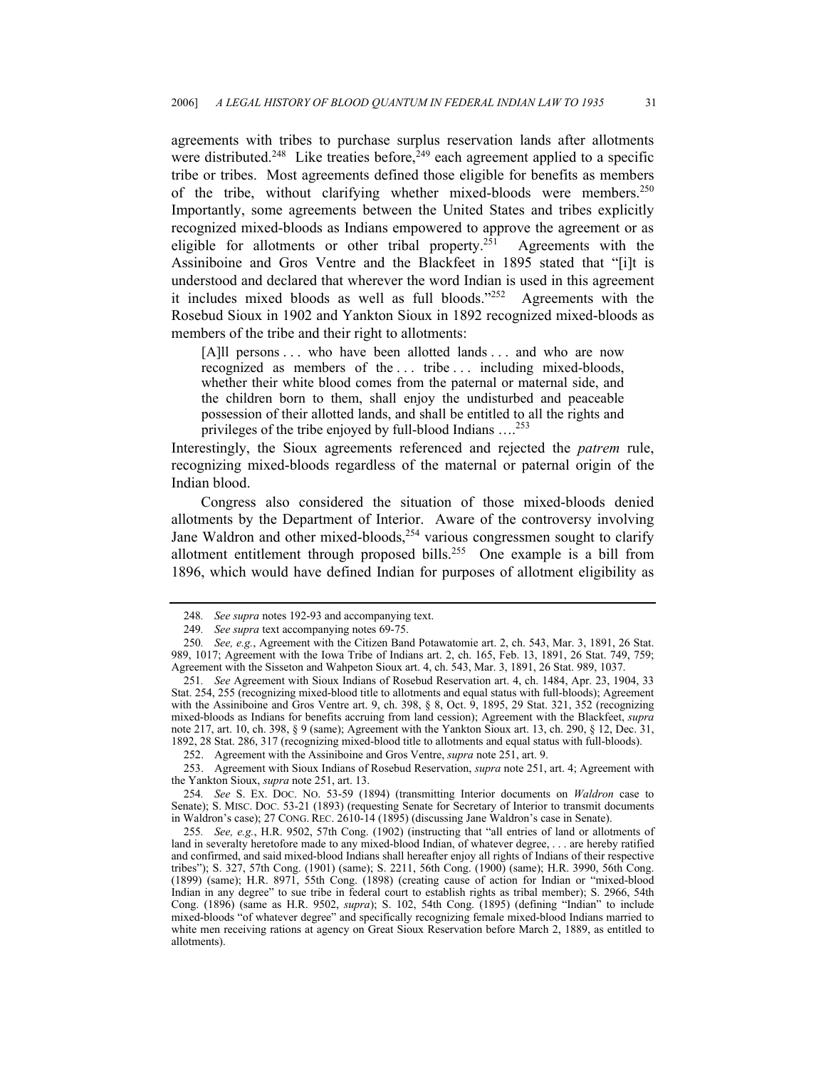agreements with tribes to purchase surplus reservation lands after allotments were distributed.<sup>248</sup> Like treaties before,<sup>249</sup> each agreement applied to a specific tribe or tribes. Most agreements defined those eligible for benefits as members of the tribe, without clarifying whether mixed-bloods were members.<sup>250</sup> Importantly, some agreements between the United States and tribes explicitly recognized mixed-bloods as Indians empowered to approve the agreement or as eligible for allotments or other tribal property.<sup>251</sup> Agreements with the Assiniboine and Gros Ventre and the Blackfeet in 1895 stated that "[i]t is understood and declared that wherever the word Indian is used in this agreement it includes mixed bloods as well as full bloods."[252](#page-30-4) Agreements with the Rosebud Sioux in 1902 and Yankton Sioux in 1892 recognized mixed-bloods as members of the tribe and their right to allotments:

[A]ll persons . . . who have been allotted lands . . . and who are now recognized as members of the ... tribe ... including mixed-bloods, whether their white blood comes from the paternal or maternal side, and the children born to them, shall enjoy the undisturbed and peaceable possession of their allotted lands, and shall be entitled to all the rights and privileges of the tribe enjoyed by full-blood Indians ....<sup>[253](#page-30-5)</sup>

Interestingly, the Sioux agreements referenced and rejected the *patrem* rule, recognizing mixed-bloods regardless of the maternal or paternal origin of the Indian blood.

Congress also considered the situation of those mixed-bloods denied allotments by the Department of Interior. Aware of the controversy involving Jane Waldron and other mixed-bloods,  $254$  various congressmen sought to clarify allotment entitlement through proposed bills.<sup>255</sup> One example is a bill from 1896, which would have defined Indian for purposes of allotment eligibility as

<span id="page-30-0"></span><sup>248</sup>*. See supra* notes 192-93 and accompanying text.

<span id="page-30-2"></span><span id="page-30-1"></span><sup>249</sup>*. See supra* text accompanying notes 69-75.

<sup>250</sup>*. See, e.g.*, Agreement with the Citizen Band Potawatomie art. 2, ch. 543, Mar. 3, 1891, 26 Stat. 989, 1017; Agreement with the Iowa Tribe of Indians art. 2, ch. 165, Feb. 13, 1891, 26 Stat. 749, 759; Agreement with the Sisseton and Wahpeton Sioux art. 4, ch. 543, Mar. 3, 1891, 26 Stat. 989, 1037.

<span id="page-30-3"></span><sup>251</sup>*. See* Agreement with Sioux Indians of Rosebud Reservation art. 4, ch. 1484, Apr. 23, 1904, 33 Stat. 254, 255 (recognizing mixed-blood title to allotments and equal status with full-bloods); Agreement with the Assiniboine and Gros Ventre art. 9, ch. 398, § 8, Oct. 9, 1895, 29 Stat. 321, 352 (recognizing mixed-bloods as Indians for benefits accruing from land cession); Agreement with the Blackfeet, *supra* note 217, art. 10, ch. 398, § 9 (same); Agreement with the Yankton Sioux art. 13, ch. 290, § 12, Dec. 31, 1892, 28 Stat. 286, 317 (recognizing mixed-blood title to allotments and equal status with full-bloods).

<span id="page-30-4"></span><sup>252.</sup> Agreement with the Assiniboine and Gros Ventre, *supra* note 251, art. 9.

<span id="page-30-5"></span><sup>253.</sup> Agreement with Sioux Indians of Rosebud Reservation, *supra* note 251, art. 4; Agreement with the Yankton Sioux, *supra* note 251, art. 13.

<span id="page-30-6"></span><sup>254</sup>*. See* S. EX. DOC. NO. 53-59 (1894) (transmitting Interior documents on *Waldron* case to Senate); S. MISC. DOC. 53-21 (1893) (requesting Senate for Secretary of Interior to transmit documents in Waldron's case); 27 CONG. REC. 2610-14 (1895) (discussing Jane Waldron's case in Senate).

<span id="page-30-7"></span><sup>255</sup>*. See, e.g.*, H.R. 9502, 57th Cong. (1902) (instructing that "all entries of land or allotments of land in severalty heretofore made to any mixed-blood Indian, of whatever degree, . . . are hereby ratified and confirmed, and said mixed-blood Indians shall hereafter enjoy all rights of Indians of their respective tribes"); S. 327, 57th Cong. (1901) (same); S. 2211, 56th Cong. (1900) (same); H.R. 3990, 56th Cong. (1899) (same); H.R. 8971, 55th Cong. (1898) (creating cause of action for Indian or "mixed-blood Indian in any degree" to sue tribe in federal court to establish rights as tribal member); S. 2966, 54th Cong. (1896) (same as H.R. 9502, *supra*); S. 102, 54th Cong. (1895) (defining "Indian" to include mixed-bloods "of whatever degree" and specifically recognizing female mixed-blood Indians married to white men receiving rations at agency on Great Sioux Reservation before March 2, 1889, as entitled to allotments).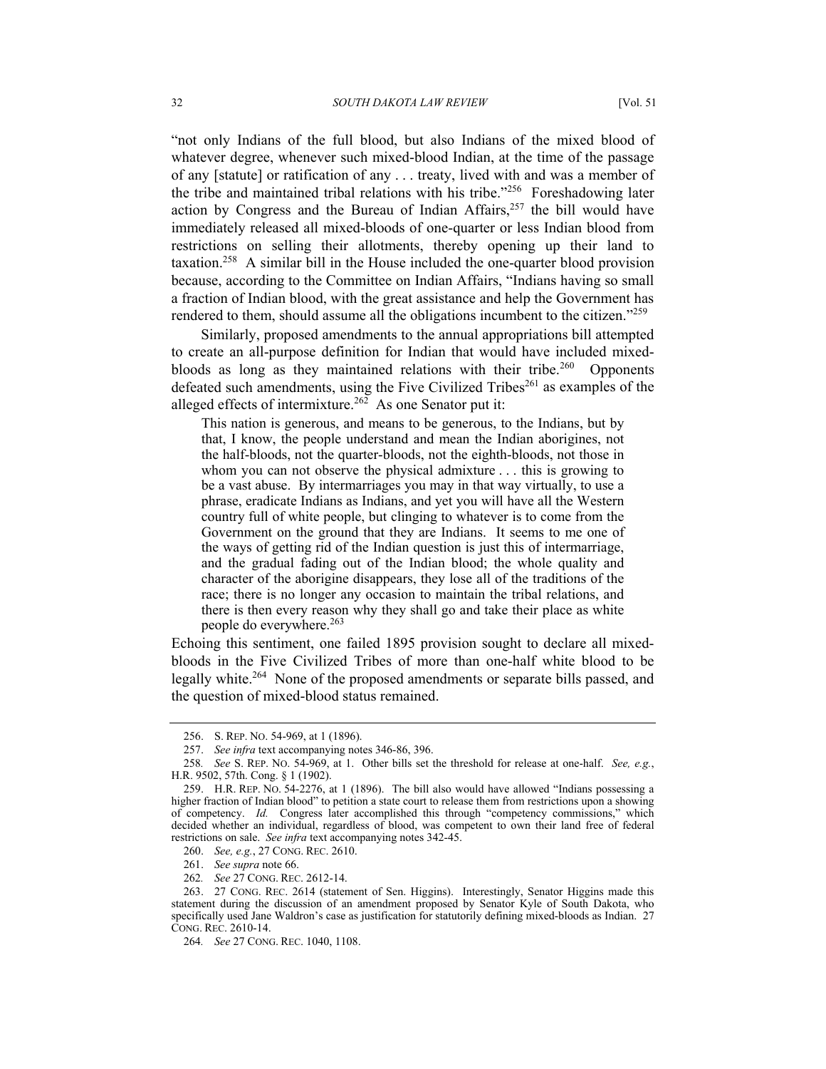"not only Indians of the full blood, but also Indians of the mixed blood of whatever degree, whenever such mixed-blood Indian, at the time of the passage of any [statute] or ratification of any . . . treaty, lived with and was a member of the tribe and maintained tribal relations with his tribe.["256](#page-31-0) Foreshadowing later action by Congress and the Bureau of Indian Affairs,  $257$  the bill would have immediately released all mixed-bloods of one-quarter or less Indian blood from restrictions on selling their allotments, thereby opening up their land to taxation[.258](#page-31-2) A similar bill in the House included the one-quarter blood provision because, according to the Committee on Indian Affairs, "Indians having so small a fraction of Indian blood, with the great assistance and help the Government has rendered to them, should assume all the obligations incumbent to the citizen."[259](#page-31-3)

Similarly, proposed amendments to the annual appropriations bill attempted to create an all-purpose definition for Indian that would have included mixedbloods as long as they maintained relations with their tribe.<sup>260</sup> Opponents defeated such amendments, using the Five Civilized Tribes<sup>261</sup> as examples of the alleged effects of intermixture.<sup>262</sup> As one Senator put it:

This nation is generous, and means to be generous, to the Indians, but by that, I know, the people understand and mean the Indian aborigines, not the half-bloods, not the quarter-bloods, not the eighth-bloods, not those in whom you can not observe the physical admixture . . . this is growing to be a vast abuse. By intermarriages you may in that way virtually, to use a phrase, eradicate Indians as Indians, and yet you will have all the Western country full of white people, but clinging to whatever is to come from the Government on the ground that they are Indians. It seems to me one of the ways of getting rid of the Indian question is just this of intermarriage, and the gradual fading out of the Indian blood; the whole quality and character of the aborigine disappears, they lose all of the traditions of the race; there is no longer any occasion to maintain the tribal relations, and there is then every reason why they shall go and take their place as white people do everywhere.<sup>[263](#page-31-7)</sup>

Echoing this sentiment, one failed 1895 provision sought to declare all mixedbloods in the Five Civilized Tribes of more than one-half white blood to be legally white[.264](#page-31-8) None of the proposed amendments or separate bills passed, and the question of mixed-blood status remained.

<span id="page-31-5"></span>261. *See supra* note 66.

<span id="page-31-0"></span><sup>256.</sup> S. REP. NO. 54-969, at 1 (1896).

<span id="page-31-1"></span><sup>257.</sup> *See infra* text accompanying notes 346-86, 396.

<span id="page-31-2"></span><sup>258</sup>*. See* S. REP. NO. 54-969, at 1. Other bills set the threshold for release at one-half. *See, e.g.*, H.R. 9502, 57th. Cong. § 1 (1902).

<span id="page-31-3"></span><sup>259.</sup> H.R. REP. NO. 54-2276, at 1 (1896). The bill also would have allowed "Indians possessing a higher fraction of Indian blood" to petition a state court to release them from restrictions upon a showing of competency. *Id.* Congress later accomplished this through "competency commissions," which decided whether an individual, regardless of blood, was competent to own their land free of federal restrictions on sale. *See infra* text accompanying notes 342-45.

<span id="page-31-4"></span><sup>260.</sup> *See, e.g.*, 27 CONG. REC. 2610.

<span id="page-31-6"></span><sup>262</sup>*. See* 27 CONG. REC. 2612-14.

<span id="page-31-7"></span><sup>263. 27</sup> CONG. REC. 2614 (statement of Sen. Higgins). Interestingly, Senator Higgins made this statement during the discussion of an amendment proposed by Senator Kyle of South Dakota, who specifically used Jane Waldron's case as justification for statutorily defining mixed-bloods as Indian. 27 CONG. REC. 2610-14.

<span id="page-31-8"></span><sup>264</sup>*. See* 27 CONG. REC. 1040, 1108.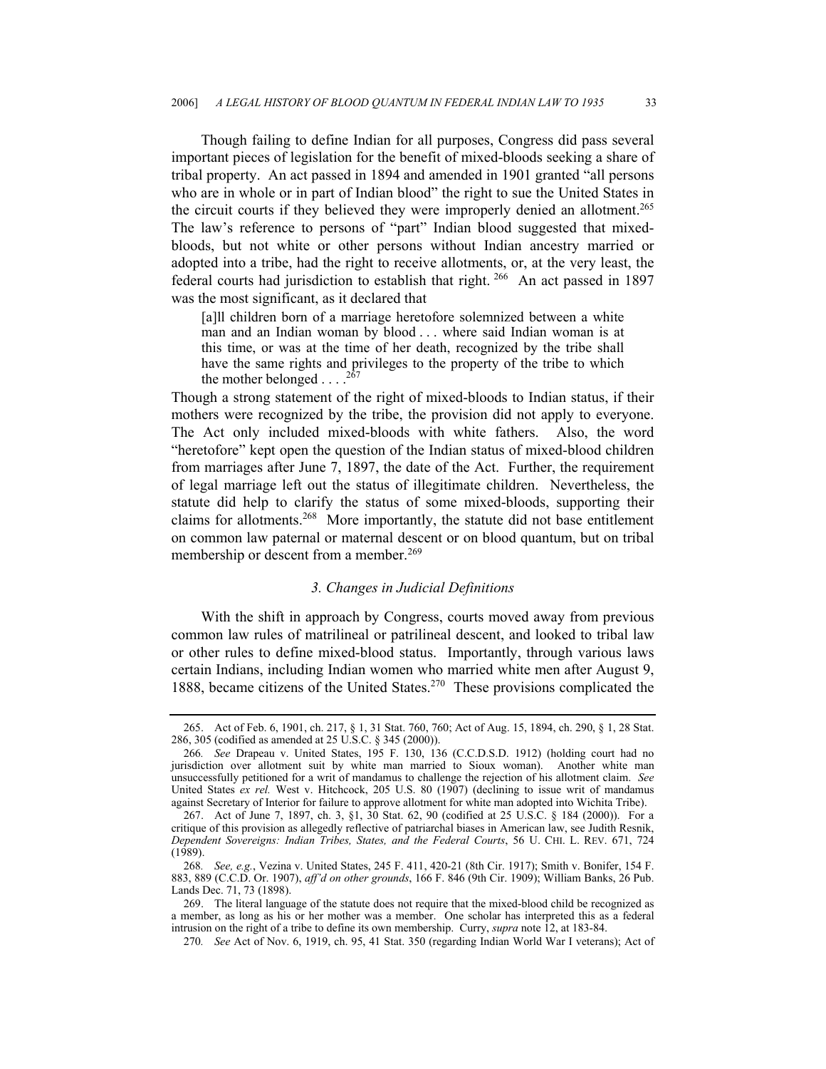Though failing to define Indian for all purposes, Congress did pass several important pieces of legislation for the benefit of mixed-bloods seeking a share of tribal property. An act passed in 1894 and amended in 1901 granted "all persons who are in whole or in part of Indian blood" the right to sue the United States in the circuit courts if they believed they were improperly denied an allotment.<sup>265</sup> The law's reference to persons of "part" Indian blood suggested that mixedbloods, but not white or other persons without Indian ancestry married or adopted into a tribe, had the right to receive allotments, or, at the very least, the federal courts had jurisdiction to establish that right.<sup>266</sup> An act passed in 1897 was the most significant, as it declared that

[a]ll children born of a marriage heretofore solemnized between a white man and an Indian woman by blood . . . where said Indian woman is at this time, or was at the time of her death, recognized by the tribe shall have the same rights and privileges to the property of the tribe to which the mother belonged  $\ldots$ .<sup>[267](#page-32-2)</sup>

Though a strong statement of the right of mixed-bloods to Indian status, if their mothers were recognized by the tribe, the provision did not apply to everyone. The Act only included mixed-bloods with white fathers. Also, the word "heretofore" kept open the question of the Indian status of mixed-blood children from marriages after June 7, 1897, the date of the Act. Further, the requirement of legal marriage left out the status of illegitimate children. Nevertheless, the statute did help to clarify the status of some mixed-bloods, supporting their claims for allotments.[268](#page-32-3) More importantly, the statute did not base entitlement on common law paternal or maternal descent or on blood quantum, but on tribal membership or descent from a member.<sup>[269](#page-32-4)</sup>

## *3. Changes in Judicial Definitions*

With the shift in approach by Congress, courts moved away from previous common law rules of matrilineal or patrilineal descent, and looked to tribal law or other rules to define mixed-blood status. Importantly, through various laws certain Indians, including Indian women who married white men after August 9, 1888, became citizens of the United States.[270](#page-32-5) These provisions complicated the

<span id="page-32-0"></span><sup>265.</sup> Act of Feb. 6, 1901, ch. 217, § 1, 31 Stat. 760, 760; Act of Aug. 15, 1894, ch. 290, § 1, 28 Stat. 286, 305 (codified as amended at 25 U.S.C. § 345 (2000)).

<span id="page-32-1"></span><sup>266</sup>*. See* Drapeau v. United States, 195 F. 130, 136 (C.C.D.S.D. 1912) (holding court had no jurisdiction over allotment suit by white man married to Sioux woman). Another white man unsuccessfully petitioned for a writ of mandamus to challenge the rejection of his allotment claim. *See*  United States *ex rel.* West v. Hitchcock, 205 U.S. 80 (1907) (declining to issue writ of mandamus against Secretary of Interior for failure to approve allotment for white man adopted into Wichita Tribe).

<span id="page-32-2"></span><sup>267.</sup> Act of June 7, 1897, ch. 3, §1, 30 Stat. 62, 90 (codified at 25 U.S.C. § 184 (2000)). For a critique of this provision as allegedly reflective of patriarchal biases in American law, see Judith Resnik, *Dependent Sovereigns: Indian Tribes, States, and the Federal Courts*, 56 U. CHI. L. REV. 671, 724 (1989).

<span id="page-32-3"></span><sup>268</sup>*. See, e.g.*, Vezina v. United States, 245 F. 411, 420-21 (8th Cir. 1917); Smith v. Bonifer, 154 F. 883, 889 (C.C.D. Or. 1907), *aff'd on other grounds*, 166 F. 846 (9th Cir. 1909); William Banks, 26 Pub. Lands Dec. 71, 73 (1898).

<span id="page-32-4"></span><sup>269.</sup> The literal language of the statute does not require that the mixed-blood child be recognized as a member, as long as his or her mother was a member. One scholar has interpreted this as a federal intrusion on the right of a tribe to define its own membership. Curry, *supra* note 12, at 183-84.

<span id="page-32-5"></span><sup>270</sup>*. See* Act of Nov. 6, 1919, ch. 95, 41 Stat. 350 (regarding Indian World War I veterans); Act of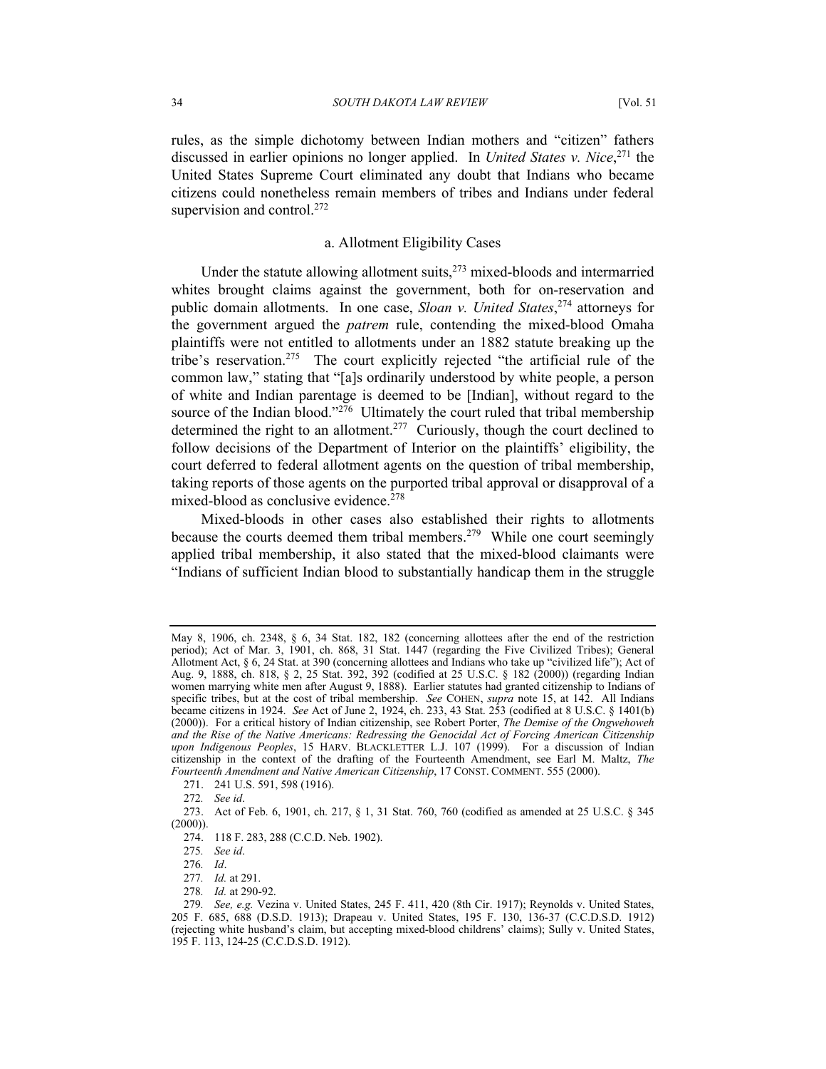rules, as the simple dichotomy between Indian mothers and "citizen" fathers discussed in earlier opinions no longer applied. In *United States v. Nice*, [271](#page-33-0) the United States Supreme Court eliminated any doubt that Indians who became citizens could nonetheless remain members of tribes and Indians under federal supervision and control.<sup>272</sup>

## a. Allotment Eligibility Cases

Under the statute allowing allotment suits, $273$  mixed-bloods and intermarried whites brought claims against the government, both for on-reservation and public domain allotments. In one case, *Sloan v. United States*, [274](#page-33-3) attorneys for the government argued the *patrem* rule, contending the mixed-blood Omaha plaintiffs were not entitled to allotments under an 1882 statute breaking up the tribe's reservation.[275](#page-33-4) The court explicitly rejected "the artificial rule of the common law," stating that "[a]s ordinarily understood by white people, a person of white and Indian parentage is deemed to be [Indian], without regard to the source of the Indian blood."<sup>276</sup> Ultimately the court ruled that tribal membership determined the right to an allotment.<sup>277</sup> Curiously, though the court declined to follow decisions of the Department of Interior on the plaintiffs' eligibility, the court deferred to federal allotment agents on the question of tribal membership, taking reports of those agents on the purported tribal approval or disapproval of a mixed-blood as conclusive evidence.<sup>[278](#page-33-7)</sup>

Mixed-bloods in other cases also established their rights to allotments because the courts deemed them tribal members.<sup>279</sup> While one court seemingly applied tribal membership, it also stated that the mixed-blood claimants were "Indians of sufficient Indian blood to substantially handicap them in the struggle

May 8, 1906, ch. 2348, § 6, 34 Stat. 182, 182 (concerning allottees after the end of the restriction period); Act of Mar. 3, 1901, ch. 868, 31 Stat. 1447 (regarding the Five Civilized Tribes); General Allotment Act, § 6, 24 Stat. at 390 (concerning allottees and Indians who take up "civilized life"); Act of Aug. 9, 1888, ch. 818, § 2, 25 Stat. 392, 392 (codified at 25 U.S.C. § 182 (2000)) (regarding Indian women marrying white men after August 9, 1888). Earlier statutes had granted citizenship to Indians of specific tribes, but at the cost of tribal membership. *See COHEN, supra* note 15, at 142. All Indians became citizens in 1924. *See* Act of June 2, 1924, ch. 233, 43 Stat. 253 (codified at 8 U.S.C. § 1401(b) (2000)). For a critical history of Indian citizenship, see Robert Porter, *The Demise of the Ongwehoweh*  and the Rise of the Native Americans: Redressing the Genocidal Act of Forcing American Citizenship *upon Indigenous Peoples*, 15 HARV. BLACKLETTER L.J. 107 (1999). For a discussion of Indian citizenship in the context of the drafting of the Fourteenth Amendment, see Earl M. Maltz, *The Fourteenth Amendment and Native American Citizenship*, 17 CONST. COMMENT. 555 (2000).

<span id="page-33-0"></span><sup>271. 241</sup> U.S. 591, 598 (1916).

<span id="page-33-2"></span><span id="page-33-1"></span><sup>272</sup>*. See id*.

<sup>273.</sup> Act of Feb. 6, 1901, ch. 217, § 1, 31 Stat. 760, 760 (codified as amended at 25 U.S.C. § 345  $(2000)$ ).

<span id="page-33-3"></span><sup>274. 118</sup> F. 283, 288 (C.C.D. Neb. 1902).

<span id="page-33-4"></span><sup>275</sup>*. See id*.

<span id="page-33-5"></span><sup>276</sup>*. Id*.

<span id="page-33-6"></span><sup>277</sup>*. Id.* at 291.

<span id="page-33-7"></span><sup>278</sup>*. Id.* at 290-92.

<span id="page-33-8"></span><sup>279</sup>*. See, e.g.* Vezina v. United States, 245 F. 411, 420 (8th Cir. 1917); Reynolds v. United States, 205 F. 685, 688 (D.S.D. 1913); Drapeau v. United States, 195 F. 130, 136-37 (C.C.D.S.D. 1912) (rejecting white husband's claim, but accepting mixed-blood childrens' claims); Sully v. United States, 195 F. 113, 124-25 (C.C.D.S.D. 1912).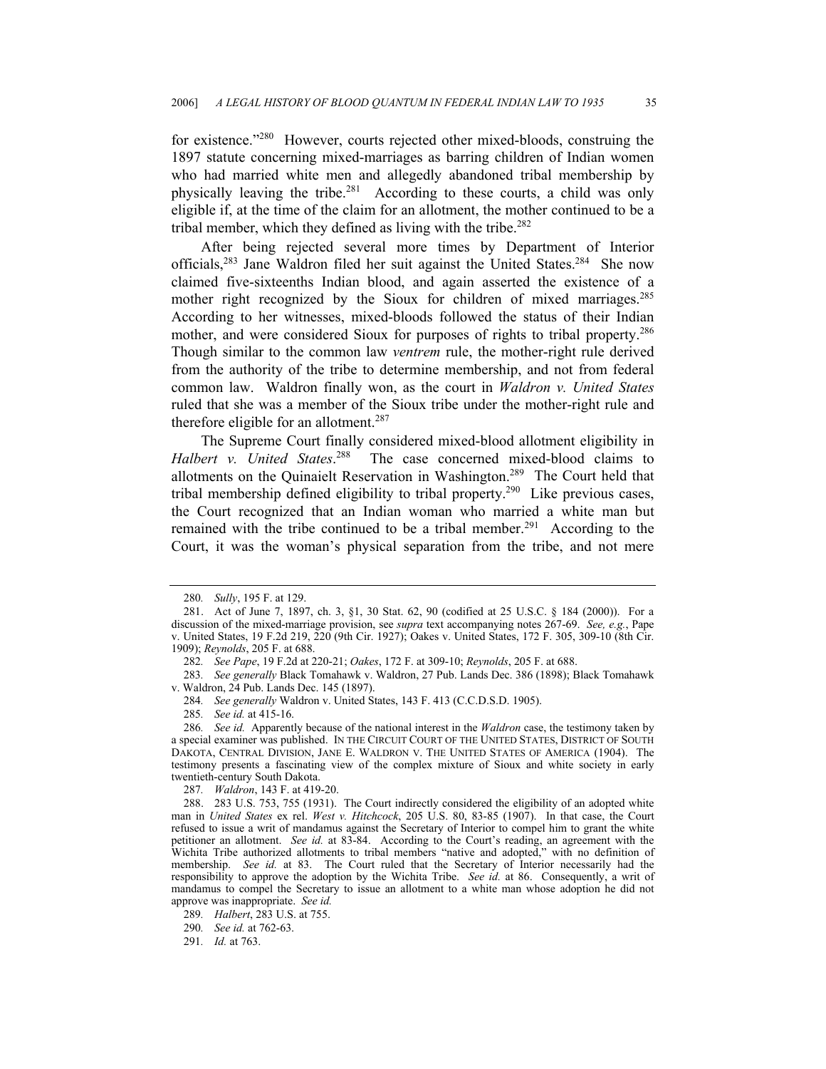for existence."[280](#page-34-0) However, courts rejected other mixed-bloods, construing the 1897 statute concerning mixed-marriages as barring children of Indian women who had married white men and allegedly abandoned tribal membership by physically leaving the tribe.[281](#page-34-1) According to these courts, a child was only eligible if, at the time of the claim for an allotment, the mother continued to be a tribal member, which they defined as living with the tribe.<sup>[282](#page-34-2)</sup>

After being rejected several more times by Department of Interior officials,[283](#page-34-3) Jane Waldron filed her suit against the United States.[284](#page-34-4) She now claimed five-sixteenths Indian blood, and again asserted the existence of a mother right recognized by the Sioux for children of mixed marriages.<sup>285</sup> According to her witnesses, mixed-bloods followed the status of their Indian mother, and were considered Sioux for purposes of rights to tribal property.[286](#page-34-6)  Though similar to the common law *ventrem* rule, the mother-right rule derived from the authority of the tribe to determine membership, and not from federal common law. Waldron finally won, as the court in *Waldron v. United States* ruled that she was a member of the Sioux tribe under the mother-right rule and therefore eligible for an allotment.<sup>287</sup>

The Supreme Court finally considered mixed-blood allotment eligibility in *Halbert v. United States*. [288](#page-34-8) The case concerned mixed-blood claims to allotments on the Quinaielt Reservation in Washington[.289](#page-34-9) The Court held that tribal membership defined eligibility to tribal property[.290](#page-34-10) Like previous cases, the Court recognized that an Indian woman who married a white man but remained with the tribe continued to be a tribal member.<sup>291</sup> According to the Court, it was the woman's physical separation from the tribe, and not mere

<span id="page-34-8"></span><span id="page-34-7"></span>287*. Waldron*, 143 F. at 419-20.

<span id="page-34-9"></span>289*. Halbert*, 283 U.S. at 755.

<span id="page-34-10"></span>290*. See id.* at 762-63.

<span id="page-34-11"></span>291*. Id.* at 763.

<span id="page-34-1"></span><span id="page-34-0"></span><sup>280</sup>*. Sully*, 195 F. at 129.

<sup>281.</sup> Act of June 7, 1897, ch. 3, §1, 30 Stat. 62, 90 (codified at 25 U.S.C. § 184 (2000)). For a discussion of the mixed-marriage provision, see *supra* text accompanying notes 267-69. *See, e.g.*, Pape v. United States, 19 F.2d 219, 220 (9th Cir. 1927); Oakes v. United States, 172 F. 305, 309-10 (8th Cir. 1909); *Reynolds*, 205 F. at 688.

<span id="page-34-3"></span><span id="page-34-2"></span><sup>282</sup>*. See Pape*, 19 F.2d at 220-21; *Oakes*, 172 F. at 309-10; *Reynolds*, 205 F. at 688.

<sup>283</sup>*. See generally* Black Tomahawk v. Waldron, 27 Pub. Lands Dec. 386 (1898); Black Tomahawk v. Waldron, 24 Pub. Lands Dec. 145 (1897).

<span id="page-34-4"></span><sup>284</sup>*. See generally* Waldron v. United States, 143 F. 413 (C.C.D.S.D. 1905).

<span id="page-34-6"></span><span id="page-34-5"></span><sup>285</sup>*. See id.* at 415-16.

<sup>286</sup>*. See id.* Apparently because of the national interest in the *Waldron* case, the testimony taken by a special examiner was published. IN THE CIRCUIT COURT OF THE UNITED STATES, DISTRICT OF SOUTH DAKOTA, CENTRAL DIVISION, JANE E. WALDRON V. THE UNITED STATES OF AMERICA (1904). The testimony presents a fascinating view of the complex mixture of Sioux and white society in early twentieth-century South Dakota.

<sup>288. 283</sup> U.S. 753, 755 (1931). The Court indirectly considered the eligibility of an adopted white man in *United States* ex rel. *West v. Hitchcock*, 205 U.S. 80, 83-85 (1907). In that case, the Court refused to issue a writ of mandamus against the Secretary of Interior to compel him to grant the white petitioner an allotment. *See id.* at 83-84. According to the Court's reading, an agreement with the Wichita Tribe authorized allotments to tribal members "native and adopted," with no definition of membership. *See id.* at 83. The Court ruled that the Secretary of Interior necessarily had the responsibility to approve the adoption by the Wichita Tribe. *See id.* at 86. Consequently, a writ of mandamus to compel the Secretary to issue an allotment to a white man whose adoption he did not approve was inappropriate. *See id.*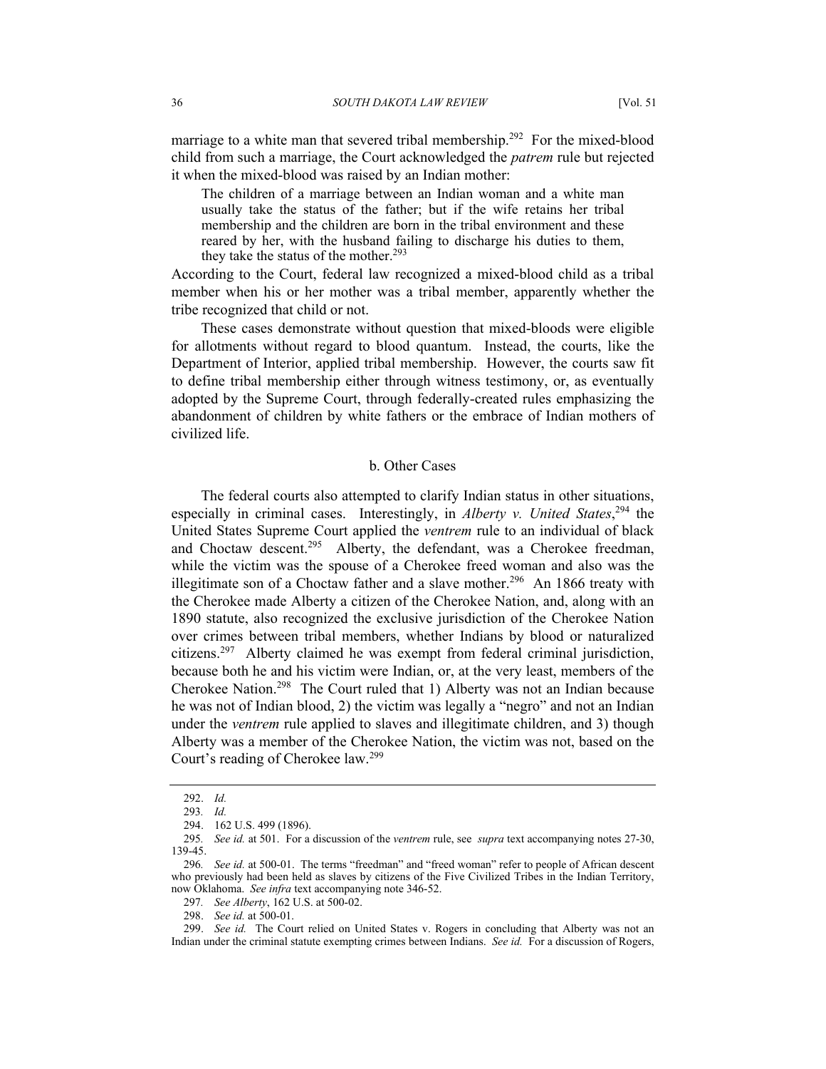marriage to a white man that severed tribal membership.<sup>292</sup> For the mixed-blood child from such a marriage, the Court acknowledged the *patrem* rule but rejected it when the mixed-blood was raised by an Indian mother:

The children of a marriage between an Indian woman and a white man usually take the status of the father; but if the wife retains her tribal membership and the children are born in the tribal environment and these reared by her, with the husband failing to discharge his duties to them, they take the status of the mother.<sup>[293](#page-35-1)</sup>

According to the Court, federal law recognized a mixed-blood child as a tribal member when his or her mother was a tribal member, apparently whether the tribe recognized that child or not.

These cases demonstrate without question that mixed-bloods were eligible for allotments without regard to blood quantum. Instead, the courts, like the Department of Interior, applied tribal membership. However, the courts saw fit to define tribal membership either through witness testimony, or, as eventually adopted by the Supreme Court, through federally-created rules emphasizing the abandonment of children by white fathers or the embrace of Indian mothers of civilized life.

### b. Other Cases

The federal courts also attempted to clarify Indian status in other situations, especially in criminal cases. Interestingly, in *Alberty v. United States*, [294](#page-35-2) the United States Supreme Court applied the *ventrem* rule to an individual of black and Choctaw descent.<sup>295</sup> Alberty, the defendant, was a Cherokee freedman, while the victim was the spouse of a Cherokee freed woman and also was the illegitimate son of a Choctaw father and a slave mother.<sup>296</sup> An 1866 treaty with the Cherokee made Alberty a citizen of the Cherokee Nation, and, along with an 1890 statute, also recognized the exclusive jurisdiction of the Cherokee Nation over crimes between tribal members, whether Indians by blood or naturalized citizens.[297](#page-35-5) Alberty claimed he was exempt from federal criminal jurisdiction, because both he and his victim were Indian, or, at the very least, members of the Cherokee Nation[.298](#page-35-6) The Court ruled that 1) Alberty was not an Indian because he was not of Indian blood, 2) the victim was legally a "negro" and not an Indian under the *ventrem* rule applied to slaves and illegitimate children, and 3) though Alberty was a member of the Cherokee Nation, the victim was not, based on the Court's reading of Cherokee law.[299](#page-35-7)

<span id="page-35-0"></span><sup>292.</sup> *Id.*

<span id="page-35-1"></span><sup>293</sup>*. Id.* 

<span id="page-35-2"></span><sup>294. 162</sup> U.S. 499 (1896).

<span id="page-35-3"></span><sup>295</sup>*. See id.* at 501. For a discussion of the *ventrem* rule, see *supra* text accompanying notes 27-30, 139-45.

<span id="page-35-4"></span><sup>296</sup>*. See id.* at 500-01. The terms "freedman" and "freed woman" refer to people of African descent who previously had been held as slaves by citizens of the Five Civilized Tribes in the Indian Territory, now Oklahoma. *See infra* text accompanying note 346-52.

<span id="page-35-5"></span><sup>297</sup>*. See Alberty*, 162 U.S. at 500-02.

<span id="page-35-7"></span><span id="page-35-6"></span><sup>298.</sup> *See id.* at 500-01.

<sup>299.</sup> *See id.* The Court relied on United States v. Rogers in concluding that Alberty was not an Indian under the criminal statute exempting crimes between Indians. *See id.* For a discussion of Rogers,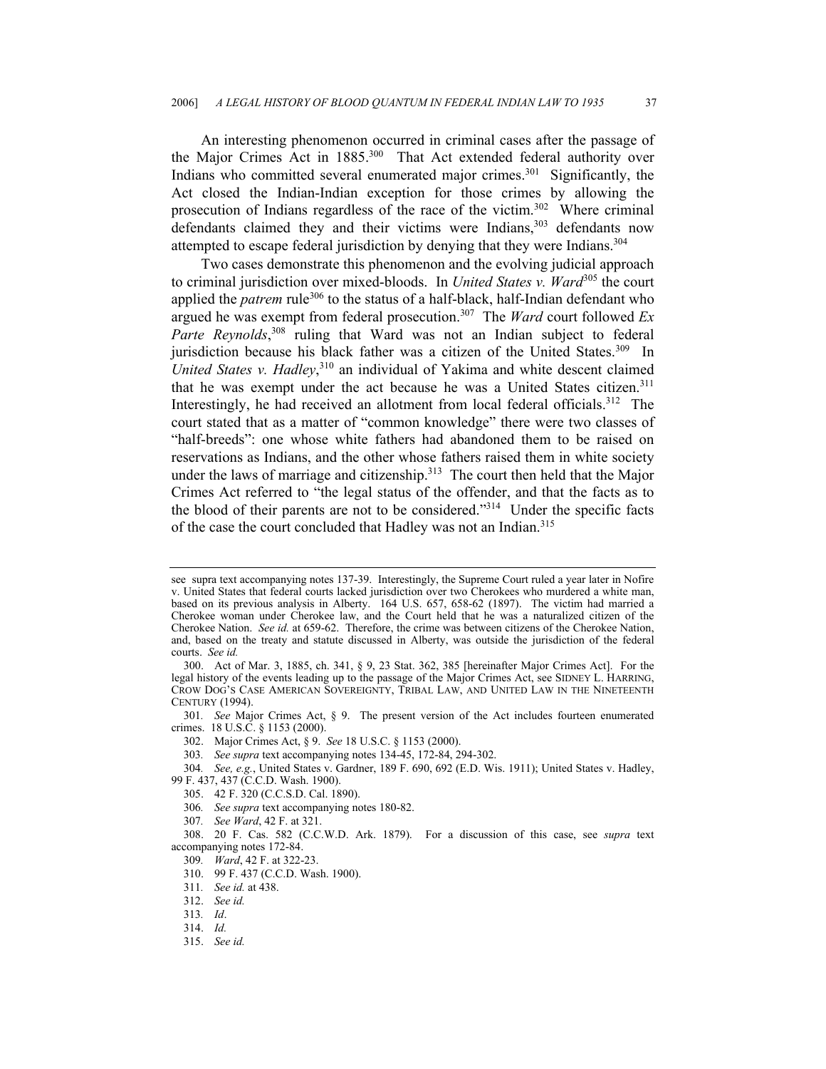An interesting phenomenon occurred in criminal cases after the passage of the Major Crimes Act in 1885.<sup>300</sup> That Act extended federal authority over Indians who committed several enumerated major crimes.<sup>301</sup> Significantly, the Act closed the Indian-Indian exception for those crimes by allowing the prosecution of Indians regardless of the race of the victim.[302](#page-36-2) Where criminal defendants claimed they and their victims were Indians,<sup>303</sup> defendants now attempted to escape federal jurisdiction by denying that they were Indians.[304](#page-36-4)

Two cases demonstrate this phenomenon and the evolving judicial approach to criminal jurisdiction over mixed-bloods. In *United States v. Ward*[305](#page-36-5) the court applied the *patrem* rule<sup>306</sup> to the status of a half-black, half-Indian defendant who argued he was exempt from federal prosecution[.307](#page-36-7) The *Ward* court followed *Ex*  Parte Reynolds,<sup>308</sup> ruling that Ward was not an Indian subject to federal jurisdiction because his black father was a citizen of the United States.<sup>309</sup> In United States v. Hadley,<sup>310</sup> an individual of Yakima and white descent claimed that he was exempt under the act because he was a United States citizen.<sup>311</sup> Interestingly, he had received an allotment from local federal officials.<sup>312</sup> The court stated that as a matter of "common knowledge" there were two classes of "half-breeds": one whose white fathers had abandoned them to be raised on reservations as Indians, and the other whose fathers raised them in white society under the laws of marriage and citizenship.<sup>313</sup> The court then held that the Major Crimes Act referred to "the legal status of the offender, and that the facts as to the blood of their parents are not to be considered."[314](#page-36-14) Under the specific facts of the case the court concluded that Hadley was not an Indian.<sup>[315](#page-36-15)</sup>

- <span id="page-36-5"></span>305. 42 F. 320 (C.C.S.D. Cal. 1890).
- <span id="page-36-6"></span>306*. See supra* text accompanying notes 180-82.
- <span id="page-36-8"></span><span id="page-36-7"></span>307*. See Ward*, 42 F. at 321.

- <span id="page-36-10"></span>310. 99 F. 437 (C.C.D. Wash. 1900).
- <span id="page-36-11"></span>311*. See id.* at 438.

- <span id="page-36-13"></span>313*. Id*.
- <span id="page-36-14"></span>314. *Id.*

see supra text accompanying notes 137-39. Interestingly, the Supreme Court ruled a year later in Nofire v. United States that federal courts lacked jurisdiction over two Cherokees who murdered a white man, based on its previous analysis in Alberty. 164 U.S. 657, 658-62 (1897). The victim had married a Cherokee woman under Cherokee law, and the Court held that he was a naturalized citizen of the Cherokee Nation. *See id.* at 659-62. Therefore, the crime was between citizens of the Cherokee Nation, and, based on the treaty and statute discussed in Alberty, was outside the jurisdiction of the federal courts. *See id.*

<span id="page-36-0"></span><sup>300.</sup> Act of Mar. 3, 1885, ch. 341, § 9, 23 Stat. 362, 385 [hereinafter Major Crimes Act]. For the legal history of the events leading up to the passage of the Major Crimes Act, see SIDNEY L. HARRING, CROW DOG'S CASE AMERICAN SOVEREIGNTY, TRIBAL LAW, AND UNITED LAW IN THE NINETEENTH CENTURY (1994).

<span id="page-36-1"></span><sup>301</sup>*. See* Major Crimes Act, § 9.The present version of the Act includes fourteen enumerated crimes. 18 U.S.C. § 1153 (2000).

<span id="page-36-2"></span><sup>302.</sup> Major Crimes Act, § 9. *See* 18 U.S.C. § 1153 (2000).

<span id="page-36-4"></span><span id="page-36-3"></span><sup>303</sup>*. See supra* text accompanying notes 134-45, 172-84, 294-302.

<sup>304</sup>*. See, e.g.*, United States v. Gardner, 189 F. 690, 692 (E.D. Wis. 1911); United States v. Hadley, 99 F. 437, 437 (C.C.D. Wash. 1900).

<sup>308. 20</sup> F. Cas. 582 (C.C.W.D. Ark. 1879). For a discussion of this case, see *supra* text accompanying notes 172-84.

<span id="page-36-9"></span><sup>309</sup>*. Ward*, 42 F. at 322-23.

<span id="page-36-12"></span><sup>312.</sup> *See id.*

<span id="page-36-15"></span><sup>315.</sup> *See id.*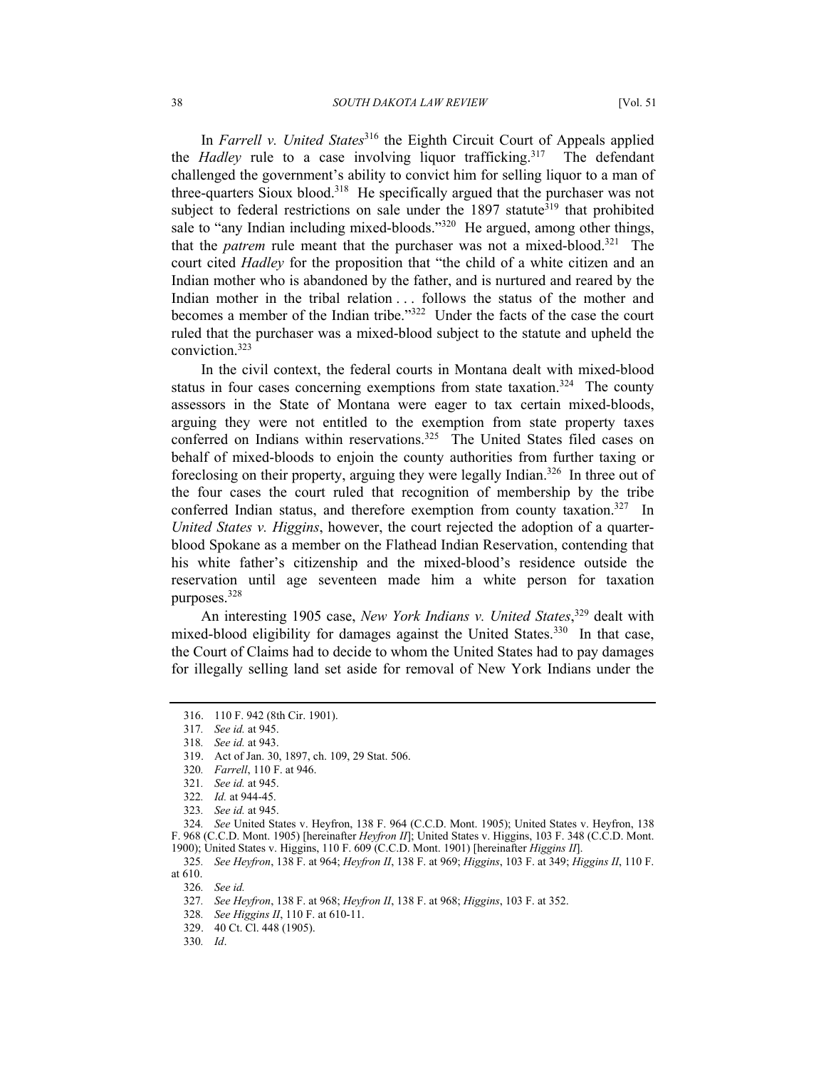In *Farrell v. United States*[316](#page-37-0) the Eighth Circuit Court of Appeals applied the *Hadley* rule to a case involving liquor trafficking.<sup>317</sup> The defendant challenged the government's ability to convict him for selling liquor to a man of three-quarters Sioux blood[.318](#page-37-2) He specifically argued that the purchaser was not subject to federal restrictions on sale under the  $1897$  statute<sup>319</sup> that prohibited sale to "any Indian including mixed-bloods."<sup>320</sup> He argued, among other things, that the *patrem* rule meant that the purchaser was not a mixed-blood.[321](#page-37-5) The court cited *Hadley* for the proposition that "the child of a white citizen and an Indian mother who is abandoned by the father, and is nurtured and reared by the Indian mother in the tribal relation . . . follows the status of the mother and becomes a member of the Indian tribe.["322](#page-37-6) Under the facts of the case the court ruled that the purchaser was a mixed-blood subject to the statute and upheld the conviction[.323](#page-37-7)

In the civil context, the federal courts in Montana dealt with mixed-blood status in four cases concerning exemptions from state taxation.<sup>324</sup> The county assessors in the State of Montana were eager to tax certain mixed-bloods, arguing they were not entitled to the exemption from state property taxes conferred on Indians within reservations.<sup>325</sup> The United States filed cases on behalf of mixed-bloods to enjoin the county authorities from further taxing or foreclosing on their property, arguing they were legally Indian.[326](#page-37-10) In three out of the four cases the court ruled that recognition of membership by the tribe conferred Indian status, and therefore exemption from county taxation.<sup>327</sup> In *United States v. Higgins*, however, the court rejected the adoption of a quarterblood Spokane as a member on the Flathead Indian Reservation, contending that his white father's citizenship and the mixed-blood's residence outside the reservation until age seventeen made him a white person for taxation purposes.[328](#page-37-12)

An interesting 1905 case, *New York Indians v. United States*, [329](#page-37-13) dealt with mixed-blood eligibility for damages against the United States.<sup>330</sup> In that case, the Court of Claims had to decide to whom the United States had to pay damages for illegally selling land set aside for removal of New York Indians under the

<span id="page-37-8"></span>324*. See* United States v. Heyfron, 138 F. 964 (C.C.D. Mont. 1905); United States v. Heyfron, 138 F. 968 (C.C.D. Mont. 1905) [hereinafter *Heyfron II*]; United States v. Higgins, 103 F. 348 (C.C.D. Mont. 1900); United States v. Higgins, 110 F. 609 (C.C.D. Mont. 1901) [hereinafter *Higgins II*].

<span id="page-37-12"></span>328*. See Higgins II*, 110 F. at 610-11.

<span id="page-37-13"></span>329. 40 Ct. Cl. 448 (1905).

<span id="page-37-14"></span>330*. Id*.

<span id="page-37-0"></span><sup>316. 110</sup> F. 942 (8th Cir. 1901).

<span id="page-37-1"></span><sup>317</sup>*. See id.* at 945.

<span id="page-37-2"></span><sup>318</sup>*. See id.* at 943.

<span id="page-37-3"></span><sup>319.</sup> Act of Jan. 30, 1897, ch. 109, 29 Stat. 506.

<span id="page-37-4"></span><sup>320</sup>*. Farrell*, 110 F. at 946.

<span id="page-37-5"></span><sup>321</sup>*. See id.* at 945.

<span id="page-37-6"></span><sup>322</sup>*. Id.* at 944-45.

<span id="page-37-7"></span><sup>323</sup>*. See id.* at 945.

<span id="page-37-9"></span><sup>325</sup>*. See Heyfron*, 138 F. at 964; *Heyfron II*, 138 F. at 969; *Higgins*, 103 F. at 349; *Higgins II*, 110 F. at 610.

<span id="page-37-10"></span><sup>326</sup>*. See id.*

<span id="page-37-11"></span><sup>327</sup>*. See Heyfron*, 138 F. at 968; *Heyfron II*, 138 F. at 968; *Higgins*, 103 F. at 352.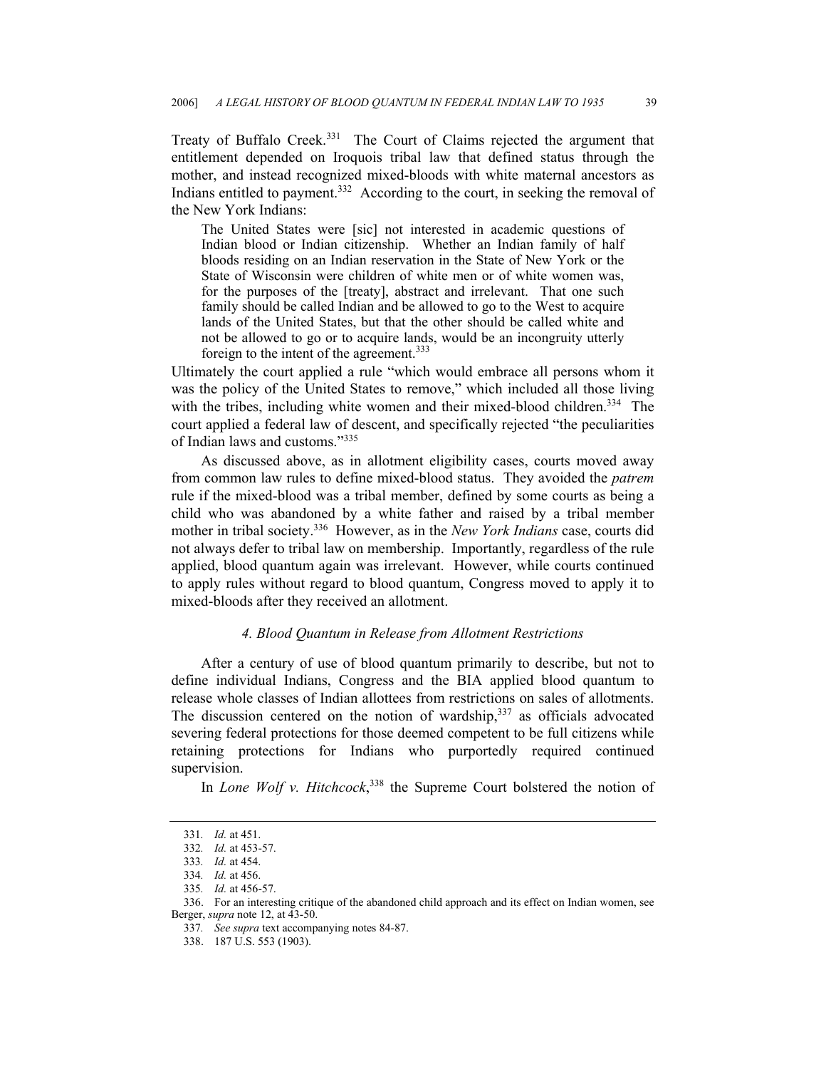Treaty of Buffalo Creek[.331](#page-38-0) The Court of Claims rejected the argument that entitlement depended on Iroquois tribal law that defined status through the mother, and instead recognized mixed-bloods with white maternal ancestors as Indians entitled to payment.<sup>332</sup> According to the court, in seeking the removal of the New York Indians:

The United States were [sic] not interested in academic questions of Indian blood or Indian citizenship. Whether an Indian family of half bloods residing on an Indian reservation in the State of New York or the State of Wisconsin were children of white men or of white women was, for the purposes of the [treaty], abstract and irrelevant. That one such family should be called Indian and be allowed to go to the West to acquire lands of the United States, but that the other should be called white and not be allowed to go or to acquire lands, would be an incongruity utterly foreign to the intent of the agreement.<sup>[333](#page-38-2)</sup>

Ultimately the court applied a rule "which would embrace all persons whom it was the policy of the United States to remove," which included all those living with the tribes, including white women and their mixed-blood children.<sup>334</sup> The court applied a federal law of descent, and specifically rejected "the peculiarities of Indian laws and customs."[335](#page-38-4)

As discussed above, as in allotment eligibility cases, courts moved away from common law rules to define mixed-blood status. They avoided the *patrem*  rule if the mixed-blood was a tribal member, defined by some courts as being a child who was abandoned by a white father and raised by a tribal member mother in tribal society.[336](#page-38-5) However, as in the *New York Indians* case, courts did not always defer to tribal law on membership. Importantly, regardless of the rule applied, blood quantum again was irrelevant. However, while courts continued to apply rules without regard to blood quantum, Congress moved to apply it to mixed-bloods after they received an allotment.

## *4. Blood Quantum in Release from Allotment Restrictions*

After a century of use of blood quantum primarily to describe, but not to define individual Indians, Congress and the BIA applied blood quantum to release whole classes of Indian allottees from restrictions on sales of allotments. The discussion centered on the notion of wardship, $337$  as officials advocated severing federal protections for those deemed competent to be full citizens while retaining protections for Indians who purportedly required continued supervision.

In *Lone Wolf v. Hitchcock*, [338](#page-38-7) the Supreme Court bolstered the notion of

<span id="page-38-0"></span><sup>331</sup>*. Id.* at 451.

<span id="page-38-1"></span><sup>332</sup>*. Id.* at 453-57.

<span id="page-38-2"></span><sup>333</sup>*. Id.* at 454.

<span id="page-38-3"></span><sup>334</sup>*. Id.* at 456.

<span id="page-38-4"></span><sup>335</sup>*. Id.* at 456-57.

<span id="page-38-5"></span><sup>336.</sup> For an interesting critique of the abandoned child approach and its effect on Indian women, see Berger, *supra* note 12, at 43-50.

<span id="page-38-6"></span><sup>337</sup>*. See supra* text accompanying notes 84-87.

<span id="page-38-7"></span><sup>338. 187</sup> U.S. 553 (1903).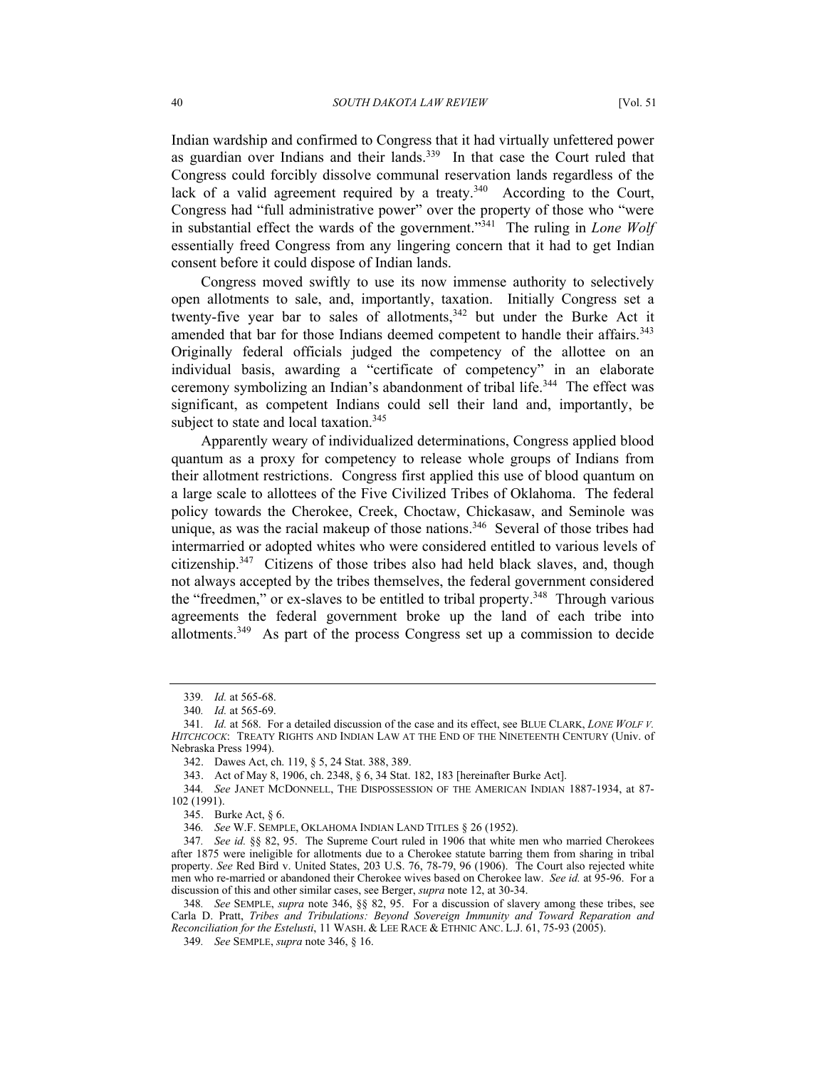Indian wardship and confirmed to Congress that it had virtually unfettered power as guardian over Indians and their lands.[339](#page-39-0) In that case the Court ruled that Congress could forcibly dissolve communal reservation lands regardless of the lack of a valid agreement required by a treaty.<sup>340</sup> According to the Court, Congress had "full administrative power" over the property of those who "were in substantial effect the wards of the government."<sup>341</sup> The ruling in *Lone Wolf* essentially freed Congress from any lingering concern that it had to get Indian consent before it could dispose of Indian lands.

Congress moved swiftly to use its now immense authority to selectively open allotments to sale, and, importantly, taxation. Initially Congress set a twenty-five year bar to sales of allotments,<sup>342</sup> but under the Burke Act it amended that bar for those Indians deemed competent to handle their affairs.<sup>343</sup> Originally federal officials judged the competency of the allottee on an individual basis, awarding a "certificate of competency" in an elaborate ceremony symbolizing an Indian's abandonment of tribal life.<sup>344</sup> The effect was significant, as competent Indians could sell their land and, importantly, be subject to state and local taxation.<sup>345</sup>

Apparently weary of individualized determinations, Congress applied blood quantum as a proxy for competency to release whole groups of Indians from their allotment restrictions. Congress first applied this use of blood quantum on a large scale to allottees of the Five Civilized Tribes of Oklahoma. The federal policy towards the Cherokee, Creek, Choctaw, Chickasaw, and Seminole was unique, as was the racial makeup of those nations.<sup>346</sup> Several of those tribes had intermarried or adopted whites who were considered entitled to various levels of citizenship. $347$  Citizens of those tribes also had held black slaves, and, though not always accepted by the tribes themselves, the federal government considered the "freedmen," or ex-slaves to be entitled to tribal property.<sup>348</sup> Through various agreements the federal government broke up the land of each tribe into allotments.[349](#page-39-10) As part of the process Congress set up a commission to decide

<span id="page-39-0"></span><sup>339</sup>*. Id.* at 565-68.

<span id="page-39-2"></span><span id="page-39-1"></span><sup>340</sup>*. Id.* at 565-69.

<sup>341</sup>*. Id.* at 568. For a detailed discussion of the case and its effect, see BLUE CLARK, *LONE WOLF V. HITCHCOCK*: TREATY RIGHTS AND INDIAN LAW AT THE END OF THE NINETEENTH CENTURY (Univ. of Nebraska Press 1994).

<span id="page-39-3"></span><sup>342.</sup> Dawes Act, ch. 119, § 5, 24 Stat. 388, 389.

<span id="page-39-4"></span><sup>343.</sup> Act of May 8, 1906, ch. 2348, § 6, 34 Stat. 182, 183 [hereinafter Burke Act].

<span id="page-39-5"></span><sup>344</sup>*. See* JANET MCDONNELL, THE DISPOSSESSION OF THE AMERICAN INDIAN 1887-1934, at 87- 102 (1991).

<span id="page-39-6"></span><sup>345.</sup> Burke Act, § 6.

<span id="page-39-8"></span><span id="page-39-7"></span><sup>346</sup>*. See* W.F. SEMPLE, OKLAHOMA INDIAN LAND TITLES § 26 (1952).

<sup>347</sup>*. See id.* §§ 82, 95. The Supreme Court ruled in 1906 that white men who married Cherokees after 1875 were ineligible for allotments due to a Cherokee statute barring them from sharing in tribal property. *See* Red Bird v. United States, 203 U.S. 76, 78-79, 96 (1906). The Court also rejected white men who re-married or abandoned their Cherokee wives based on Cherokee law. *See id.* at 95-96. For a discussion of this and other similar cases, see Berger, *supra* note 12, at 30-34.

<span id="page-39-9"></span><sup>348</sup>*. See* SEMPLE, *supra* note 346, §§ 82, 95. For a discussion of slavery among these tribes, see Carla D. Pratt, *Tribes and Tribulations: Beyond Sovereign Immunity and Toward Reparation and Reconciliation for the Estelusti*, 11 WASH. & LEE RACE & ETHNIC ANC. L.J. 61, 75-93 (2005).

<span id="page-39-10"></span><sup>349</sup>*. See* SEMPLE, *supra* note 346, § 16.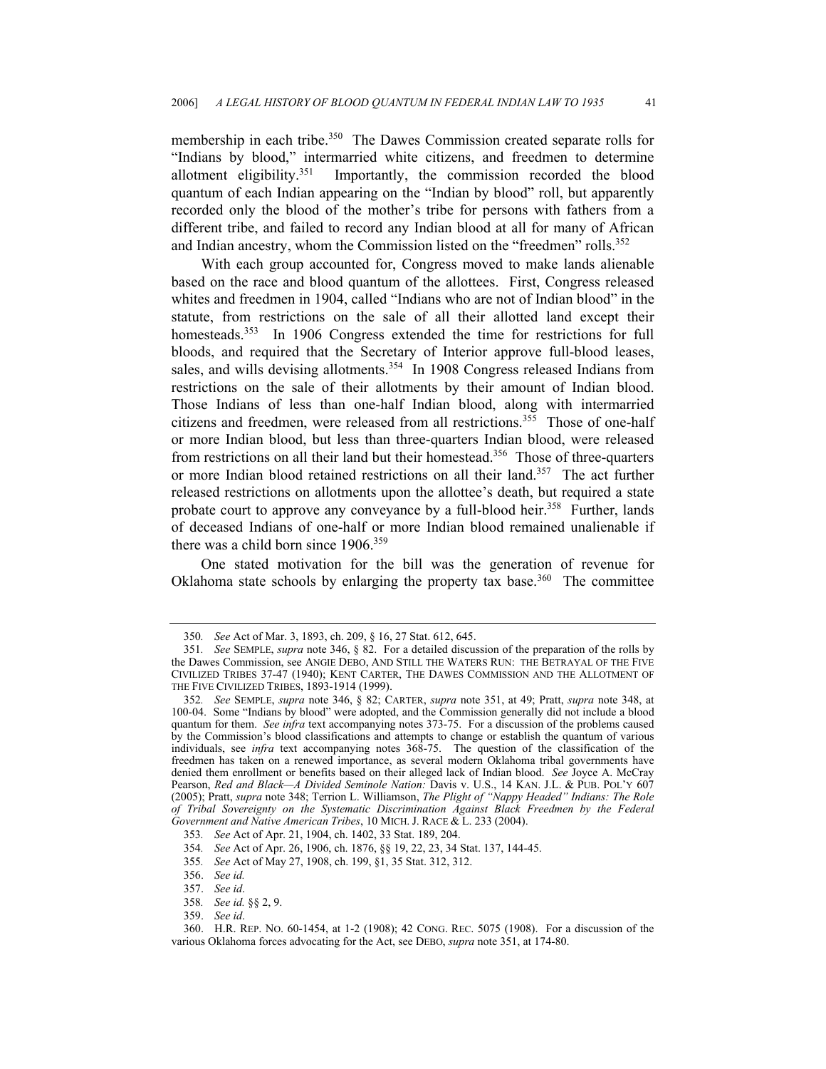membership in each tribe.<sup>350</sup> The Dawes Commission created separate rolls for "Indians by blood," intermarried white citizens, and freedmen to determine allotment eligibility.[351](#page-40-1) Importantly, the commission recorded the blood quantum of each Indian appearing on the "Indian by blood" roll, but apparently recorded only the blood of the mother's tribe for persons with fathers from a different tribe, and failed to record any Indian blood at all for many of African and Indian ancestry, whom the Commission listed on the "freedmen" rolls.<sup>[352](#page-40-2)</sup>

With each group accounted for, Congress moved to make lands alienable based on the race and blood quantum of the allottees. First, Congress released whites and freedmen in 1904, called "Indians who are not of Indian blood" in the statute, from restrictions on the sale of all their allotted land except their homesteads.<sup>353</sup> In 1906 Congress extended the time for restrictions for full bloods, and required that the Secretary of Interior approve full-blood leases, sales, and wills devising allotments.<sup>354</sup> In 1908 Congress released Indians from restrictions on the sale of their allotments by their amount of Indian blood. Those Indians of less than one-half Indian blood, along with intermarried citizens and freedmen, were released from all restrictions.<sup>355</sup> Those of one-half or more Indian blood, but less than three-quarters Indian blood, were released from restrictions on all their land but their homestead.[356](#page-40-6) Those of three-quarters or more Indian blood retained restrictions on all their land.[357](#page-40-7) The act further released restrictions on allotments upon the allottee's death, but required a state probate court to approve any conveyance by a full-blood heir.<sup>358</sup> Further, lands of deceased Indians of one-half or more Indian blood remained unalienable if there was a child born since 1906[.359](#page-40-9)

One stated motivation for the bill was the generation of revenue for Oklahoma state schools by enlarging the property tax base.<sup>360</sup> The committee

<span id="page-40-1"></span><span id="page-40-0"></span><sup>350</sup>*. See* Act of Mar. 3, 1893, ch. 209, § 16, 27 Stat. 612, 645.

<sup>351</sup>*. See* SEMPLE, *supra* note 346, § 82. For a detailed discussion of the preparation of the rolls by the Dawes Commission, see ANGIE DEBO, AND STILL THE WATERS RUN: THE BETRAYAL OF THE FIVE CIVILIZED TRIBES 37-47 (1940); KENT CARTER, THE DAWES COMMISSION AND THE ALLOTMENT OF THE FIVE CIVILIZED TRIBES, 1893-1914 (1999).

<span id="page-40-2"></span><sup>352</sup>*. See* SEMPLE, *supra* note 346, § 82; CARTER, *supra* note 351, at 49; Pratt, *supra* note 348, at 100-04. Some "Indians by blood" were adopted, and the Commission generally did not include a blood quantum for them. *See infra* text accompanying notes 373-75. For a discussion of the problems caused by the Commission's blood classifications and attempts to change or establish the quantum of various individuals, see *infra* text accompanying notes 368-75. The question of the classification of the freedmen has taken on a renewed importance, as several modern Oklahoma tribal governments have denied them enrollment or benefits based on their alleged lack of Indian blood. *See* Joyce A. McCray Pearson, *Red and Black—A Divided Seminole Nation:* Davis v. U.S., 14 KAN. J.L. & PUB. POL'Y 607 (2005); Pratt, *supra* note 348; Terrion L. Williamson, *The Plight of "Nappy Headed" Indians: The Role of Tribal Sovereignty on the Systematic Discrimination Against Black Freedmen by the Federal Government and Native American Tribes*, 10 MICH. J. RACE & L. 233 (2004).

<span id="page-40-3"></span><sup>353</sup>*. See* Act of Apr. 21, 1904, ch. 1402, 33 Stat. 189, 204.

<span id="page-40-4"></span><sup>354</sup>*. See* Act of Apr. 26, 1906, ch. 1876, §§ 19, 22, 23, 34 Stat. 137, 144-45.

<span id="page-40-5"></span><sup>355</sup>*. See* Act of May 27, 1908, ch. 199, §1, 35 Stat. 312, 312.

<span id="page-40-6"></span><sup>356.</sup> *See id.*

<span id="page-40-7"></span><sup>357.</sup> *See id*.

<span id="page-40-8"></span><sup>358</sup>*. See id.* §§ 2, 9.

<span id="page-40-9"></span><sup>359.</sup> *See id*.

<span id="page-40-10"></span><sup>360.</sup> H.R. REP. NO. 60-1454, at 1-2 (1908); 42 CONG. REC. 5075 (1908). For a discussion of the various Oklahoma forces advocating for the Act, see DEBO, *supra* note 351, at 174-80.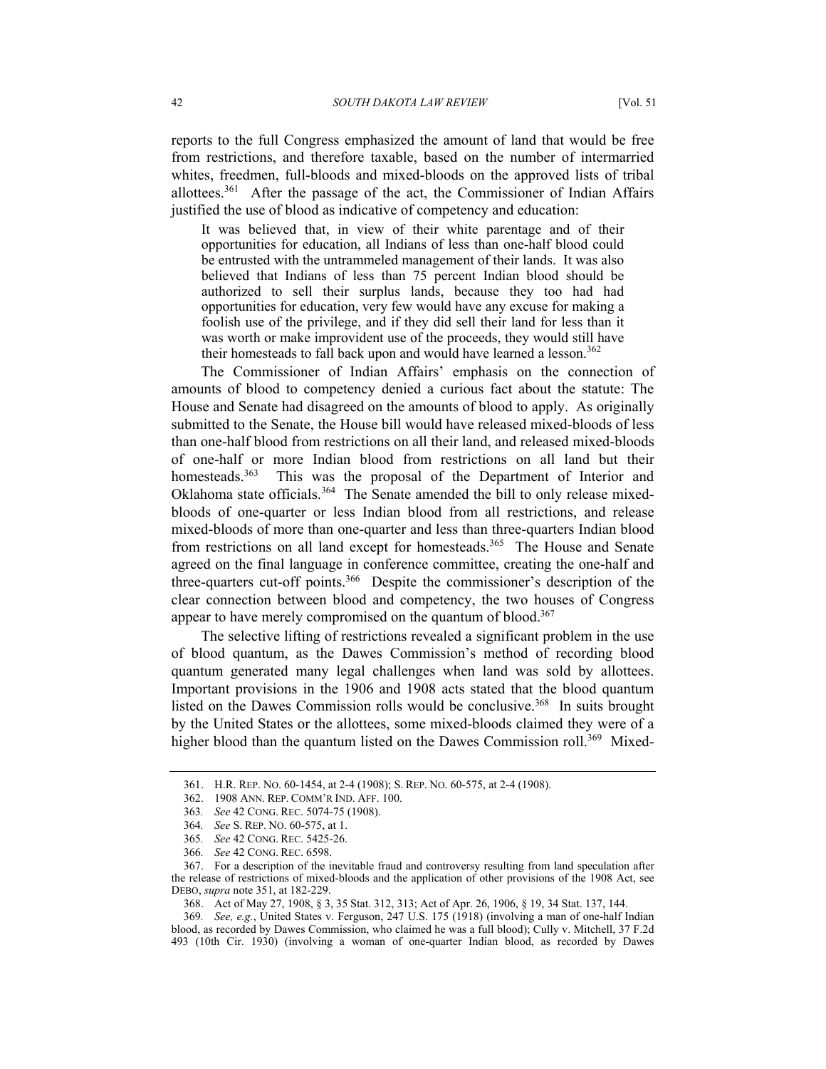reports to the full Congress emphasized the amount of land that would be free from restrictions, and therefore taxable, based on the number of intermarried whites, freedmen, full-bloods and mixed-bloods on the approved lists of tribal allottees.[361](#page-41-0) After the passage of the act, the Commissioner of Indian Affairs justified the use of blood as indicative of competency and education:

It was believed that, in view of their white parentage and of their opportunities for education, all Indians of less than one-half blood could be entrusted with the untrammeled management of their lands. It was also believed that Indians of less than 75 percent Indian blood should be authorized to sell their surplus lands, because they too had had opportunities for education, very few would have any excuse for making a foolish use of the privilege, and if they did sell their land for less than it was worth or make improvident use of the proceeds, they would still have their homesteads to fall back upon and would have learned a lesson.<sup>362</sup>

The Commissioner of Indian Affairs' emphasis on the connection of amounts of blood to competency denied a curious fact about the statute: The House and Senate had disagreed on the amounts of blood to apply. As originally submitted to the Senate, the House bill would have released mixed-bloods of less than one-half blood from restrictions on all their land, and released mixed-bloods of one-half or more Indian blood from restrictions on all land but their homesteads.<sup>363</sup> This was the proposal of the Department of Interior and Oklahoma state officials.<sup>364</sup> The Senate amended the bill to only release mixedbloods of one-quarter or less Indian blood from all restrictions, and release mixed-bloods of more than one-quarter and less than three-quarters Indian blood from restrictions on all land except for homesteads[.365](#page-41-4) The House and Senate agreed on the final language in conference committee, creating the one-half and three-quarters cut-off points[.366](#page-41-5) Despite the commissioner's description of the clear connection between blood and competency, the two houses of Congress appear to have merely compromised on the quantum of blood.<sup>[367](#page-41-6)</sup>

The selective lifting of restrictions revealed a significant problem in the use of blood quantum, as the Dawes Commission's method of recording blood quantum generated many legal challenges when land was sold by allottees. Important provisions in the 1906 and 1908 acts stated that the blood quantum listed on the Dawes Commission rolls would be conclusive.<sup>368</sup> In suits brought by the United States or the allottees, some mixed-bloods claimed they were of a higher blood than the quantum listed on the Dawes Commission roll.<sup>369</sup> Mixed-

<span id="page-41-0"></span><sup>361.</sup> H.R. REP. NO. 60-1454, at 2-4 (1908); S. REP. NO. 60-575, at 2-4 (1908).

<span id="page-41-1"></span><sup>362. 1908</sup> ANN. REP. COMM'R IND. AFF. 100.

<span id="page-41-2"></span><sup>363</sup>*. See* 42 CONG. REC. 5074-75 (1908).

<span id="page-41-3"></span><sup>364</sup>*. See* S. REP. NO. 60-575, at 1.

<span id="page-41-4"></span><sup>365</sup>*. See* 42 CONG. REC. 5425-26.

<span id="page-41-5"></span><sup>366</sup>*. See* 42 CONG. REC. 6598.

<span id="page-41-6"></span><sup>367.</sup> For a description of the inevitable fraud and controversy resulting from land speculation after the release of restrictions of mixed-bloods and the application of other provisions of the 1908 Act, see DEBO, *supra* note 351, at 182-229.

<span id="page-41-8"></span><span id="page-41-7"></span><sup>368.</sup> Act of May 27, 1908, § 3, 35 Stat. 312, 313; Act of Apr. 26, 1906, § 19, 34 Stat. 137, 144.

<sup>369</sup>*. See, e.g.*, United States v. Ferguson, 247 U.S. 175 (1918) (involving a man of one-half Indian blood, as recorded by Dawes Commission, who claimed he was a full blood); Cully v. Mitchell, 37 F.2d 493 (10th Cir. 1930) (involving a woman of one-quarter Indian blood, as recorded by Dawes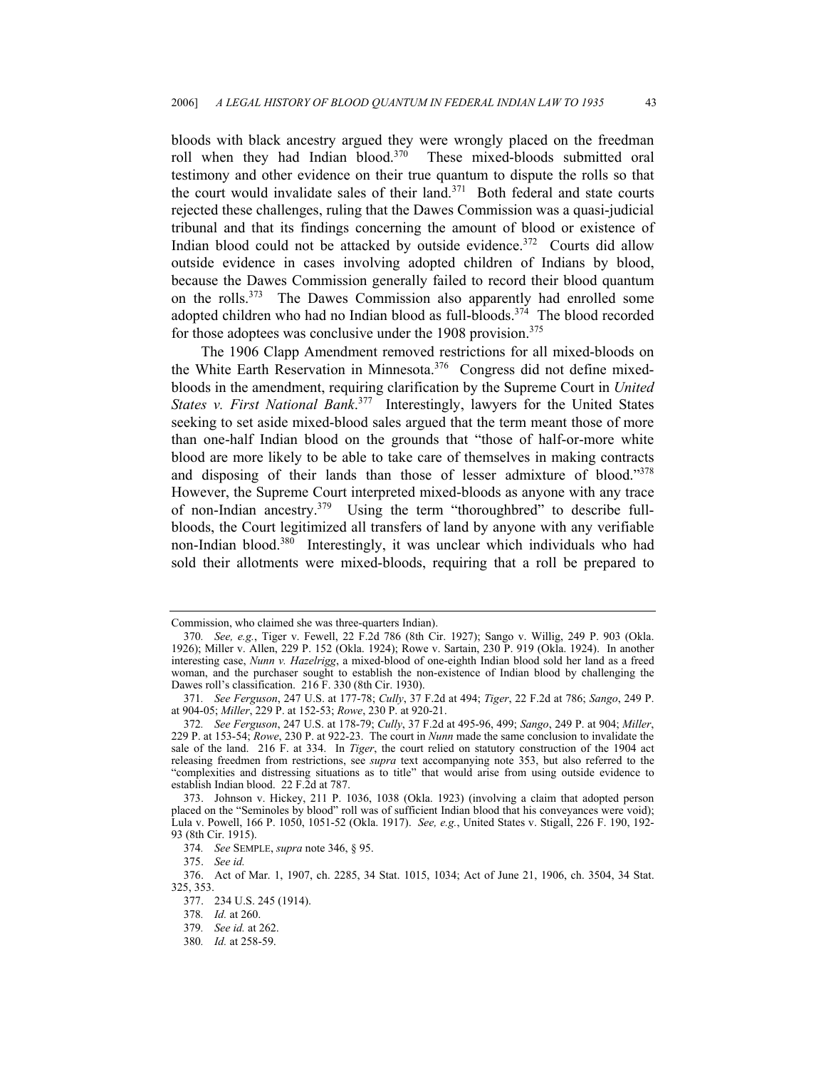bloods with black ancestry argued they were wrongly placed on the freedman roll when they had Indian blood. $370$  These mixed-bloods submitted oral testimony and other evidence on their true quantum to dispute the rolls so that the court would invalidate sales of their land.[371](#page-42-1) Both federal and state courts rejected these challenges, ruling that the Dawes Commission was a quasi-judicial tribunal and that its findings concerning the amount of blood or existence of Indian blood could not be attacked by outside evidence.<sup>372</sup> Courts did allow outside evidence in cases involving adopted children of Indians by blood, because the Dawes Commission generally failed to record their blood quantum on the rolls.[373](#page-42-3) The Dawes Commission also apparently had enrolled some adopted children who had no Indian blood as full-bloods.<sup>374</sup> The blood recorded for those adoptees was conclusive under the 1908 provision.<sup>[375](#page-42-5)</sup>

The 1906 Clapp Amendment removed restrictions for all mixed-bloods on the White Earth Reservation in Minnesota.<sup>376</sup> Congress did not define mixedbloods in the amendment, requiring clarification by the Supreme Court in *United States v. First National Bank*. [377](#page-42-7) Interestingly, lawyers for the United States seeking to set aside mixed-blood sales argued that the term meant those of more than one-half Indian blood on the grounds that "those of half-or-more white blood are more likely to be able to take care of themselves in making contracts and disposing of their lands than those of lesser admixture of blood."[378](#page-42-8)  However, the Supreme Court interpreted mixed-bloods as anyone with any trace of non-Indian ancestry.[379](#page-42-9) Using the term "thoroughbred" to describe fullbloods, the Court legitimized all transfers of land by anyone with any verifiable non-Indian blood.[380](#page-42-10) Interestingly, it was unclear which individuals who had sold their allotments were mixed-bloods, requiring that a roll be prepared to

<span id="page-42-4"></span>374*. See* SEMPLE, *supra* note 346, § 95.

<span id="page-42-6"></span><span id="page-42-5"></span>375. *See id.*

Commission, who claimed she was three-quarters Indian).

<span id="page-42-0"></span><sup>370</sup>*. See, e.g.*, Tiger v. Fewell, 22 F.2d 786 (8th Cir. 1927); Sango v. Willig, 249 P. 903 (Okla. 1926); Miller v. Allen, 229 P. 152 (Okla. 1924); Rowe v. Sartain, 230 P. 919 (Okla. 1924). In another interesting case, *Nunn v. Hazelrigg*, a mixed-blood of one-eighth Indian blood sold her land as a freed woman, and the purchaser sought to establish the non-existence of Indian blood by challenging the Dawes roll's classification. 216 F. 330 (8th Cir. 1930).

<span id="page-42-1"></span><sup>371</sup>*. See Ferguson*, 247 U.S. at 177-78; *Cully*, 37 F.2d at 494; *Tiger*, 22 F.2d at 786; *Sango*, 249 P. at 904-05; *Miller*, 229 P. at 152-53; *Rowe*, 230 P. at 920-21.

<span id="page-42-2"></span><sup>372</sup>*. See Ferguson*, 247 U.S. at 178-79; *Cully*, 37 F.2d at 495-96, 499; *Sango*, 249 P. at 904; *Miller*, 229 P. at 153-54; *Rowe*, 230 P. at 922-23. The court in *Nunn* made the same conclusion to invalidate the sale of the land. 216 F. at 334. In *Tiger*, the court relied on statutory construction of the 1904 act releasing freedmen from restrictions, see *supra* text accompanying note 353, but also referred to the "complexities and distressing situations as to title" that would arise from using outside evidence to establish Indian blood. 22 F.2d at 787.

<span id="page-42-3"></span><sup>373.</sup> Johnson v. Hickey, 211 P. 1036, 1038 (Okla. 1923) (involving a claim that adopted person placed on the "Seminoles by blood" roll was of sufficient Indian blood that his conveyances were void); Lula v. Powell, 166 P. 1050, 1051-52 (Okla. 1917). *See, e.g.*, United States v. Stigall, 226 F. 190, 192- 93 (8th Cir. 1915).

<sup>376.</sup> Act of Mar. 1, 1907, ch. 2285, 34 Stat. 1015, 1034; Act of June 21, 1906, ch. 3504, 34 Stat. 325, 353.

<span id="page-42-7"></span><sup>377. 234</sup> U.S. 245 (1914).

<span id="page-42-8"></span><sup>378</sup>*. Id.* at 260.

<span id="page-42-9"></span><sup>379</sup>*. See id.* at 262.

<span id="page-42-10"></span><sup>380</sup>*. Id.* at 258-59.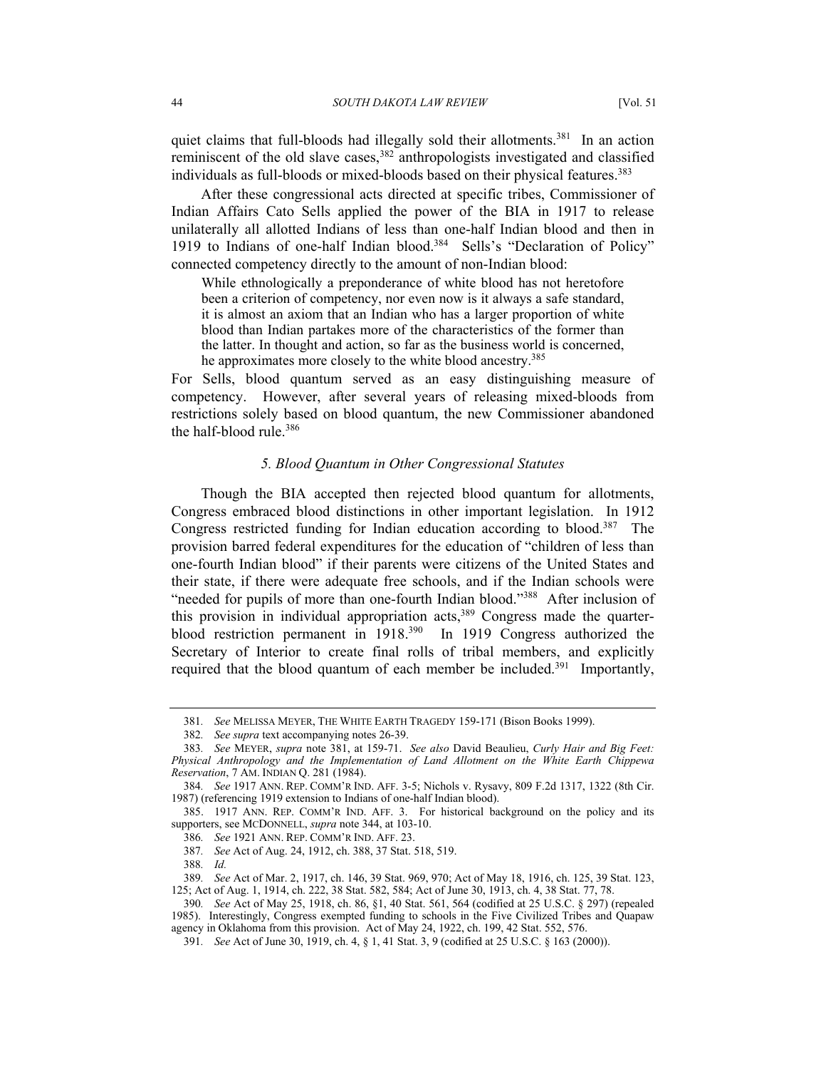quiet claims that full-bloods had illegally sold their allotments.<sup>381</sup> In an action reminiscent of the old slave cases,  $382$  anthropologists investigated and classified individuals as full-bloods or mixed-bloods based on their physical features.<sup>383</sup>

After these congressional acts directed at specific tribes, Commissioner of Indian Affairs Cato Sells applied the power of the BIA in 1917 to release unilaterally all allotted Indians of less than one-half Indian blood and then in 1919 to Indians of one-half Indian blood.<sup>384</sup> Sells's "Declaration of Policy" connected competency directly to the amount of non-Indian blood:

While ethnologically a preponderance of white blood has not heretofore been a criterion of competency, nor even now is it always a safe standard, it is almost an axiom that an Indian who has a larger proportion of white blood than Indian partakes more of the characteristics of the former than the latter. In thought and action, so far as the business world is concerned, he approximates more closely to the white blood ancestry.<sup>385</sup>

For Sells, blood quantum served as an easy distinguishing measure of competency. However, after several years of releasing mixed-bloods from restrictions solely based on blood quantum, the new Commissioner abandoned the half-blood rule.[386](#page-43-5)

### *5. Blood Quantum in Other Congressional Statutes*

Though the BIA accepted then rejected blood quantum for allotments, Congress embraced blood distinctions in other important legislation. In 1912 Congress restricted funding for Indian education according to blood.<sup>387</sup> The provision barred federal expenditures for the education of "children of less than one-fourth Indian blood" if their parents were citizens of the United States and their state, if there were adequate free schools, and if the Indian schools were "needed for pupils of more than one-fourth Indian blood."<sup>388</sup> After inclusion of this provision in individual appropriation  $\arcsin(389)$  Congress made the quarterblood restriction permanent in 1918.[390](#page-43-9) In 1919 Congress authorized the Secretary of Interior to create final rolls of tribal members, and explicitly required that the blood quantum of each member be included.<sup>391</sup> Importantly,

<span id="page-43-0"></span><sup>381</sup>*. See* MELISSA MEYER, THE WHITE EARTH TRAGEDY 159-171 (Bison Books 1999).

<span id="page-43-1"></span><sup>382</sup>*. See supra* text accompanying notes 26-39.

<span id="page-43-2"></span><sup>383</sup>*. See* MEYER, *supra* note 381, at 159-71. *See also* David Beaulieu, *Curly Hair and Big Feet: Physical Anthropology and the Implementation of Land Allotment on the White Earth Chippewa Reservation*, 7 AM. INDIAN Q. 281 (1984).

<span id="page-43-3"></span><sup>384</sup>*. See* 1917 ANN. REP. COMM'R IND. AFF. 3-5; Nichols v. Rysavy, 809 F.2d 1317, 1322 (8th Cir. 1987) (referencing 1919 extension to Indians of one-half Indian blood).

<span id="page-43-4"></span><sup>385. 1917</sup> ANN. REP. COMM'R IND. AFF. 3. For historical background on the policy and its supporters, see MCDONNELL, *supra* note 344, at 103-10.

<span id="page-43-5"></span><sup>386</sup>*. See* 1921 ANN. REP. COMM'R IND. AFF. 23.

<span id="page-43-6"></span><sup>387</sup>*. See* Act of Aug. 24, 1912, ch. 388, 37 Stat. 518, 519.

<span id="page-43-7"></span><sup>388</sup>*. Id.*

<span id="page-43-8"></span><sup>389</sup>*. See* Act of Mar. 2, 1917, ch. 146, 39 Stat. 969, 970; Act of May 18, 1916, ch. 125, 39 Stat. 123,

<sup>125;</sup> Act of Aug. 1, 1914, ch. 222, 38 Stat. 582, 584; Act of June 30, 1913, ch. 4, 38 Stat. 77, 78.

<span id="page-43-9"></span><sup>390</sup>*. See* Act of May 25, 1918, ch. 86, §1, 40 Stat. 561, 564 (codified at 25 U.S.C. § 297) (repealed 1985). Interestingly, Congress exempted funding to schools in the Five Civilized Tribes and Quapaw agency in Oklahoma from this provision. Act of May 24, 1922, ch. 199, 42 Stat. 552, 576.

<span id="page-43-10"></span><sup>391</sup>*. See* Act of June 30, 1919, ch. 4, § 1, 41 Stat. 3, 9 (codified at 25 U.S.C. § 163 (2000)).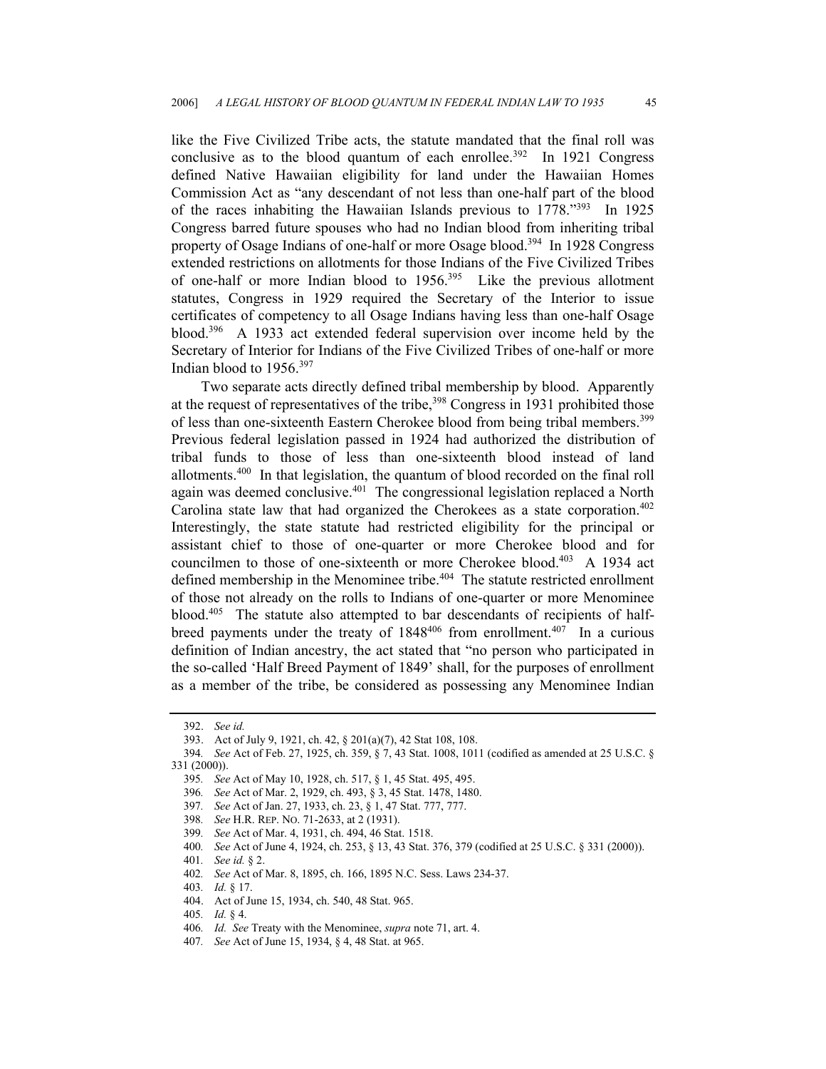like the Five Civilized Tribe acts, the statute mandated that the final roll was conclusive as to the blood quantum of each enrollee.<sup>392</sup> In 1921 Congress defined Native Hawaiian eligibility for land under the Hawaiian Homes Commission Act as "any descendant of not less than one-half part of the blood of the races inhabiting the Hawaiian Islands previous to 1778."[393](#page-44-1) In 1925 Congress barred future spouses who had no Indian blood from inheriting tribal property of Osage Indians of one-half or more Osage blood[.394](#page-44-2) In 1928 Congress extended restrictions on allotments for those Indians of the Five Civilized Tribes of one-half or more Indian blood to  $1956$ <sup>395</sup> Like the previous allotment statutes, Congress in 1929 required the Secretary of the Interior to issue certificates of competency to all Osage Indians having less than one-half Osage blood.[396](#page-44-4) A 1933 act extended federal supervision over income held by the Secretary of Interior for Indians of the Five Civilized Tribes of one-half or more Indian blood to 1956.[397](#page-44-5)

Two separate acts directly defined tribal membership by blood. Apparently at the request of representatives of the tribe,<sup>398</sup> Congress in 1931 prohibited those of less than one-sixteenth Eastern Cherokee blood from being tribal members.<sup>399</sup> Previous federal legislation passed in 1924 had authorized the distribution of tribal funds to those of less than one-sixteenth blood instead of land allotments.[400](#page-44-8) In that legislation, the quantum of blood recorded on the final roll again was deemed conclusive.<sup>401</sup> The congressional legislation replaced a North Carolina state law that had organized the Cherokees as a state corporation.<sup>402</sup> Interestingly, the state statute had restricted eligibility for the principal or assistant chief to those of one-quarter or more Cherokee blood and for councilmen to those of one-sixteenth or more Cherokee blood.<sup>403</sup> A 1934 act defined membership in the Menominee tribe.<sup>404</sup> The statute restricted enrollment of those not already on the rolls to Indians of one-quarter or more Menominee blood.<sup>405</sup> The statute also attempted to bar descendants of recipients of halfbreed payments under the treaty of  $1848^{406}$  from enrollment.<sup>407</sup> In a curious definition of Indian ancestry, the act stated that "no person who participated in the so-called 'Half Breed Payment of 1849' shall, for the purposes of enrollment as a member of the tribe, be considered as possessing any Menominee Indian

<span id="page-44-0"></span><sup>392.</sup> *See id.*

<span id="page-44-2"></span><span id="page-44-1"></span><sup>393.</sup> Act of July 9, 1921, ch. 42, § 201(a)(7), 42 Stat 108, 108.

<sup>394</sup>*. See* Act of Feb. 27, 1925, ch. 359, § 7, 43 Stat. 1008, 1011 (codified as amended at 25 U.S.C. § 331 (2000)).

<span id="page-44-3"></span><sup>395</sup>*. See* Act of May 10, 1928, ch. 517, § 1, 45 Stat. 495, 495.

<span id="page-44-4"></span><sup>396</sup>*. See* Act of Mar. 2, 1929, ch. 493, § 3, 45 Stat. 1478, 1480.

<span id="page-44-5"></span><sup>397</sup>*. See* Act of Jan. 27, 1933, ch. 23, § 1, 47 Stat. 777, 777.

<span id="page-44-6"></span><sup>398</sup>*. See* H.R. REP. NO. 71-2633, at 2 (1931).

<span id="page-44-7"></span><sup>399</sup>*. See* Act of Mar. 4, 1931, ch. 494, 46 Stat. 1518.

<span id="page-44-8"></span><sup>400</sup>*. See* Act of June 4, 1924, ch. 253, § 13, 43 Stat. 376, 379 (codified at 25 U.S.C. § 331 (2000)).

<span id="page-44-9"></span><sup>401</sup>*. See id.* § 2.

<span id="page-44-10"></span><sup>402</sup>*. See* Act of Mar. 8, 1895, ch. 166, 1895 N.C. Sess. Laws 234-37.

<span id="page-44-11"></span><sup>403</sup>*. Id.* § 17.

<span id="page-44-12"></span><sup>404.</sup> Act of June 15, 1934, ch. 540, 48 Stat. 965.

<span id="page-44-13"></span><sup>405</sup>*. Id.* § 4.

<span id="page-44-14"></span><sup>406</sup>*. Id. See* Treaty with the Menominee, *supra* note 71, art. 4.

<span id="page-44-15"></span><sup>407</sup>*. See* Act of June 15, 1934, § 4, 48 Stat. at 965.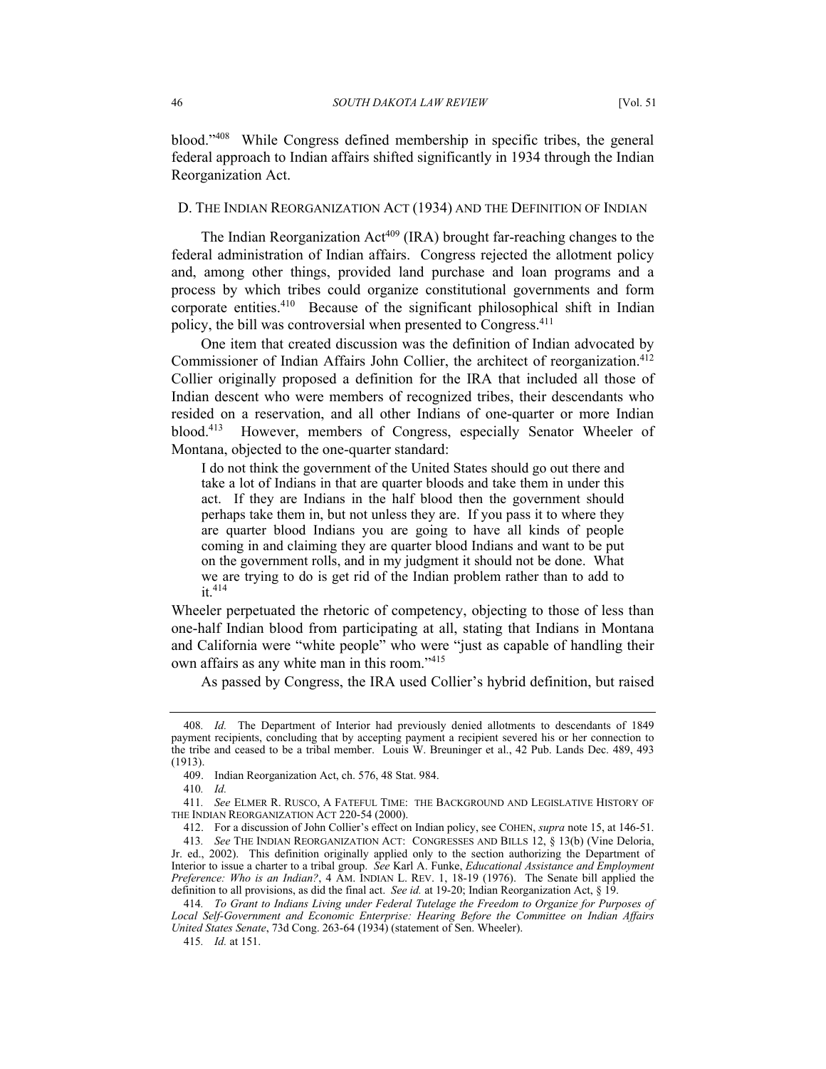blood."[408](#page-45-0) While Congress defined membership in specific tribes, the general federal approach to Indian affairs shifted significantly in 1934 through the Indian Reorganization Act.

# D. THE INDIAN REORGANIZATION ACT (1934) AND THE DEFINITION OF INDIAN

The Indian Reorganization Act<sup>409</sup> (IRA) brought far-reaching changes to the federal administration of Indian affairs. Congress rejected the allotment policy and, among other things, provided land purchase and loan programs and a process by which tribes could organize constitutional governments and form corporate entities.<sup>410</sup> Because of the significant philosophical shift in Indian policy, the bill was controversial when presented to Congress[.411](#page-45-3)

One item that created discussion was the definition of Indian advocated by Commissioner of Indian Affairs John Collier, the architect of reorganization.<sup>412</sup> Collier originally proposed a definition for the IRA that included all those of Indian descent who were members of recognized tribes, their descendants who resided on a reservation, and all other Indians of one-quarter or more Indian blood.[413](#page-45-5) However, members of Congress, especially Senator Wheeler of Montana, objected to the one-quarter standard:

I do not think the government of the United States should go out there and take a lot of Indians in that are quarter bloods and take them in under this act. If they are Indians in the half blood then the government should perhaps take them in, but not unless they are. If you pass it to where they are quarter blood Indians you are going to have all kinds of people coming in and claiming they are quarter blood Indians and want to be put on the government rolls, and in my judgment it should not be done. What we are trying to do is get rid of the Indian problem rather than to add to it.[414](#page-45-6)

Wheeler perpetuated the rhetoric of competency, objecting to those of less than one-half Indian blood from participating at all, stating that Indians in Montana and California were "white people" who were "just as capable of handling their own affairs as any white man in this room."[415](#page-45-7)

As passed by Congress, the IRA used Collier's hybrid definition, but raised

<span id="page-45-2"></span>410*. Id.*

<span id="page-45-0"></span><sup>408</sup>*. Id.* The Department of Interior had previously denied allotments to descendants of 1849 payment recipients, concluding that by accepting payment a recipient severed his or her connection to the tribe and ceased to be a tribal member. Louis W. Breuninger et al., 42 Pub. Lands Dec. 489, 493 (1913).

<span id="page-45-1"></span><sup>409.</sup> Indian Reorganization Act, ch. 576, 48 Stat. 984.

<span id="page-45-3"></span><sup>411</sup>*. See* ELMER R. RUSCO, A FATEFUL TIME: THE BACKGROUND AND LEGISLATIVE HISTORY OF THE INDIAN REORGANIZATION ACT 220-54 (2000).

<span id="page-45-5"></span><span id="page-45-4"></span><sup>412.</sup> For a discussion of John Collier's effect on Indian policy, see COHEN, *supra* note 15, at 146-51.

<sup>413</sup>*. See* THE INDIAN REORGANIZATION ACT: CONGRESSES AND BILLS 12, § 13(b) (Vine Deloria, Jr. ed., 2002). This definition originally applied only to the section authorizing the Department of Interior to issue a charter to a tribal group. *See* Karl A. Funke, *Educational Assistance and Employment Preference: Who is an Indian?*, 4 AM. INDIAN L. REV. 1, 18-19 (1976). The Senate bill applied the definition to all provisions, as did the final act. *See id.* at 19-20; Indian Reorganization Act, § 19.

<span id="page-45-6"></span><sup>414</sup>*. To Grant to Indians Living under Federal Tutelage the Freedom to Organize for Purposes of Local Self-Government and Economic Enterprise: Hearing Before the Committee on Indian Affairs United States Senate*, 73d Cong. 263-64 (1934) (statement of Sen. Wheeler).

<span id="page-45-7"></span><sup>415</sup>*. Id.* at 151.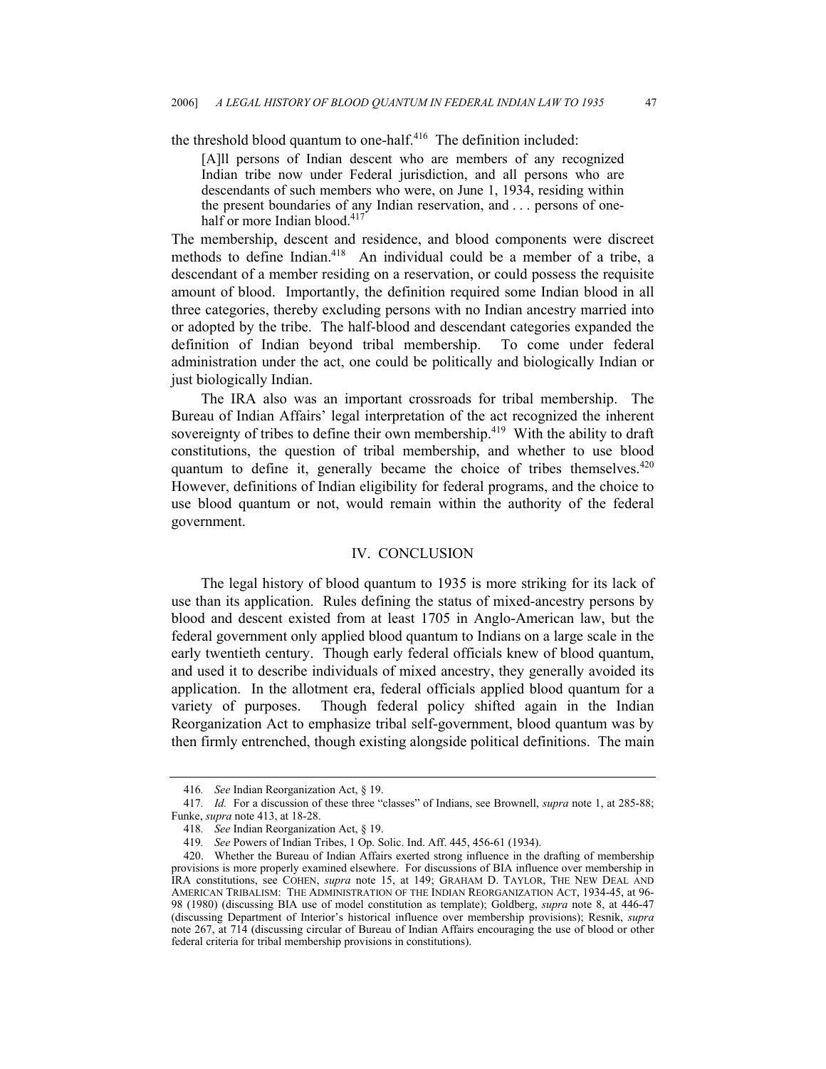the threshold blood quantum to one-half.[416](#page-46-0) The definition included:

[A]ll persons of Indian descent who are members of any recognized Indian tribe now under Federal jurisdiction, and all persons who are descendants of such members who were, on June 1, 1934, residing within the present boundaries of any Indian reservation, and . . . persons of one-half or more Indian blood.<sup>[417](#page-46-1)</sup>

The membership, descent and residence, and blood components were discreet methods to define Indian.<sup>418</sup> An individual could be a member of a tribe, a descendant of a member residing on a reservation, or could possess the requisite amount of blood. Importantly, the definition required some Indian blood in all three categories, thereby excluding persons with no Indian ancestry married into or adopted by the tribe. The half-blood and descendant categories expanded the definition of Indian beyond tribal membership. To come under federal administration under the act, one could be politically and biologically Indian or just biologically Indian.

The IRA also was an important crossroads for tribal membership. The Bureau of Indian Affairs' legal interpretation of the act recognized the inherent sovereignty of tribes to define their own membership.<sup>419</sup> With the ability to draft constitutions, the question of tribal membership, and whether to use blood quantum to define it, generally became the choice of tribes themselves.<sup>420</sup> However, definitions of Indian eligibility for federal programs, and the choice to use blood quantum or not, would remain within the authority of the federal government.

#### IV. CONCLUSION

The legal history of blood quantum to 1935 is more striking for its lack of use than its application. Rules defining the status of mixed-ancestry persons by blood and descent existed from at least 1705 in Anglo-American law, but the federal government only applied blood quantum to Indians on a large scale in the early twentieth century. Though early federal officials knew of blood quantum, and used it to describe individuals of mixed ancestry, they generally avoided its application. In the allotment era, federal officials applied blood quantum for a variety of purposes. Though federal policy shifted again in the Indian Reorganization Act to emphasize tribal self-government, blood quantum was by then firmly entrenched, though existing alongside political definitions. The main

<span id="page-46-1"></span><span id="page-46-0"></span><sup>416</sup>*. See* Indian Reorganization Act, § 19.

<sup>417</sup>*. Id.* For a discussion of these three "classes" of Indians, see Brownell, *supra* note 1, at 285-88; Funke, *supra* note 413, at 18-28.

<span id="page-46-2"></span><sup>418</sup>*. See* Indian Reorganization Act, § 19.

<span id="page-46-4"></span><span id="page-46-3"></span><sup>419</sup>*. See* Powers of Indian Tribes, 1 Op. Solic. Ind. Aff. 445, 456-61 (1934).

<sup>420.</sup> Whether the Bureau of Indian Affairs exerted strong influence in the drafting of membership provisions is more properly examined elsewhere. For discussions of BIA influence over membership in IRA constitutions, see COHEN, *supra* note 15, at 149; GRAHAM D. TAYLOR, THE NEW DEAL AND AMERICAN TRIBALISM: THE ADMINISTRATION OF THE INDIAN REORGANIZATION ACT, 1934-45, at 96- 98 (1980) (discussing BIA use of model constitution as template); Goldberg, *supra* note 8, at 446-47 (discussing Department of Interior's historical influence over membership provisions); Resnik, *supra*  note 267, at 714 (discussing circular of Bureau of Indian Affairs encouraging the use of blood or other federal criteria for tribal membership provisions in constitutions).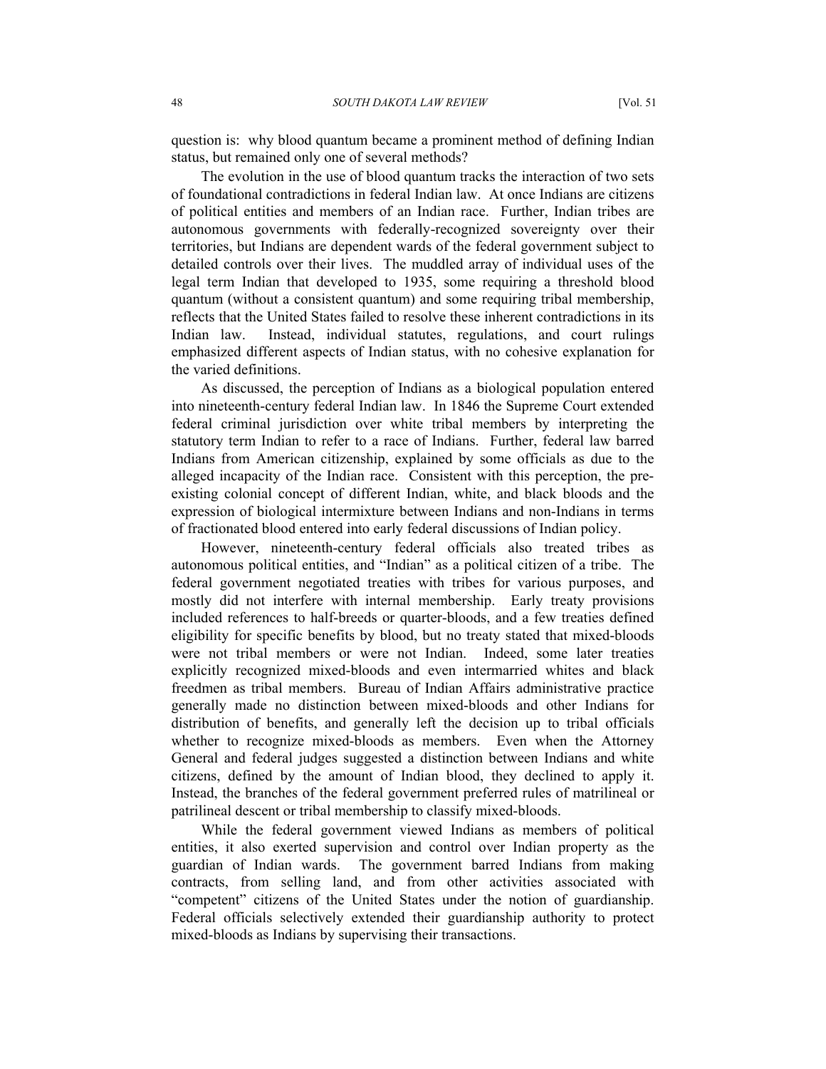question is: why blood quantum became a prominent method of defining Indian status, but remained only one of several methods?

The evolution in the use of blood quantum tracks the interaction of two sets of foundational contradictions in federal Indian law. At once Indians are citizens of political entities and members of an Indian race. Further, Indian tribes are autonomous governments with federally-recognized sovereignty over their territories, but Indians are dependent wards of the federal government subject to detailed controls over their lives. The muddled array of individual uses of the legal term Indian that developed to 1935, some requiring a threshold blood quantum (without a consistent quantum) and some requiring tribal membership, reflects that the United States failed to resolve these inherent contradictions in its Indian law. Instead, individual statutes, regulations, and court rulings emphasized different aspects of Indian status, with no cohesive explanation for the varied definitions.

As discussed, the perception of Indians as a biological population entered into nineteenth-century federal Indian law. In 1846 the Supreme Court extended federal criminal jurisdiction over white tribal members by interpreting the statutory term Indian to refer to a race of Indians. Further, federal law barred Indians from American citizenship, explained by some officials as due to the alleged incapacity of the Indian race. Consistent with this perception, the preexisting colonial concept of different Indian, white, and black bloods and the expression of biological intermixture between Indians and non-Indians in terms of fractionated blood entered into early federal discussions of Indian policy.

However, nineteenth-century federal officials also treated tribes as autonomous political entities, and "Indian" as a political citizen of a tribe. The federal government negotiated treaties with tribes for various purposes, and mostly did not interfere with internal membership. Early treaty provisions included references to half-breeds or quarter-bloods, and a few treaties defined eligibility for specific benefits by blood, but no treaty stated that mixed-bloods were not tribal members or were not Indian. Indeed, some later treaties explicitly recognized mixed-bloods and even intermarried whites and black freedmen as tribal members. Bureau of Indian Affairs administrative practice generally made no distinction between mixed-bloods and other Indians for distribution of benefits, and generally left the decision up to tribal officials whether to recognize mixed-bloods as members. Even when the Attorney General and federal judges suggested a distinction between Indians and white citizens, defined by the amount of Indian blood, they declined to apply it. Instead, the branches of the federal government preferred rules of matrilineal or patrilineal descent or tribal membership to classify mixed-bloods.

While the federal government viewed Indians as members of political entities, it also exerted supervision and control over Indian property as the guardian of Indian wards. The government barred Indians from making contracts, from selling land, and from other activities associated with "competent" citizens of the United States under the notion of guardianship. Federal officials selectively extended their guardianship authority to protect mixed-bloods as Indians by supervising their transactions.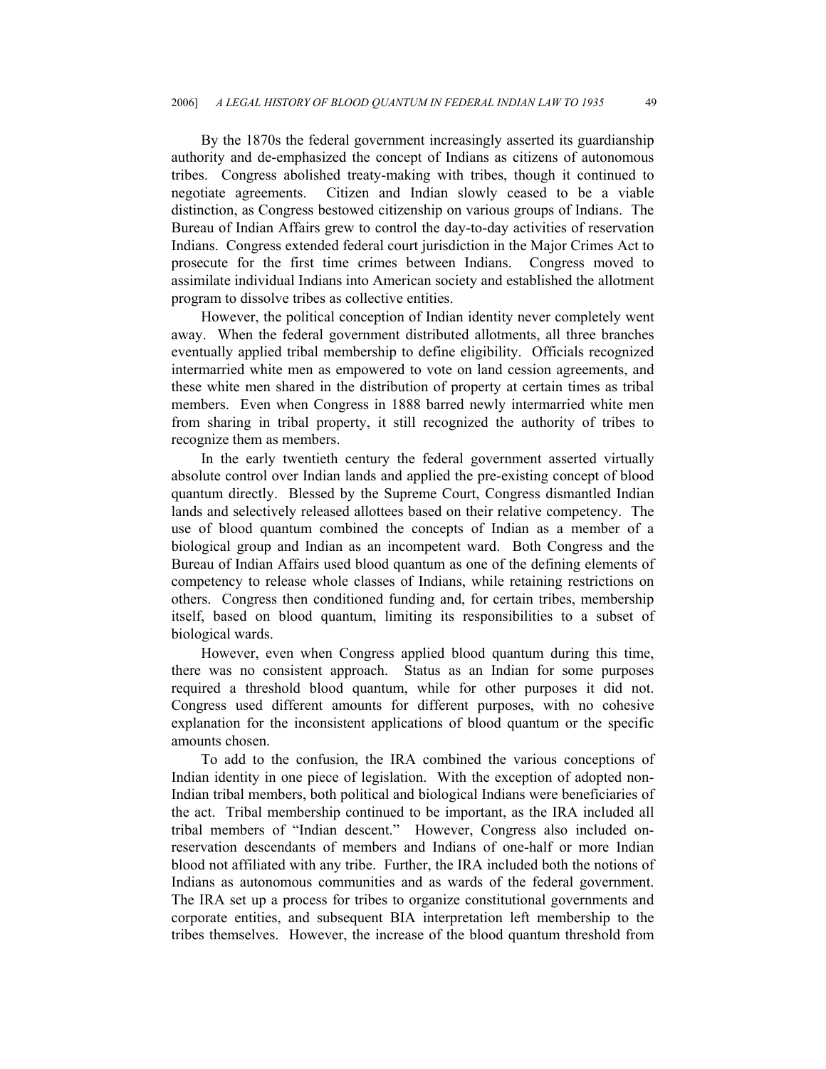By the 1870s the federal government increasingly asserted its guardianship authority and de-emphasized the concept of Indians as citizens of autonomous tribes. Congress abolished treaty-making with tribes, though it continued to negotiate agreements. Citizen and Indian slowly ceased to be a viable distinction, as Congress bestowed citizenship on various groups of Indians. The Bureau of Indian Affairs grew to control the day-to-day activities of reservation Indians. Congress extended federal court jurisdiction in the Major Crimes Act to prosecute for the first time crimes between Indians. Congress moved to assimilate individual Indians into American society and established the allotment program to dissolve tribes as collective entities.

However, the political conception of Indian identity never completely went away. When the federal government distributed allotments, all three branches eventually applied tribal membership to define eligibility. Officials recognized intermarried white men as empowered to vote on land cession agreements, and these white men shared in the distribution of property at certain times as tribal members. Even when Congress in 1888 barred newly intermarried white men from sharing in tribal property, it still recognized the authority of tribes to recognize them as members.

In the early twentieth century the federal government asserted virtually absolute control over Indian lands and applied the pre-existing concept of blood quantum directly. Blessed by the Supreme Court, Congress dismantled Indian lands and selectively released allottees based on their relative competency. The use of blood quantum combined the concepts of Indian as a member of a biological group and Indian as an incompetent ward. Both Congress and the Bureau of Indian Affairs used blood quantum as one of the defining elements of competency to release whole classes of Indians, while retaining restrictions on others. Congress then conditioned funding and, for certain tribes, membership itself, based on blood quantum, limiting its responsibilities to a subset of biological wards.

However, even when Congress applied blood quantum during this time, there was no consistent approach. Status as an Indian for some purposes required a threshold blood quantum, while for other purposes it did not. Congress used different amounts for different purposes, with no cohesive explanation for the inconsistent applications of blood quantum or the specific amounts chosen.

To add to the confusion, the IRA combined the various conceptions of Indian identity in one piece of legislation. With the exception of adopted non-Indian tribal members, both political and biological Indians were beneficiaries of the act. Tribal membership continued to be important, as the IRA included all tribal members of "Indian descent." However, Congress also included onreservation descendants of members and Indians of one-half or more Indian blood not affiliated with any tribe. Further, the IRA included both the notions of Indians as autonomous communities and as wards of the federal government. The IRA set up a process for tribes to organize constitutional governments and corporate entities, and subsequent BIA interpretation left membership to the tribes themselves. However, the increase of the blood quantum threshold from